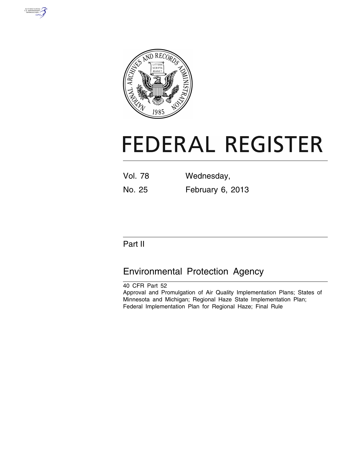



# **FEDERAL REGISTER**

| <b>Vol. 78</b> | Wednesday,       |
|----------------|------------------|
| No. 25         | February 6, 2013 |

# Part II

# Environmental Protection Agency

40 CFR Part 52 Approval and Promulgation of Air Quality Implementation Plans; States of Minnesota and Michigan; Regional Haze State Implementation Plan; Federal Implementation Plan for Regional Haze; Final Rule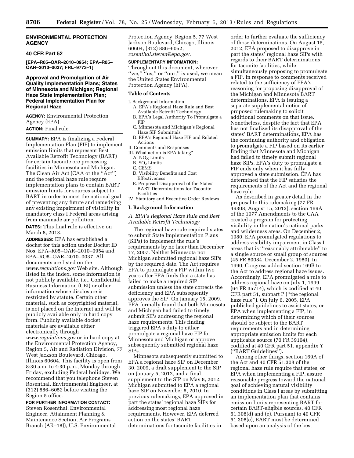# **ENVIRONMENTAL PROTECTION AGENCY**

# **40 CFR Part 52**

**[EPA–R05–OAR–2010–0954; EPA–R05– OAR–2010–0037; FRL–9773–1]** 

# **Approval and Promulgation of Air Quality Implementation Plans; States of Minnesota and Michigan; Regional Haze State Implementation Plan; Federal Implementation Plan for Regional Haze**

**AGENCY:** Environmental Protection Agency (EPA).

# **ACTION:** Final rule.

**SUMMARY:** EPA is finalizing a Federal Implementation Plan (FIP) to implement emission limits that represent Best Available Retrofit Technology (BART) for certain taconite ore processing facilities in Minnesota and Michigan. The Clean Air Act (CAA or the ''Act'') and the regional haze rule require implementation plans to contain BART emission limits for sources subject to BART in order to meet the national goal of preventing any future and remedying any existing impairment of visibility in mandatory class I Federal areas arising from manmade air pollution.

**DATES:** This final rule is effective on March 8, 2013.

**ADDRESSES:** EPA has established a docket for this action under Docket ID Nos. EPA–R05–OAR–2010–0954 and EPA–RO5–OAR–2010–0037. All documents are listed on the *[www.regulations.gov](http://www.regulations.gov)* Web site. Although listed in the index, some information is not publicly available, i.e., Confidential Business Information (CBI) or other information whose disclosure is restricted by statute. Certain other material, such as copyrighted material, is not placed on the Internet and will be publicly available only in hard copy form. Publicly available docket materials are available either electronically through *[www.regulations.gov](http://www.regulations.gov)* or in hard copy at the Environmental Protection Agency, Region 5, Air and Radiation Division, 77 West Jackson Boulevard, Chicago, Illinois 60604. This facility is open from 8:30 a.m. to 4:30 p.m., Monday through Friday, excluding Federal holidays. We recommend that you telephone Steven Rosenthal, Environmental Engineer, at (312) 886–6052 before visiting the Region 5 office.

**FOR FURTHER INFORMATION CONTACT:**  Steven Rosenthal, Environmental Engineer, Attainment Planning & Maintenance Section, Air Programs Branch (AR–18J), U.S. Environmental Protection Agency, Region 5, 77 West Jackson Boulevard, Chicago, Illinois 60604, (312) 886–6052, *[rosenthal.steven@epa.gov.](mailto:rosenthal.steven@epa.gov)* 

#### **SUPPLEMENTARY INFORMATION:**

Throughout this document, wherever "we," "us," or "our," is used, we mean the United States Environmental Protection Agency (EPA).

#### **Table of Contents**

- I. Background Information
- A. EPA's Regional Haze Rule and Best Available Retrofit Technology
- B. EPA's Legal Authority To Promulgate a FIP
- C. Minnesota and Michigan's Regional Haze SIP Submittals
- D. EPA's Regional Haze FIP and Related Actions
- II. Comments and Responses
- III. What action is EPA taking?
	- A. NO<sub>X</sub> Limits
	- B. SO2 Limits
	- C. CEMS
	- D. Visibility Benefits and Cost Effectiveness
- E. Proposed Disapproval of the States' BART Determinations for Taconite Facilities
- IV. Statutory and Executive Order Reviews

# **I. Background Information**

*A. EPA's Regional Haze Rule and Best Available Retrofit Technology* 

The regional haze rule required states to submit State Implementation Plans (SIPs) to implement the rule's requirements by no later than December 17, 2007. Neither Minnesota nor Michigan submitted regional haze SIPs by the required date. The Act requires EPA to promulgate a FIP within two years after EPA finds that a state has failed to make a required SIP submission unless the state corrects the deficiency and EPA subsequently approves the SIP. On January 15, 2009, EPA formally found that both Minnesota and Michigan had failed to timely submit SIPs addressing the regional haze requirements. This finding triggered EPA's duty to either promulgate a regional haze FIP for Minnesota and Michigan or approve subsequently submitted regional haze SIPs.

Minnesota subsequently submitted to EPA a regional haze SIP on December 30, 2009, a draft supplement to the SIP on January 5, 2012, and a final supplement to the SIP on May 8, 2012. Michigan submitted to EPA a regional haze SIP on November 5, 2010. In previous rulemakings, EPA approved in part the states' regional haze SIPs for addressing most regional haze requirements. However, EPA deferred action on the states' BART determinations for taconite facilities in

order to further evaluate the sufficiency of those determinations. On August 15, 2012, EPA proposed to disapprove in part the states' regional haze SIPs with regards to their BART determinations for taconite facilities, while simultaneously proposing to promulgate a FIP. In response to comments received related to the sufficiency of EPA's reasoning for proposing disapproval of the Michigan and Minnesota BART determinations, EPA is issuing a separate supplemental notice of proposed rulemaking to solicit additional comments on that issue. Nonetheless, despite the fact that EPA has not finalized its disapproval of the states' BART determinations, EPA has the continuing authority and obligation to promulgate a FIP based on its earlier finding that Minnesota and Michigan had failed to timely submit regional haze SIPs. EPA's duty to promulgate a FIP ends only when it has fully approved a state submission. EPA has determined that the FIP satisfies the requirements of the Act and the regional haze rule.

As described in greater detail in the proposal to this rulemaking (77 FR 49308, August 15, 2012), section 169A of the 1977 Amendments to the CAA created a program for protecting visibility in the nation's national parks and wilderness areas. On December 2, 1980, EPA promulgated regulations to address visibility impairment in Class I areas that is ''reasonably attributable'' to a single source or small group of sources (45 FR 80084, December 2, 1980). In 1990, Congress added section 169B to the Act to address regional haze issues. Accordingly, EPA promulgated a rule to address regional haze on July 1, 1999 (64 FR 35714), which is codified at 40 CFR part 51, subpart P (''the regional haze rule''). On July 6, 2005, EPA published guidelines to assist states, or EPA when implementing a FIP, in determining which of their sources should be subject to the BART requirements and in determining appropriate emission limits for each applicable source (70 FR 39104), codified at 40 CFR part 51, appendix Y (''BART Guidelines'').

Among other things, section 169A of the Act and 40 CFR 51.308 of the regional haze rule require that states, or EPA when implementing a FIP, assure reasonable progress toward the national goal of achieving natural visibility conditions in Class I areas by submitting an implementation plan that contains emission limits representing BART for certain BART-eligible sources. 40 CFR 51.308(d) and (e). Pursuant to 40 CFR 51.308(e), BART must be determined based upon an analysis of the best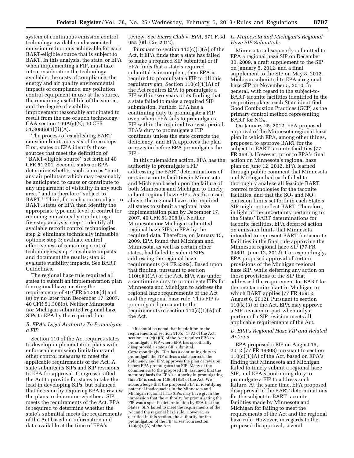system of continuous emission control technology available and associated emission reductions achievable for each BART-eligible source that is subject to BART. In this analysis, the state, or EPA when implementing a FIP, must take into consideration the technology available, the costs of compliance, the energy and air quality environmental impacts of compliance, any pollution control equipment in use at the source, the remaining useful life of the source, and the degree of visibility improvement reasonably anticipated to result from the use of such technology. CAA section  $169A(g)(2)$ ; 40 CFR 51.308(e)(1)(ii)(A).

The process of establishing BART emission limits consists of three steps. First, states or EPA identify those sources that meet the definition of ''BART-eligible source'' set forth at 40 CFR 51.301. Second, states or EPA determine whether such sources ''emit any air pollutant which may reasonably be anticipated to cause or contribute to any impairment of visibility in any such area,'' and is therefore ''subject to BART.'' Third, for each source subject to BART, states or EPA then identify the appropriate type and level of control for reducing emissions by conducting a five-step analysis: step 1: identify all available retrofit control technologies; step 2: eliminate technically infeasible options; step 3: evaluate control effectiveness of remaining control technologies; step 4: evaluate impacts and document the results; step 5: evaluate visibility impacts. See BART Guidelines.

The regional haze rule required all states to submit an implementation plan for regional haze meeting the requirements of 40 CFR 51.308(d) and (e) by no later than December 17, 2007. 40 CFR 51.308(b). Neither Minnesota nor Michigan submitted regional haze SIPs to EPA by the required date.

# *B. EPA's Legal Authority To Promulgate a FIP*

Section 110 of the Act requires states to develop implementation plans with enforceable emission limitations and other control measures to meet the applicable requirements of the Act. A state submits its SIPs and SIP revisions to EPA for approval. Congress crafted the Act to provide for states to take the lead in developing SIPs, but balanced that decision by requiring EPA to review the plans to determine whether a SIP meets the requirements of the Act. EPA is required to determine whether the state's submittal meets the requirements of the Act based on information and data available at the time of EPA's

review. See *Sierra Club* v. *EPA,* 671 F.3d *C. Minnesota and Michigan's Regional*  955 (9th Cir. 2012).

Pursuant to section  $110(c)(1)(A)$  of the Act, if EPA finds that a state has failed to make a required SIP submittal or if EPA finds that a state's required submittal is incomplete, then EPA is required to promulgate a FIP to fill this regulatory gap. Section  $110(c)(1)(A)$  of the Act requires EPA to promulgate a FIP within two years of its finding that a state failed to make a required SIP submission. Further, EPA has a continuing duty to promulgate a FIP even where EPA fails to promulgate a FIP within the required two-year period. EPA's duty to promulgate a FIP continues unless the state corrects the deficiency, and EPA approves the plan or revision before EPA promulgates the  $FIP.<sub>1</sub>$ 

In this rulemaking action, EPA has the authority to promulgate a FIP addressing the BART determinations of certain taconite facilities in Minnesota and Michigan based upon the failure of both Minnesota and Michigan to timely submit regional haze SIPs. As discussed above, the regional haze rule required all states to submit a regional haze implementation plan by December 17, 2007. 40 CFR 51.308(b). Neither Minnesota nor Michigan submitted regional haze SIPs to EPA by the required date. Therefore, on January 15, 2009, EPA found that Michigan and Minnesota, as well as certain other states, had failed to submit SIPs addressing the regional haze requirements (74 FR 2392). Based upon that finding, pursuant to section  $110(c)(1)(A)$  of the Act, EPA was under a continuing duty to promulgate FIPs for Minnesota and Michigan to address the regional haze requirements of the Act and the regional haze rule. This FIP is promulgated pursuant to the requirements of section  $110(c)(1)(A)$  of the Act.

# *Haze SIP Submittals*

Minnesota subsequently submitted to EPA a regional haze SIP on December 30, 2009, a draft supplement to the SIP on January 5, 2012, and a final supplement to the SIP on May 8, 2012. Michigan submitted to EPA a regional haze SIP on November 5, 2010. In general, with regard to the subject-to-BART taconite facilities identified in the respective plans, each State identified Good Combustion Practices (GCP) as the primary control method representing  $\overline{B}$ ART for NO<sub>X</sub>.

On January 25, 2012, EPA proposed approval of the Minnesota regional haze plan in which EPA, among other things, proposed to approve BART for the subject-to-BART taconite facilities (77 FR 3681). However, prior to EPA's final action on Minnesota's regional haze plan on June 12, 2012, EPA learned through public comment that Minnesota and Michigan had each failed to thoroughly analyze all feasible BART control technologies for the taconite facilities, and that the  $SO_2$  and  $NO_X$ emission limits set forth in each State's SIP might not reflect BART. Therefore, in light of the uncertainty pertaining to the States' BART determinations for taconite facilities, EPA deferred action on emission limits that Minnesota intended to represent BART for taconite facilities in the final rule approving the Minnesota regional haze SIP (77 FR 34801, June 12, 2012). Correspondingly, EPA proposed approval of certain provisions of the Michigan regional haze SIP, while deferring any action on those provisions of the SIP that addressed the requirement for BART for the one taconite plant in Michigan to which BART applies (77 FR 46912, August 6, 2012). Pursuant to section 110(k)(3) of the Act, EPA may approve a SIP revision in part when only a portion of a SIP revision meets all applicable requirements of the Act.

# *D. EPA's Regional Haze FIP and Related Actions*

EPA proposed a FIP on August 15, 2012 (77 FR 49308) pursuant to section 110(c)(1)(A) of the Act, based on EPA's finding that Minnesota and Michigan failed to timely submit a regional haze SIP, and EPA's continuing duty to promulgate a FIP to address such failure. At the same time, EPA proposed disapproval of the BART determinations for the subject-to-BART taconite facilities made by Minnesota and Michigan for failing to meet the requirements of the Act and the regional haze rule. However, in regards to the proposed disapproval, several

<sup>1</sup> It should be noted that in addition to the requirements of section 110(c)(1)(A) of the Act, section 110(c)(1)(B) of the Act requires EPA to promulgate a FIP where EPA has specifically disapproved a state's SIP submittal. Correspondingly, EPA has a continuing duty to promulgate the FIP unless a state corrects the deficiency and EPA approves the plan or revision before EPA promulgates the FIP. Many of the commenters to the proposed FIP assumed that the statutory basis for EPA's authority in promulgating this FIP is section  $110(c)(1)(B)$  of the Act. We acknowledge that the proposed FIP, in identifying potential inadequacies in the Minnesota and Michigan regional haze SIPs, may have given the impression that the authority for promulgating the FIP was a specific determination by EPA that the States' SIPs failed to meet the requirements of the Act and the regional haze rule. However, as clarified in this section, the authority for the promulgation of the FIP arises from section  $110(c)(1)(A)$  of the Act.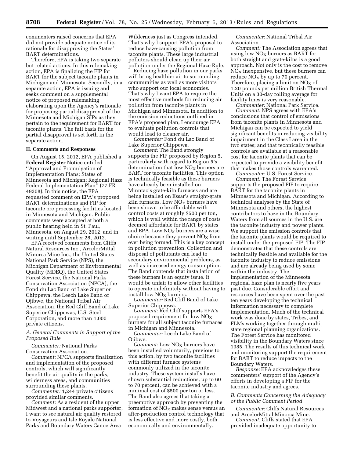commenters raised concerns that EPA did not provide adequate notice of its rationale for disapproving the States' BART determinations.

Therefore, EPA is taking two separate but related actions. In this rulemaking action, EPA is finalizing the FIP for BART for the subject taconite plants in Michigan and Minnesota. Secondly, in a separate action, EPA is issuing and seeks comment on a supplemental notice of proposed rulemaking elaborating upon the Agency's rationale for proposing partial disapproval of the Minnesota and Michigan SIPs as they pertain to the requirement for BART for taconite plants. The full basis for the partial disapproval is set forth in the separate action.

# **II. Comments and Responses**

On August 15, 2012, EPA published a **Federal Register** Notice entitled ''Approval and Promulgation of Implementation Plans; States of Minnesota and Michigan; Regional Haze Federal Implementation Plan'' (77 FR 49308). In this notice, the EPA requested comment on EPA's proposed BART determinations and FIP for taconite ore processing facilities located in Minnesota and Michigan. Public comments were accepted at both a public hearing held in St. Paul, Minnesota, on August 29, 2012, and in writing until September 28, 2012.

EPA received comments from Cliffs Natural Resources Inc., ArcelorMittal Minorca Mine Inc., the United States National Park Service (NPS), the Michigan Department of Environmental Quality (MDEQ), the United States Forest Service, the National Parks Conservation Association (NPCA), the Fond du Lac Band of Lake Superior Chippewa, the Leech Lake Band of Ojibwe, the National Tribal Air Association, the Red Cliff Band of Lake Superior Chippewas, U.S. Steel Corporation, and more than 1,000 private citizens.

# *A. General Comments in Support of the Proposed Rule*

*Commenter:* National Parks Conservation Association.

*Comment:* NPCA supports finalization and implementation of the proposed controls, which will significantly benefit the air quality in the parks, wilderness areas, and communities surrounding these plants.

*Commenter:* 1,244 private citizens provided similar comments.

*Comment:* As a resident of the upper Midwest and a national parks supporter, I want to see natural air quality restored to Voyageurs and Isle Royale National Parks and Boundary Waters Canoe Area

Wilderness just as Congress intended. That's why I support EPA's proposal to reduce haze-causing pollution from taconite plants. These large industrial polluters should clean up their air pollution under the Regional Haze Rule.

Reducing haze pollution in our parks will bring healthier air to surrounding communities as well as more visitors who support our local economies. That's why I want EPA to require the most effective methods for reducing air pollution from taconite plants in Michigan and Minnesota. In addition to the emission reductions outlined in EPA's proposed plan, I encourage EPA to evaluate pollution controls that would lead to cleaner air.

*Commenter:* Fond du Lac Band of Lake Superior Chippewa.

*Comment:* The Band strongly supports the FIP proposed by Region 5, particularly with regard to Region 5's determination that low  $NO<sub>X</sub>$  burners are BART for taconite facilities. This option is technically feasible as these burners have already been installed on Minntac's grate-kiln furnaces and are being installed on Essar's straight-grate kiln furnaces. Low  $NO<sub>X</sub>$  burners have been shown to be affordable with control costs at roughly \$500 per ton, which is well within the range of costs deemed affordable for BART by states and EPA. Low  $NO<sub>X</sub>$  burners are a wise choice because they prevent  $NO<sub>x</sub>$  from ever being formed. This is a key concept in pollution prevention. Collection and disposal of pollutants can lead to secondary environmental problems, as well as increased energy consumption. The Band contends that installation of these burners is an equity issue. It would be unfair to allow other facilities to operate indefinitely without having to install low  $NO<sub>x</sub>$  burners.

*Commenter:* Red Cliff Band of Lake Superior Chippewa.

*Comment:* Red Cliff supports EPA's proposed requirement for low  $NO<sub>x</sub>$ burners for all subject taconite furnaces in Michigan and Minnesota.

*Commenter:* Leech Lake Band of Ojibwe.

*Comment:* Low NO<sub>X</sub> burners have been installed voluntarily, previous to this action, by two taconite facilities with different furnace systems commonly utilized in the taconite industry. These system installs have shown substantial reductions, up to 60 to 70 percent, can be achieved with a minimal cost of \$500 per ton or less. The Band also agrees that taking a preemptive approach by preventing the formation of  $NO<sub>x</sub>$  makes sense versus an after-production control technology that is less effective and more costly, both economically and environmentally.

*Commenter:* National Tribal Air Association.

*Comment:* The Association agrees that using low  $NO<sub>X</sub>$  burners as BART for both straight and grate-kilns is a good approach. Not only is the cost to remove  $NO<sub>x</sub>$  inexpensive, but these burners can reduce  $N\overline{O}_X$  by up to 70 percent. Therefore, placing a limit on  $NO<sub>x</sub>$  of 1.20 pounds per million British Thermal Units on a 30-day rolling average for facility lines is very reasonable.

*Commenter:* National Park Service. *Comment:* NPS agrees with EPA's conclusions that control of emissions from taconite plants in Minnesota and Michigan can be expected to yield significant benefits in reducing visibility impairment in the Class I area in the two states; and that technically feasible controls are available at a reasonable cost for taconite plants that can be expected to provide a visibility benefit that makes those controls warranted.

*Commenter:* U.S. Forest Service. *Comment:* The Forest Service

supports the proposed FIP to require BART for the taconite plants in Minnesota and Michigan. According to technical analyses by the State of Minnesota and others, the highest contributors to haze in the Boundary Waters from all sources in the U.S. are the taconite industry and power plants. We support the emission controls that the taconite plants would be required to install under the proposed FIP. The FIP demonstrates that these controls are technically feasible and available for the taconite industry to reduce emissions and are already being used by some within the industry. The implementation of the Minnesota regional haze plan is nearly five years past due. Considerable effort and resources have been spent over the past ten years developing the technical information necessary to complete implementation. Much of the technical work was done by states, Tribes, and FLMs working together through multistate regional planning organizations. The Forest Service has monitored visibility in the Boundary Waters since 1985. The results of this technical work and monitoring support the requirement for BART to reduce impacts to the Boundary Waters.

*Response:* EPA acknowledges these commenters' support of the Agency's efforts in developing a FIP for the taconite industry and agrees.

# *B. Comments Concerning the Adequacy of the Public Comment Period*

*Commenter:* Cliffs Natural Resources and ArcelorMittal Minorca Mine.

*Comment:* Cliffs stated that EPA provided inadequate opportunity to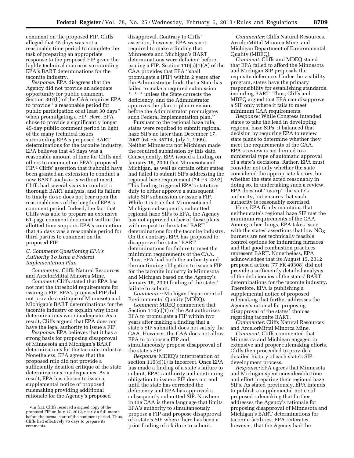comment on the proposed FIP. Cliffs alleged that 45 days was not a reasonable time period to complete the task of preparing an appropriate response to the proposed FIP given the highly technical concerns surrounding EPA's BART determinations for the taconite industry.

*Response:* EPA disagrees that the Agency did not provide an adequate opportunity for public comment. Section 307(h) of the CAA requires EPA to provide ''a reasonable period for public participation of at least 30 days'' when promulgating a FIP. Here, EPA chose to provide a significantly longer 45-day public comment period in light of the many technical issues surrounding EPA's proposed BART determinations for the taconite industry. EPA believes that 45 days was a reasonable amount of time for Cliffs and others to comment on EPA's proposed FIP.2 Cliffs' assertion that it should have been granted an extension to conduct a new BART analysis is without merit. Cliffs had several years to conduct a thorough BART analysis, and its failure to timely do so does not bear upon the reasonableness of the length of EPA's comment period. Indeed, the fact that Cliffs was able to prepare an extensive 61-page comment document within the allotted time supports EPA's contention that 45 days was a reasonable period for third parties to comment on the proposed FIP.

# *C. Comments Questioning EPA's Authority To Issue a Federal Implementation Plan*

*Commenter:* Cliffs Natural Resources and ArcelorMittal Minorca Mine.

*Comment:* Cliffs stated that EPA has not met the threshold requirements for issuing a FIP. EPA's proposed FIP did not provide a critique of Minnesota and Michigan's BART determinations for the taconite industry or explain why those determinations were inadequate. As a result, Cliffs argued that EPA does not have the legal authority to issue a FIP.

*Response:* EPA believes that it has a strong basis for proposing disapproval of Minnesota and Michigan's BART determinations for the taconite industry. Nonetheless, EPA agrees that the proposed rule did not provide a sufficiently detailed critique of the state determinations' inadequacies. As a result, EPA has chosen to issue a supplemental notice of proposed rulemaking providing additional rationale for the Agency's proposed

disapproval. Contrary to Cliffs' assertion, however, EPA was not required to make a finding that Minnesota and Michigan's BART determinations were deficient before issuing a FIP. Section  $110(c)(1)(A)$  of the CAA provides that EPA ''shall promulgate a [FIP] within 2 years after the Administrator finds that a State has failed to make a required submission \* \* \* unless the State corrects the deficiency, and the Administrator approves the plan or plan revision, before the Administrator promulgates such Federal Implementation plan.''

Pursuant to the regional haze rule, states were required to submit regional haze SIPs no later than December 17, 2007 (64 FR 35714, July 1, 1999). Neither Minnesota nor Michigan made the required submission by this date. Consequently, EPA issued a finding on January 15, 2009 that Minnesota and Michigan, as well as certain other states, had failed to submit SIPs addressing the regional haze requirement (74 FR 2392). This finding triggered EPA's statutory duty to either approve a subsequent state SIP submission or issue a FIP. While it is true that Minnesota and Michigan subsequently submitted regional haze SIPs to EPA, the Agency has not approved either of these plans with respect to the states' BART determinations for the taconite industry. On the contrary, EPA has proposed to disapprove the states' BART determinations for failure to meet the minimum requirements of the CAA. Thus, EPA had both the authority and the continuing obligation to issue a FIP for the taconite industry in Minnesota and Michigan based on the Agency's January 15, 2009 finding of the states' failure to submit.

*Commenter:* Michigan Department of Environmental Quality (MDEQ).

*Comment:* MDEQ commented that Section 110(c)(1) of the Act authorizes EPA to promulgate a FIP within two years after making a finding that a state's SIP submittal does not satisfy the CAA. However, the CAA does not allow EPA to propose a FIP and simultaneously propose disapproval of the state's SIP.

*Response:* MDEQ's interpretation of section  $110(c)(1)$  is incorrect. Once EPA has made a finding of a state's failure to submit, EPA's authority and continuing obligation to issue a FIP does not end until the state has corrected the deficiency and EPA has approved a subsequently submitted SIP. Nowhere in the CAA is there language that limits EPA's authority to simultaneously propose a FIP and propose disapproval of a state's SIP where there has been a prior finding of a failure to submit.

*Commenter:* Cliffs Natural Resources, ArcelorMittal Minorca Mine, and Michigan Department of Environmental Quality (MDEQ).

*Comment:* Cliffs and MDEQ stated that EPA failed to afford the Minnesota and Michigan SIP proposals the requisite deference. Under the visibility program, states have the primary responsibility for establishing standards, including BART. Thus, Cliffs and MDEQ argued that EPA can disapprove a SIP only where it fails to meet minimum CAA requirements.

*Response:* While Congress intended states to take the lead in developing regional haze SIPs, it balanced that decision by requiring EPA to review state plans to determine whether they meet the requirements of the CAA. EPA's review is not limited to a ministerial type of automatic approval of a state's decisions. Rather, EPA must consider not only whether the state considered the appropriate factors, but whether the state acted reasonably in doing so. In undertaking such a review, EPA does not ''usurp'' the state's authority, but ensures that such authority is reasonably exercised.

Here, EPA firmly maintains that neither state's regional haze SIP met the minimum requirements of the CAA. Among other things, EPA takes issue with the states' assertions that low  $NO<sub>x</sub>$ burners are not technically feasible control options for indurating furnaces and that good combustion practices represent BART. Nonetheless, EPA acknowledges that its August 15, 2012 proposed action (77 FR 49308) did not provide a sufficiently detailed analysis of the deficiencies of the states' BART determinations for the taconite industry. Therefore, EPA is publishing a supplemental notice of proposed rulemaking that further addresses the Agency's rational for proposing disapproval of the states' choices regarding taconite BART.

*Commenter:* Cliffs Natural Resources and ArcelorMittal Minorca Mine.

*Comment:* Cliffs commented that Minnesota and Michigan engaged in extensive and proper rulemaking efforts. Cliffs then proceeded to provide a detailed history of each state's SIPdevelopment process.

*Response:* EPA agrees that Minnesota and Michigan spent considerable time and effort preparing their regional haze SIPs. As stated previously, EPA intends to publish a supplemental notice of proposed rulemaking that further addresses the Agency's rationale for proposing disapproval of Minnesota and Michigan's BART determinations for taconite facilities. EPA reiterates, however, that the Agency had the

<sup>2</sup> In fact, Cliffs received a signed copy of the proposed FIP on July 17, 2012, nearly a full month before the formal start of the comment period. Thus, Cliffs had effectively 75 days to prepare its comments.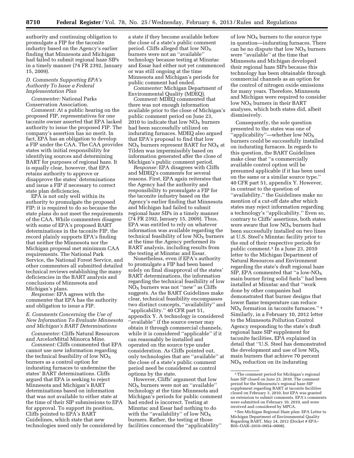authority and continuing obligation to promulgate a FIP for the taconite industry based on the Agency's earlier finding that Minnesota and Michigan had failed to submit regional haze SIPs in a timely manner (74 FR 2392, January 15, 2009).

# *D. Comments Supporting EPA's Authority To Issue a Federal Implementation Plan*

*Commenter:* National Parks Conservation Association.

*Comment:* At a public hearing on the proposed FIP, representatives for one taconite owner asserted that EPA lacked authority to issue the proposed FIP. The company's assertion has no merit. In fact, EPA has an obligation to develop a FIP under the CAA. The CAA provides states with initial responsibility for identifying sources and determining BART for purposes of regional haze. It is equally clear, however, that EPA retains authority to approve or disapprove the states' determinations and issue a FIP if necessary to correct state plan deficiencies.

EPA is not only well within its authority to promulgate the proposed FIP; it is required to do so because the state plans do not meet the requirements of the CAA. While commenters disagree with some of EPA's proposed BART determinations in the taconite FIP, the record plainly supports EPA's finding that neither the Minnesota nor the Michigan proposal met minimum CAA requirements. The National Park Service, the National Forest Service, and other commenters all submitted detailed technical reviews establishing the many deficiencies in the BART analysis and conclusions of Minnesota and Michigan's plans.

*Response:* EPA agrees with the commenter that EPA has the authority and obligation to issue a FIP.

# *E. Comments Concerning the Use of New Information To Evaluate Minnesota and Michigan's BART Determinations*

*Commenter:* Cliffs Natural Resources and ArcelorMittal Minorca Mine.

*Comment:* Cliffs commented that EPA cannot use new information regarding the technical feasibility of low  $NO<sub>x</sub>$ burners as a control option for indurating furnaces to undermine the states' BART determinations. Cliffs argued that EPA is seeking to reject Minnesota and Michigan's BART determinations based on information that was not available to either state at the time of their SIP submissions to EPA for approval. To support its position, Cliffs pointed to EPA's BART Guidelines, which state that new technologies need only be considered by

a state if they become available before the close of a state's public comment period. Cliffs alleged that low  $NO_X$ burners were not an ''available'' technology because testing at Minntac and Essar had either not yet commenced or was still ongoing at the time Minnesota and Michigan's periods for public comment had ended.

*Commenter:* Michigan Department of Environmental Quality (MDEQ).

*Comment:* MDEQ commented that there was not enough information available prior to the close of Michigan's public comment period on June 23, 2010 to indicate that low  $NO<sub>X</sub>$  burners had been successfully utilized on indurating furnaces. MDEQ also argued that EPA's proposal to find that low  $NO<sub>x</sub>$  burners represent BART for  $NO<sub>x</sub>$  at Tilden was impermissibly based on information generated after the close of Michigan's public comment period.

*Response:* EPA disagrees with Cliffs and MDEQ's comments for several reasons. First, EPA again reiterates that the Agency had the authority and responsibility to promulgate a FIP for the taconite industry based on the Agency's earlier finding that Minnesota and Michigan had failed to submit regional haze SIPs in a timely manner (74 FR 2392, January 15, 2009). Thus, EPA was entitled to rely on whatever information was available regarding the technical feasibility of low  $NO<sub>X</sub>$  burners at the time the Agency performed its BART analysis, including results from the testing at Minntac and Essar.

Nonetheless, even if EPA's authority to promulgate a FIP had been based solely on final disapproval of the states' BART determinations, the information regarding the technical feasibility of low  $NO<sub>X</sub>$  burners was not "new" as Cliffs suggests. As the BART Guidelines make clear, technical feasibility encompasses two distinct concepts, ''availability'' and ''applicability.'' 40 CFR part 51, appendix Y. A technology is considered ''available'' if the source owner may obtain it through commercial channels, while it is considered ''applicable'' if it can reasonably be installed and operated on the source type under consideration. As Cliffs pointed out, only technologies that are ''available'' at the close of a state's public comment period need be considered as control options by the state.

However, Cliffs' argument that low  $NO<sub>x</sub>$  burners were not an "available" technology at the time Minnesota and Michigan's periods for public comment had ended is incorrect. Testing at Minntac and Essar had nothing to do with the "availability" of low  $\overline{NO_X}$ burners. Rather, the testing at those facilities concerned the ''applicability''

of low  $NO<sub>X</sub>$  burners to the source type in question—indurating furnaces. There can be no dispute that low  $NO<sub>x</sub>$  burners were ''available'' at the time that Minnesota and Michigan developed their regional haze SIPs because this technology has been obtainable through commercial channels as an option for the control of nitrogen oxide emissions for many years. Therefore, Minnesota and Michigan were required to consider low  $NO<sub>x</sub>$  burners in their BART analyses, which both states did, albeit dismissively.

Consequently, the sole question presented to the states was one of 'applicability''—whether low  $NO<sub>X</sub>$ burners could be successfully installed on indurating furnaces. In regards to this question, the BART Guidelines make clear that ''a commercially available control option will be presumed applicable if it has been used on the same or a similar source type.'' 40 CFR part 51, appendix Y. However, in contrast to the question of ''availability,'' the Guidelines make no mention of a cut-off date after which states may reject information regarding a technology's ''applicability.'' Even so, contrary to Cliffs' assertions, both states were aware that low  $NO<sub>x</sub>$  burners had been successfully installed on two lines at U.S. Steel's Minntac facility prior to the end of their respective periods for public comment.3 In a June 23, 2010 letter to the Michigan Department of Natural Resources and Environment regarding the state's draft regional haze SIP, EPA commented that "a low- $NO<sub>X</sub>$ main burner firing solid fuels'' had been installed at Minntac and that ''work done by other companies had demonstrated that burner designs that lower flame temperature can reduce  $NO<sub>x</sub>$  formation in taconite furnaces."<sup>4</sup> Similarly, in a February 10, 2012 letter to the Minnesota Pollution Control Agency responding to the state's draft regional haze SIP supplement for taconite facilities, EPA explained in detail that ''U.S. Steel has demonstrated the development and use of low  $NO<sub>x</sub>$ main burners that achieve 70 percent  $NO<sub>x</sub>$  reduction on its indurating

<sup>&</sup>lt;sup>3</sup>The comment period for Michigan's regional haze SIP closed on June 23, 2010. The comment period for the Minnesota's regional haze SIP supplement regarding BART at taconite facilities closed on February 3, 2010, but EPA was granted an extension to submit comments. EPA's comments were submitted on February 10, 2010, and were received and considered by MPCA.

<sup>4</sup>See Michigan Regional Haze plan: EPA Letter to Michigan Department of Environmental Quality Regarding BART, May 24, 2012 (Docket # EPA– R05–OAR–2010–0954–0008).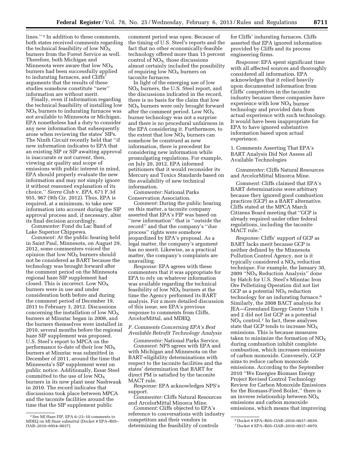lines.'' 5 In addition to these comments, both states received comments regarding the technical feasibility of low  $NO_X$ burners from the Forest Service as well. Therefore, both Michigan and Minnesota were aware that low  $NO<sub>x</sub>$ burners had been successfully applied to indurating furnaces, and Cliffs' arguments that the results of these studies somehow constitute ''new'' information are without merit.

Finally, even if information regarding the technical feasibility of installing low  $NO<sub>x</sub>$  burners to indurating furnaces was not available to Minnesota or Michigan, EPA nonetheless had a duty to consider any new information that subsequently arose when reviewing the states' SIPs. The Ninth Circuit recently held that ''if new information indicates to EPA that an existing SIP or SIP awaiting approval is inaccurate or not current, then, viewing air quality and scope of emissions with public interest in mind, EPA should properly evaluate the new information and may not simply ignore it without reasoned explanation of its choice.'' *Sierra Club* v. *EPA,* 671 F.3d 955, 967 (9th Cir. 2012). Thus, EPA is required, at a minimum, to take new information into account during the SIP approval process and, if necessary, alter its final decision accordingly.

*Commenter:* Fond du Lac Band of Lake Superior Chippewa.

*Comment:* At the public hearing held in Saint Paul, Minnesota, on August 29, 2012, some commenters voiced the opinion that low  $NO<sub>X</sub>$  burners should not be considered as BART because the technology was brought forward after the comment period on the Minnesota regional haze SIP supplement had closed. This is incorrect. Low  $NO<sub>x</sub>$ burners were in use and under consideration both before and during the comment period of December 19, 2011 to February 3, 2012. Discussions concerning the installation of low  $NO<sub>X</sub>$ burners at Minntac began in 2008, and the burners themselves were installed in 2010, several months before the regional haze SIP supplement was proposed. U.S. Steel's report to MPCA on the performance to-date of their low  $NO_X$ burners at Minntac was submitted in December of 2011, around the time that Minnesota's SIP supplement went on public notice. Additionally, Essar Steel committed to the use of low  $NO<sub>x</sub>$ burners in its new plant near Nashwauk in 2010. The record indicates that discussions took place between MPCA and the taconite facilities around the time that the SIP supplement public

comment period was open. Because of the timing of U.S. Steel's reports and the fact that no other economically-feasible technology offered more than 15 percent control of  $NO<sub>X</sub>$ , those discussions almost certainly included the possibility of requiring low  $NO<sub>X</sub>$  burners on taconite furnaces.

In light of the emerging use of low NO<sub>x</sub> burners, the U.S. Steel report, and the discussions indicated in the record, there is no basis for the claim that low  $NO<sub>X</sub>$  burners were only brought forward after the comment period. Low  $NO<sub>x</sub>$ burner technology was not a surprise and there is no procedural unfairness in the EPA considering it. Furthermore, to the extent that low  $NO<sub>X</sub>$  burners can somehow be construed as new information, there is precedent for considering new information while promulgating regulations. For example, on July 20, 2012, EPA informed petitioners that it would reconsider its Mercury and Toxics Standards based on the availability of new technical information.

*Commenter:* National Parks Conservation Association.

*Comment:* During the public hearing on this matter, a taconite company asserted that EPA's FIP was based on ''new information'' that is ''outside the record'' and that the company's ''due process'' rights were somehow jeopardized by EPA's proposal. As a legal matter, the company's argument has no merit. Likewise, as a practical matter, the company's complaints are unavailing.

*Response:* EPA agrees with these commenters that it was appropriate for EPA to rely on whatever information was available regarding the technical feasibility of low  $NO<sub>x</sub>$  burners at the time the Agency performed its BART analysis. For a more detailed discussion of this issue, see EPA's previous response to comments from Cliffs, ArcelorMittal, and MDEQ.

# *F. Comments Concerning EPA's Best Available Retrofit Technology Analysis*

*Commenter:* National Parks Service. *Comment:* NPS agrees with EPA and with Michigan and Minnesota on the BART-eligibility determinations with respect to the taconite facilities and the states' determination that BART for direct PM is satisfied by the taconite MACT rule.

*Response:* EPA acknowledges NPS's support.

*Commenter:* Cliffs Natural Resources and ArcelorMittal Minorca Mine.

*Comment:* Cliffs objected to EPA's reference to conversations with industry competitors and their vendors in determining the feasibility of controls

for Cliffs' indurating furnaces. Cliffs asserted that EPA ignored information provided by Cliffs and its process engineering firms.

*Response:* EPA spent significant time with all affected sources and thoroughly considered all information. EPA acknowledges that it relied heavily upon documented information from Cliffs' competitors in the taconite industry because these companies have experience with low  $NO<sub>x</sub>$  burner technology and provided data from actual experience with such technology. It would have been inappropriate for EPA to have ignored substantive information based upon actual experience.

1. Comments Asserting That EPA's BART Analysis Did Not Assess all Available Technologies

*Commenter:* Cliffs Natural Resources and ArcelorMittal Minorca Mine.

*Comment:* Cliffs claimed that EPA's BART determinations were arbitrary because they ignored good combustion practices (GCP) as a BART alternative. Cliffs stated at the MPCA March Citizens Board meeting that ''GCP is already required under other federal regulations, including the taconite MACT rule.''

*Response:* Cliffs' support of GCP as BART lacks merit because GCP is neither defined by the Minnesota Pollution Control Agency, nor is it typically considered a  $NO<sub>X</sub>$  reduction technique. For example, the January 30,  $2009$  "NO<sub>X</sub> Reduction Analysis" done by Hatch for U.S. Steel's Minntac Iron Ore Pelletizing Operation did not list GCP as a potential  $NO<sub>X</sub>$  reduction technology for an indurating furnace.6 Similarly, the 2008 BACT analysis for JEA—Greenland Energy Center Units 1 and 2 did not list GCP as a potential  $NO<sub>X</sub>$  control.<sup>7</sup> In fact, these analyses state that GCP tends to increase  $NO<sub>X</sub>$ emissions. This is because measures taken to minimize the formation of  $NO<sub>x</sub>$ during combustion inhibit complete combustion, which increases emissions of carbon monoxide. Conversely, GCP aims to reduce carbon monoxide emissions. According to the September 2010 ''We Energies Biomass Energy Project Revised Control Technology Review for Carbon Monoxide Emissions for the Biomass-Fired Boiler,'' there is an inverse relationship between  $NO<sub>x</sub>$ emissions and carbon monoxide emissions, which means that improving

<sup>5</sup>See MI Haze FIP, EPA 6–23–10 comments to MDEQ on MI Haze submittal (Docket # EPA–R05– OAR–2010–0954–0037).

<sup>6</sup> Docket # EPA–R05–OAR–2010–0037–0039.

<sup>7</sup> Docket # EPA–R05–OAR–2010–0037–0070.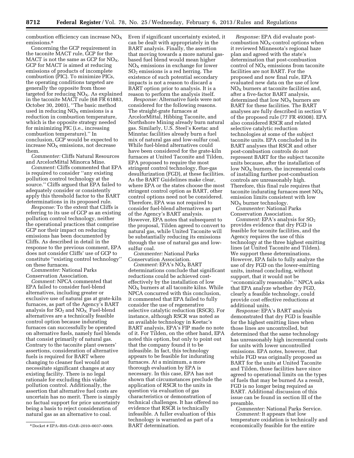combustion efficiency can increase  $NO<sub>x</sub>$ emissions.<sup>8</sup>

Concerning the GCP requirement in the taconite MACT rule, GCP for the MACT is not the same as GCP for  $NO<sub>x</sub>$ . GCP for MACT is aimed at reducing emissions of products of incomplete combustion (PIC). To minimize PICs, the operating conditions targeted are generally the opposite from those targeted for reducing  $NO<sub>X</sub>$ . As explained in the taconite MACT rule (68 FR 61883, October 30, 2003), ''The basic method used in reducing  $NO<sub>X</sub>$  emissions is a reduction in combustion temperature, which is the opposite strategy needed for minimizing PIC (i.e., increasing combustion temperature).'' In conclusion, GCP would be expected to increase  $NO<sub>x</sub>$  emissions, not decrease them.

*Commenter:* Cliffs Natural Resources and ArcelorMittal Minorca Mine.

*Comment:* Cliffs commented that EPA is required to consider ''any existing pollution control technology at the source.'' Cliffs argued that EPA failed to adequately consider or consistently apply this threshold factor to the BART determinations in its proposed rule.

*Response:* To the extent that Cliffs is referring to its use of GCP as an existing pollution control technology, neither the operational practices that comprise GCP nor their impact on reducing emissions has been documented by Cliffs. As described in detail in the response to the previous comment, EPA does not consider Cliffs' use of GCP to constitute ''existing control technology'' on these furnaces.

*Commenter:* National Parks Conservation Association.

*Comment:* NPCA commented that EPA failed to consider fuel-blend alternatives, including greater or exclusive use of natural gas at grate-kiln furnaces, as part of the Agency's BART analysis for  $SO_2$  and  $NO<sub>x</sub>$ . Fuel-blend alternatives are a technically feasible control option because indurating furnaces can successfully be operated on alternative fuels, namely fuel blends that consist primarily of natural gas. Contrary to the taconite plant owners' assertions, consideration of alternative fuels is required for BART where changing to cleaner fuel would not necessitate significant changes at any existing facility. There is no legal rationale for excluding this viable pollution control. Additionally, the assertion that alternative fuel costs are uncertain has no merit. There is simply no factual support for price uncertainty being a basis to reject consideration of natural gas as an alternative to coal.

Even if significant uncertainty existed, it can be dealt with appropriately in the BART analysis. Finally, the assertion that moving towards a more natural gasbased fuel blend would mean higher  $NO<sub>x</sub>$  emissions in exchange for lower  $SO<sub>2</sub>$  emissions is a red herring. The existence of such potential secondary impacts is not a reason to discard a BART option prior to analysis. It is a reason to perform the analysis itself.

*Response:* Alternative fuels were not considered for the following reasons. The straight-grate furnaces at ArcelorMittal, Hibbing Taconite, and Northshore Mining already burn natural gas. Similarly, U.S. Steel's Keetac and Minntac facilities already burn a fuel mix of natural gas and low-sulfur coal. While fuel-blend alternatives could have been considered for the grate-kiln furnaces at United Taconite and Tilden, EPA proposed to require the most stringent control technology, flue-gas desulfurization (FGD), at these facilities. As the BART Guidelines make clear, where EPA or the states choose the most stringent control option as BART, other control options need not be considered. Therefore, EPA was not required to consider fuel-blend alternatives as part of the Agency's BART analysis. However, EPA notes that subsequent to the proposal, Tilden agreed to convert to natural gas, while United Taconite will be substantially reducing its emissions through the use of natural gas and lowsulfur coal.

*Commenter:* National Parks Conservation Association.

*Comment: EPA's NO<sub>X</sub> BART* determinations conclude that significant reductions could be achieved costeffectively by the installation of low  $NO<sub>X</sub>$  burners at all taconite kilns. While NPCA concurred with this conclusion, it commented that EPA failed to fully consider the use of regenerative selective catalytic reduction (RSCR). For instance, although RSCR was noted as an available technology in Keetac's BART analysis, EPA's FIP made no note of it. For Tilden, on the other hand, EPA noted this option, but only to point out that the company found it to be infeasible. In fact, this technology appears to be feasible for indurating furnaces. At a minimum, a more thorough evaluation by EPA is necessary. In this case, EPA has not shown that circumstances preclude the application of RSCR to the units in question via evaluation of gas characteristics or demonstration of technical challenges. It has offered no evidence that RSCR is technically infeasible. A fuller evaluation of this technology is warranted as part of a BART determination.

*Response:* EPA did evaluate postcombustion  $NO<sub>X</sub>$ -control options when it reviewed Minnesota's regional haze plan and agreed with the state's determination that post-combustion control of  $NO<sub>x</sub>$  emissions from taconite facilities are not BART. For the proposed and now final rule, EPA evaluated new data on the use of low  $NO<sub>x</sub>$  burners at taconite facilities and, after a five-factor BART analysis, determined that low  $NO<sub>X</sub>$  burners are BART for these facilities. The BART analyses are fully described in section V of the proposed rule (77 FR 49308). EPA also considered RSCR and related selective catalytic reduction technologies at some of the subject taconite units. EPA concluded in its BART analyses that RSCR and other post-combustion controls do not represent BART for the subject taconite units because, after the installation of low  $NO<sub>x</sub>$  burners, the incremental costs of installing further post-combustion controls are unreasonably high. Therefore, this final rule requires that taconite indurating furnaces meet  $NO<sub>x</sub>$ emission limits consistent with low  $NO<sub>x</sub>$  burner technology.

*Commenter:* National Parks Conservation Association.

*Comment:* EPA's analysis for SO<sub>2</sub> provides evidence that dry FGD is feasible for taconite facilities, and the Agency requires the use of this technology at the three highest emitting lines (at United Taconite and Tilden). We support these determinations. However, EPA fails to fully analyze the use of dry FGD on the lower-emitting units, instead concluding, without support, that it would not be ''economically reasonable.'' NPCA asks that EPA analyze whether dry FGD, clearly a feasible technology, could provide cost effective reductions at additional units.

*Response:* EPA's BART analysis demonstrated that dry FGD is feasible for the highest emitting lines when those lines are uncontrolled, but determined that the same technology has unreasonably high incremental costs for units with lower uncontrolled emissions. EPA notes, however, that while FGD was originally proposed as BART for the units at United Taconite and Tilden, those facilities have since agreed to operational limits on the types of fuels that may be burned As a result, FGD is no longer being required as BART. Additional discussion of this issue can be found in section III of the preamble.

*Commenter:* National Parks Service. *Comment:* It appears that low temperature oxidation is technically and economically feasible for the entire

<sup>8</sup> Docket # EPA–R05–OAR–2010–0037–0069.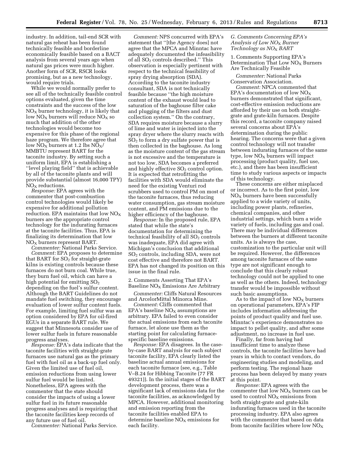industry. In addition, tail-end SCR with natural gas reheat has been found technically feasible and borderline economically feasible based on a BACT analysis from several years ago when natural gas prices were much higher. Another form of SCR, RSCR looks promising, but as a new technology, would require trials.

While we would normally prefer to see all of the technically feasible control options evaluated, given the time constraints and the success of the low  $NO<sub>x</sub>$  burner technology, it is likely that low  $NO<sub>X</sub>$  burners will reduce  $NO<sub>X</sub>$  so much that addition of the other technologies would become too expensive for this phase of the regional haze program. We therefore agree that low  $\overline{NO_X}$  burners at 1.2 lbs  $\overline{NO_X}$ / MMBTU represent BART for the taconite industry. By setting such a uniform limit, EPA is establishing a "level playing field" that is achievable by all of the taconite plants and will provide substantial (almost 16,000 TPY)  $NO<sub>X</sub>$  reductions.

*Response:* EPA agrees with the commenter that post-combustion control technologies would likely be expensive for additional pollution reduction. EPA maintains that low  $NO<sub>X</sub>$ burners are the appropriate control technology for the indurating furnaces at the taconite facilities. Thus, EPA is finalizing its determination that low  $NO<sub>x</sub>$  burners represent BART.

*Commenter:* National Parks Service. *Comment:* EPA proposes to determine that BART for  $SO<sub>2</sub>$  for straight-grate kilns is existing controls because these furnaces do not burn coal. While true, they burn fuel oil, which can have a high potential for emitting  $SO<sub>2</sub>$ depending on the fuel's sulfur content. Although the BART Guidelines do not mandate fuel switching, they encourage evaluation of lower sulfur content fuels. For example, limiting fuel sulfur was an option considered by EPA for oil-fired EGUs in a separate BART rule. We suggest that Minnesota consider use of lower sulfur fuels in future reasonable progress analyses.

*Response:* EPA's data indicate that the taconite facilities with straight-grate furnaces use natural gas as the primary fuel with fuel oil as a back-up fuel only. Given the limited use of fuel oil, emission reductions from using lower sulfur fuel would be limited. Nonetheless, EPA agrees with the commenter that the state should consider the impacts of using a lower sulfur fuel in its future reasonable progress analyses and is requiring that the taconite facilities keep records of any future use of fuel oil.

*Commenter:* National Parks Service.

*Comment:* NPS concurred with EPA's statement that ''[the Agency does] not agree that the MPCA and Minntac have adequately documented the infeasibility of all SO<sub>2</sub> controls described." This observation is especially pertinent with respect to the technical feasibility of spray drying absorption (SDA). According to the taconite industry consultant, SDA is not technically feasible because ''the high moisture content of the exhaust would lead to saturation of the baghouse filter cake and plugging of the filters and dust collection system.'' On the contrary, SDA requires moisture because a slurry of lime and water is injected into the spray dryer where the slurry reacts with  $SO<sub>2</sub>$  to form a dry sulfate power that is then collected in the baghouse. As long as the moisture content of the gas stream is not excessive and the temperature is not too low, SDA becomes a preferred and highly effective  $SO<sub>2</sub>$  control option. It is expected that retrofitting the facilities with SDA would eliminate the need for the existing Venturi rod scrubbers used to control PM on most of the taconite furnaces, thus reducing water consumption, gas stream moisture content, and PM emissions due to the higher efficiency of the baghouse.

*Response:* In the proposed rule, EPA stated that while the state's documentation for determining the technical feasibility of all  $SO<sub>2</sub>$  controls was inadequate, EPA did agree with Michigan's conclusion that additional SO2 controls, including SDA, were not cost effective and therefore not BART. EPA has not changed its position on this issue in the final rule.

2. Comments Asserting That EPA's Baseline  $NO<sub>x</sub>$  Emissions Are Arbitrary

*Commenter:* Cliffs Natural Resources and ArcelorMittal Minorca Mine.

*Comment:* Cliffs commented that EPA's baseline  $NO<sub>x</sub>$  assumptions are arbitrary. EPA failed to even consider the actual emissions from each taconite furnace, let alone use them as the starting point for calculating furnacespecific baseline emissions.

*Response:* EPA disagrees. In the caseby-case BART analysis for each subject taconite facility, EPA clearly listed the baseline actual annual emissions for each taconite furnace (see, e.g., Table V–B.24 for Hibbing Taconite (77 FR 49321)). In the initial stages of the BART development process, there was a significant lack of emissions data for the taconite facilities, as acknowledged by MPCA. However, additional monitoring and emission reporting from the taconite facilities enabled EPA to determine baseline  $NO<sub>x</sub>$  emissions for each facility.

# *G. Comments Concerning EPA's*  Analysis of Low NO<sub>X</sub> Burner *Technology as NO*X *BART*

1. Comments Supporting EPA's Determination That Low  $NO<sub>X</sub>$  Burners Are Technically Feasible

*Commenter:* National Parks Conservation Association.

*Comment:* NPCA commented that EPA's documentation of low  $NO_X$ burners demonstrated that significant, cost-effective emission reductions are afforded by their use on both straightgrate and grate-kiln furnaces. Despite this record, a taconite company raised several concerns about EPA's determination during the public hearing. The concerns were that a given control technology will not transfer between indurating furnaces of the same type, low  $NO<sub>x</sub>$  burners will impact processing (product quality, fuel use, etc.), and there has been insufficient time to study various aspects or impacts of this technology.

These concerns are either misplaced or incorrect. As to the first point, low  $NO<sub>x</sub>$  burners have been successfully applied to a wide variety of units, including power plants, refineries, chemical companies, and other industrial settings, which burn a wide variety of fuels, including gas and coal. There may be individual differences between the burners at different taconite units. As is always the case, customization to the particular unit will be required. However, the differences among taconite furnaces of the same type are not significant enough to conclude that this clearly robust technology could not be applied to one as well as the others. Indeed, technology transfer would be impossible without such basic assumptions.

As to the impact of low  $NO<sub>X</sub>$  burners on operational parameters, EPA's FIP includes information addressing the points of product quality and fuel use. Minntac's experience demonstrates no impact to pellet quality, and after some adjustment, no increase in fuel use.

Finally, far from having had insufficient time to analyze these controls, the taconite facilities have had years in which to contact vendors, do engineering studies and modeling, and perform testing. The regional haze process has been delayed by many years at this point.

*Response:* EPA agrees with the commenter that low  $NO<sub>x</sub>$  burners can be used to control  $NO<sub>x</sub>$  emissions from both straight-grate and grate-kiln indurating furnaces used in the taconite processing industry. EPA also agrees with the commenter that based on data from taconite facilities where low  $NO<sub>x</sub>$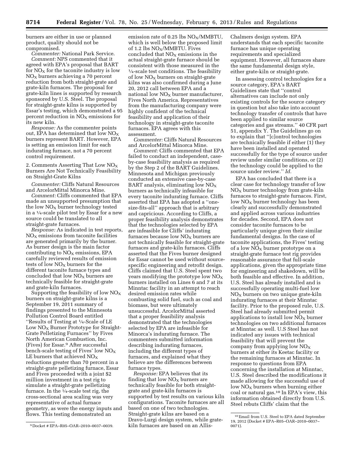burners are either in use or planned product, quality should not be compromised.

*Commenter:* National Park Service. *Comment:* NPS commented that it agreed with EPA's proposal that BART for  $NO<sub>X</sub>$  for the taconite industry is low  $NO<sub>x</sub>$  burners achieving a 70 percent reduction from both straight-grate and grate-kiln furnaces. The proposal for grate-kiln lines is supported by research sponsored by U.S. Steel. The proposal for straight-grate kilns is supported by Essar's testing, which demonstrated a 95 percent reduction in  $NO<sub>x</sub>$  emissions for its new kiln.

*Response:* As the commenter points out, EPA has determined that low  $NO_X$ burners represent BART. However, EPA is setting an emission limit for each indurating furnace, not a 70 percent control requirement.

2. Comments Asserting That Low  $NO<sub>X</sub>$ Burners Are Not Technically Feasibility on Straight-Grate Kilns

*Commenter:* Cliffs Natural Resources and ArcelorMittal Minorca Mine.

*Comment:* Cliffs commented that EPA made an unsupported presumption that the low  $NO<sub>X</sub>$  burner technology tested in a 1⁄4-scale pilot test by Essar for a new source could be translated to all straight-grate furnaces.

*Response:* As indicated in test reports,  $NO<sub>x</sub>$  emissions from taconite facilities are generated primarily by the burner. As burner design is the main factor contributing to  $NO<sub>x</sub>$  emissions, EPA carefully reviewed results of emission tests of low  $NO<sub>X</sub>$  burners for the different taconite furnace types and concluded that low  $NO<sub>X</sub>$  burners are technically feasible for straight-grate and grate-kiln furnaces.

Supporting the feasibility of low  $NO<sub>x</sub>$ burners on straight-grate kilns is a September 19, 2011 summary of findings presented to the Minnesota Pollution Control Board entitled ''Results of Testing at 1⁄4-Scale of LE Low NO<sub>X</sub> Burner Prototype for Straight-Grate Pelletizing Furnaces'' by Fives North American Combustion, Inc. (Fives) for Essar.9 After successful bench-scale testing of Fives' low  $NO_X$ LE burners that achieved  $\rm{NO_{X}}$ reductions greater than 70 percent in a straight-grate pelletizing furnace, Essar and Fives proceeded with a joint \$2 million investment in a test rig to simulate a straight-grate pelletizing furnace. In the 1⁄4-scale test rig, the cross-sectional area scaling was very representative of actual furnace geometry, as were the energy inputs and flows. This testing demonstrated an

emission rate of  $0.25$  lbs  $NO<sub>X</sub>/MMETU$ , which is well below the proposed limit of 1.2 lbs  $NO<sub>X</sub>/MMETU$ . Fives concluded that  $NO<sub>X</sub>$  emissions in the actual straight-grate furnace should be consistent with those measured in the  $\frac{1}{4}$ -scale test conditions. The feasibility of low  $NO_X$  burners on straight-grate kilns was also confirmed during a June 20, 2012 call between EPA and a national low  $NO<sub>x</sub>$  burner manufacturer, Fives North America. Representatives from the manufacturing company were highly confident of the technical feasibility and application of their technology in straight-grate taconite furnaces. EPA agrees with this assessment.

*Commenter:* Cliffs Natural Resources and ArcelorMittal Minorca Mine.

*Comment:* Cliffs commented that EPA failed to conduct an independent, caseby-case feasibility analysis as required by the Step 2 of the BART Guidelines. Minnesota and Michigan previously conducted an extensive case-by-case BART analysis, eliminating low  $NO<sub>X</sub>$ burners as technically infeasible for every taconite indurating furnace. Cliffs asserted that EPA has adopted a ''onesize-fits-all'' approach that is arbitrary and capricious. According to Cliffs, a proper feasibility analysis demonstrates that the technologies selected by EPA are infeasible for Cliffs' indurating furnaces because low  $NO<sub>x</sub>$  burners are not technically feasible for straight-grate furnaces and grate-kiln furnaces. Cliffs asserted that the Fives burner designed for Essar cannot be used without sourcespecific engineering and retrofit design. Cliffs claimed that U.S. Steel spent two years modifying the prototype low  $NO<sub>x</sub>$ burners installed on Lines 6 and 7 at its Minntac facility in an attempt to reach desired emission rates while combusting solid fuel, such as coal and biomass, but were ultimately unsuccessful. ArcelorMittal asserted that a proper feasibility analysis demonstrated that the technologies selected by EPA are infeasible for Minorca's indurating furnace. The commenters submitted information describing indurating furnaces, including the different types of furnaces, and explained what they believe are the differences between furnace types.

*Response:* EPA believes that its finding that low  $NO<sub>x</sub>$  burners are technically feasible for both straightgrate and grate-kiln furnaces is supported by test results on various kiln configurations. Taconite furnaces are all based on one of two technologies. Straight-grate kilns are based on a Dravo-Lurgi design system, while gratekiln furnaces are based on an AllisChalmers design system. EPA understands that each specific taconite furnace has unique operating requirements and specialized equipment. However, all furnaces share the same fundamental design style, either grate-kiln or straight-grate.

In assessing control technologies for a source category, EPA's BART Guidelines state that ''control alternatives can include not only existing controls for the source category in question but also take into account technology transfer of controls that have been applied to similar source categories and gas streams.'' 40 CFR part 51, appendix Y. The Guidelines go on to explain that ''[c]ontrol technologies are technically feasible if either (1) they have been installed and operated successfully for the type of source under review under similar conditions, or (2) the technology could be applied to the source under review.'' *Id.* 

EPA has concluded that there is a clear case for technology transfer of low  $NO<sub>x</sub>$  burner technology from grate-kiln furnaces to straight-grate furnaces. First,  $low NO<sub>X</sub>$  burner technology has been clearly and successfully demonstrated and applied across various industries for decades. Second, EPA does not consider taconite furnaces to be particularly unique given their similar fundamental designs. In the case of taconite applications, the Fives' testing of a low  $NO<sub>X</sub>$  burner prototype on a straight-grate furnace test rig provides reasonable assurance that full-scale applications, given the appropriate time for engineering and shakedown, will be both feasible and effective. In addition, U.S. Steel has already installed and is successfully operating multi-fuel low  $NO<sub>x</sub>$  burners on two unique grate-kiln indurating furnaces at their Minntac facility. Prior to the proposed rule, U.S. Steel had already submitted permit applications to install low  $NO<sub>X</sub>$  burner technologies on two additional furnaces at Minntac as well. U.S Steel has not indicated any issues with technical feasibility that will prevent the company from applying low  $NO<sub>x</sub>$ burners at either its Keetac facility or the remaining furnaces at Minntac. In response to questions from EPA concerning the installation at Minntac, U.S. Steel described the modifications it made allowing for the successful use of low  $NO<sub>x</sub>$  burners when burning either coal or natural gas.10 In EPA's view, this information obtained directly from U.S. Steel rebuts Cliffs' claim that the

<sup>9</sup> Docket # EPA–R05–OAR–2010–0037–0039.

<sup>10</sup>Email from U.S. Steel to EPA dated September 19, 2012 (Docket # EPA–R05–OAR–2010–0037– 0071).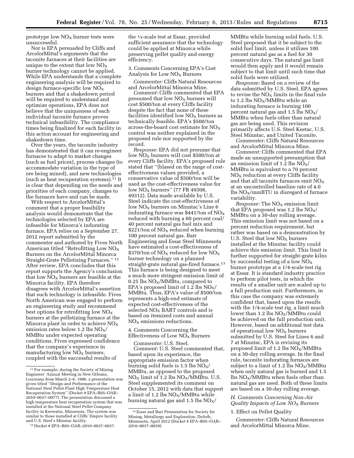prototype low  $NO<sub>x</sub>$  burner tests were unsuccessful.

Nor is EPA persuaded by Cliffs and ArcelorMittal's arguments that the taconite furnaces at their facilities are unique to the extent that low  $NO<sub>x</sub>$ burner technology cannot be applied. While EPA understands that a complete engineering analysis will be required to design furnace-specific low  $NO<sub>x</sub>$ burners and that a shakedown period will be required to understand and optimize operations, EPA does not believe that the uniqueness of each individual taconite furnace proves technical infeasibility. The compliance times being finalized for each facility in this action account for engineering and shakedown time.

Over the years, the taconite industry has demonstrated that it can re-engineer furnaces to adapt to market changes (such as fuel prices), process changes (to accommodate variation in the type of ore being mined), and new technologies (such as heat recuperation systems).11 It is clear that depending on the needs and priorities of each company, changes to the furnaces have and can be made.

With respect to ArcelorMittal's comment that a proper feasibility analysis would demonstrate that the technologies selected by EPA are infeasible for Minorca's indurating furnace, EPA relies on a September 27, 2012 report submitted by the commenter and authored by Fives North American titled "Retrofitting Low  $NO<sub>x</sub>$ Burners on the ArcelorMittal Minorca Straight-Grate Pelletizing Furnaces.'' 12 After review, EPA concludes that this report supports the Agency's conclusion that low  $NO<sub>X</sub>$  burners are feasible at the Minorca facility. EPA therefore disagrees with ArcelorMittal's assertion that such technology is infeasible. Fives North American was engaged to perform an engineering study and recommend best options for retrofitting low  $NO<sub>x</sub>$ burners at the pelletizing furnace at the Minorca plant in order to achieve  $NO<sub>x</sub>$ emission rates below 1.2 lbs  $NO<sub>X</sub>/$ MMBtu under expected operating conditions. Fives expressed confidence that the company's experience in manufacturing low  $N\overline{O}_X$  burners, coupled with the successful results of

the 1⁄4-scale test at Essar, provided sufficient assurance that the technology could be applied at Minorca while preserving pellet quality and energy efficiency.

3. Comments Concerning EPA's Cost Analysis for Low  $NO<sub>x</sub>$  Burners

*Commenter:* Cliffs Natural Resources and ArcelorMittal Minorca Mine.

*Comment:* Cliffs commented that EPA presumed that low  $NO<sub>x</sub>$  burners will cost \$500/ton at every Cliffs facility despite the fact that none of these facilities identified low  $NO<sub>x</sub>$  burners as technically feasible. EPA's \$500/ton across-the-board cost estimate for NOX control was neither explained in the proposed rule nor supported by the record.

*Response:* EPA did not presume that low  $NO<sub>X</sub>$  burners will cost \$500/ton at every Cliffs facility. EPA's proposed rule stated that ''[b]ased on the range of costeffectiveness values provided, a conservative value of \$500/ton will be used as the cost-effectiveness value for low  $NO<sub>X</sub>$  burners" (77 FR 49308, 49312). Data made available by U.S. Steel indicate the cost-effectiveness of low  $NO<sub>X</sub>$  burners on Minntac's Line 6 indurating furnace was  $$441/t$ on of  $NO<sub>x</sub>$ reduced with burning a 60 percent coal/ 40 percent natural gas fuel mix and \$221/ton of  $NO<sub>x</sub>$  reduced when burning 100 percent natural gas. Barr Engineering and Essar Steel Minnesota have estimated a cost-effectiveness of \$370/ton of  $NO<sub>x</sub>$  reduced for low  $NO<sub>x</sub>$ burner technology on a planned straight-grate natural gas-fired furnace.13 This furnace is being designed to meet a much more stringent emission limit of 0.25 lbs  $NO<sub>X</sub>/MMB$ tu, compared to EPA's proposed limit of 1.2 lbs  $NO_X/$ MMBtu. Thus, EPA's value of \$500/ton represents a high-end estimate of expected cost-effectiveness of the selected  $NO<sub>X</sub>$  BART controls and is based on itemized costs and annual  $NO<sub>x</sub>$  emissions reductions.

# 4. Comments Concerning the Effectiveness of Low  $NO<sub>x</sub>$  Burners

*Commenter:* U.S. Steel.

*Comment:* U.S. Steel commented that, based upon its experience, the appropriate emission factor when burning solid fuels is 1.5 lbs  $NO_X/$ MMBtu, as opposed to the proposed  $NO<sub>X</sub>$  limit of 1.2 lbs  $NO<sub>X</sub>/MMB$ tu. U.S. Steel supplemented its comment on October 15, 2012 with data that support a limit of 1.2 lbs  $NO_X/MM$ Btu while burning natural gas and 1.5 lbs  $NO<sub>X</sub>/$ 

MMBtu while burning solid fuels. U.S. Steel proposed that it be subject to the solid fuel limit, unless it utilizes 100 percent natural gas as a fuel for 30 consecutive days. The natural gas limit would then apply and it would remain subject to that limit until such time that solid fuels were utilized.

*Response:* Based on a review of the data submitted by U.S. Steel, EPA agrees to revise the  $NO_X$  limits in the final rule to 1.2 lbs  $NO<sub>X</sub>/MMB$ tu while an indurating furnace is burning 100 percent natural gas and 1.5 lbs  $NO_X/$ MMBtu when fuels other than natural gas are being used. This revision primarily affects U.S. Steel Keetac, U.S. Steel Minntac, and United Taconite.

*Commenter:* Cliffs Natural Resources and ArcelorMittal Minorca Mine.

*Comment:* Cliffs commented that EPA made an unsupported presumption that an emission limit of 1.2 lbs  $NO_X/$ MMBtu is equivalent to a 70 percent  $NO<sub>X</sub>$  reduction at every Cliffs facility and that all taconite furnaces emit  $\overline{NO_X}$ at an uncontrolled baseline rate of 4.0 lbs  $NO<sub>X</sub>/mmBTU$  in disregard of furnace variability.

*Response:* The NO<sub>X</sub> emission limit that EPA proposed was 1.2 lbs  $NO_X/$ MMBtu on a 30-day rolling average. This emission limit was not based on a percent reduction requirement, but rather was based on a demonstration by U.S. Steel that low  $NO<sub>x</sub>$  burners installed at the Minntac facility could achieve this emission limit. This limit is further supported for straight-grate kilns by successful testing of a low  $NO_X$ burner prototype at a 1/4-scale test rig at Essar. It is standard industry practice to perform pilot tests, in which the results of a smaller unit are scaled up to a full production unit. Furthermore, in this case the company was extremely confident that, based upon the results with the 1/4-scale test rig, a limit much lower than 1.2 lbs  $NO_X/MMBt$ u could be achieved on the full production unit. However, based on additional test data of operational low  $NO<sub>x</sub>$  burners submitted by U.S. Steel for Lines 6 and 7 at Minntac, EPA is revising its proposed limit of 1.2 lbs  $NO<sub>X</sub>/M$ Mon a 30-day rolling average. In the final rule, taconite indurating furnaces are subject to a limit of 1.2 lbs  $NO_X/MM$ Btu when only natural gas is burned and 1.5 lbs  $\rm{NO_{X}/MMB}$  when fuels other than natural gas are used. Both of these limits are based on a 30-day rolling average.

# *H. Comments Concerning Non-Air Quality Impacts of Low NO*X *Burners*

# 1. Effect on Pellet Quality

*Commenter:* Cliffs Natural Resources and ArcelorMittal Minorca Mine.

<sup>11</sup>For example, during the Society of Mining Engineers' Annual Meeting in New Orleans, Louisiana from March 2–6, 1986, a presentation was given titled ''Design and Performance of the National Steel Pellet Plant High Temperature Heat Recuperation System'' (Docket # EPA–R05–OAR– 2010–0037–0077). The presentation discussed a high temperature heat recuperation system that was installed at the National Steel Pellet Company facility in Keewatin, Minnesota. The system was similar to those installed at Cliffs' Empire facility and U.S. Steel's Minntac facility.

<sup>12</sup> Docket # EPA–R05–OAR–2010–0037–0037.

<sup>13</sup>Essar and Barr Presentation for Society for Mining, Metallurgy and Exploration, Duluth, Minnesota, April 2012 (Docket # EPA–R05–OAR– 2010–0037–0039).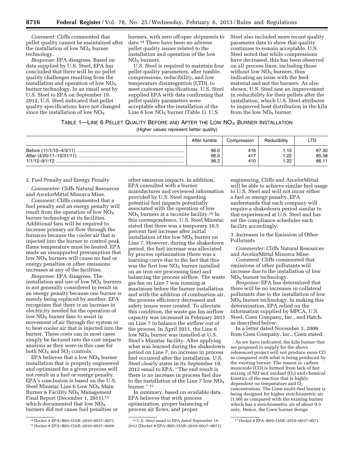*Comment:* Cliffs commented that pellet quality cannot be maintained after the installation of low  $NO<sub>x</sub>$  burner technology.

*Response:* EPA disagrees. Based on data supplied by U.S. Steel, EPA has concluded that there will be no pellet quality challenges resulting from the installation and operation of low  $NO<sub>x</sub>$ burner technology. In an email sent by U.S. Steel to EPA on September 19, 2012, U.S. Steel indicated that pellet quality specifications have not changed since the installation of low  $NO<sub>x</sub>$ 

burners, with zero off-spec shipments to date.14 There have been no adverse pellet quality issues related to the installation and operation of the low  $NO<sub>X</sub>$  burners.

U.S. Steel is required to maintain four pellet quality parameters, after tumble, compressions, reducibility, and low temperature disintegration (LTD), to meet customer specifications. U.S. Steel supplied EPA with data confirming that pellet quality parameters were acceptable after the installation of the Line 6 low  $NO<sub>X</sub>$  burner (Table 1). U.S.

Steel also included more recent quality parameter data to show that quality continues to remain acceptable. U.S. Steel noted that while compressions have decreased, this has been observed on all process lines, including those without low  $NO<sub>x</sub>$  burners, thus indicating an issue with the feed material and not the burners. As also shown, U.S. Steel saw an improvement in reducibility for their pellets after the installation, which U.S. Steel attributes to improved heat distribution in the kiln from the low  $NO<sub>X</sub>$  burner.

# TABLE 1-LINE 6 PELLET QUALITY BEFORE AND AFTER THE LOW NO<sub>X</sub> BURNER INSTALLATION

<sup>(</sup>Higher values represent better quality)

|                                                                          | After tumble         | Compression       | Reducibility  | LTD                     |
|--------------------------------------------------------------------------|----------------------|-------------------|---------------|-------------------------|
| Before (11/1/10-4/3/11)<br>After (4/20/11-10/31/11)<br>$1/1/12 - 9/1/12$ | 96.0<br>96.0<br>96.2 | 416<br>417<br>410 | ററ<br>.<br>ററ | 87.30<br>85.58<br>86.11 |

# 2. Fuel Penalty and Energy Penalty

*Commenter:* Cliffs Natural Resources and ArcelorMittal Minorca Mine.

*Comment:* Cliffs commented that a fuel penalty and an energy penalty will result from the operation of low  $NO<sub>x</sub>$ burner technology at its facilities. Additional fans will be required to increase primary air flow through the furnaces because the cooler air that is injected into the burner to control peak flame temperature must be heated. EPA made an unsupported presumption that low  $NO<sub>X</sub>$  burners will cause no fuel or energy penalties or other emissions increases at any of the facilities.

*Response:* EPA disagrees. The installation and use of low  $NO<sub>x</sub>$  burners is not generally considered to result in an energy penalty because one burner is merely being replaced by another. EPA recognizes that there is an increase in electricity needed for the operation of low  $NO<sub>X</sub>$  burner fans to assist in movement of air through the system or to heat cooler air that is injected into the burner. These costs can in most cases simply be factored into the cost impacts analysis as they were in this case for both  $NO<sub>x</sub>$  and  $SO<sub>2</sub>$  controls.

EPA believes that a low  $NO<sub>x</sub>$  burner installation that is properly engineered and optimized for a given process will not result in a fuel or energy penalty. EPA's conclusion is based on the U.S. Steel Minntac Line  $6$  Low  $NO<sub>x</sub>$  Main Burner & Facility  $NO<sub>x</sub>$  Management Final Report (December 1, 2011),15 which documented that low  $NO<sub>X</sub>$ burners did not cause fuel penalties or

other emission impacts. In addition, EPA consulted with a burner manufacturer and reviewed information provided by U.S. Steel regarding potential fuel impacts potentially associated with the operation of low  $NO<sub>x</sub>$  burners at a taconite facility.<sup>16</sup> In this correspondence, U.S. Steel Minntac stated that there was a temporary 10.5 percent fuel increase after initial installation of the low  $NO<sub>x</sub>$  burner on Line 7. However, during the shakedown period, the fuel increase was alleviated by process optimization (there was a learning curve due to the fact that this was the first low  $NO<sub>x</sub>$  burner installed on an iron ore processing line) and balancing the process airflow. The waste gas fan on Line 7 was running at maximum before the burner installation and with the addition of combustion air, the process efficiency decreased and safety issues were created. To alleviate this condition, the waste gas fan airflow capacity was increased in February 2011 on Line 7 to balance the airflow out of the process. In April 2011, the Line 6 low  $NO<sub>x</sub>$  burner was installed at U.S. Steel's Minntac facility. After applying what was learned during the shakedown period on Line 7, no increase in process fuel occurred after the installation. U.S. Steel clearly states in its September 19, 2012 email to EPA, ''The end result is there is no increase in process fuel due to the installation of the Line 7 low  $NO_X$ burner.'' 17

In summary, based on available data, EPA believes that with process optimization, proper balancing of process air flows, and proper

engineering, Cliffs and ArcelorMittal will be able to achieve similar fuel usage to U.S. Steel and will not incur either a fuel or energy penalty. EPA understands that each company will require a shakedown period similar to that experienced at U.S. Steel and has set the compliance schedules each facility accordingly.

3. Increases in the Emission of Other Pollutants

*Commenter:* Cliffs Natural Resources and ArcelorMittal Minorca Mine.

*Comment:* Cliffs commented that emissions of other pollutants will increase due to the installation of low  $NO<sub>x</sub>$  burner technology.

*Response:* EPA has determined that there will be no increases in collateral pollutants due to the installation of low  $NO<sub>X</sub>$  burner technology. In making this determination, EPA relied on the information supplied by MPCA, U.S. Steel, Coen Company, Inc., and Hatch, as described below.

In a letter dated November 3, 2009 from Coen Company, Inc., Coen stated:

As we have indicated, the kiln burner that we proposed to supply for the above referenced project will not produce more CO as compared with what is being produced by the existing burner. The reason is: carbon monoxide (CO) is formed from lack of fast mixing of NO and oxidant  $(O_2)$  and chemical kinetics of the reaction that is highly dependent on temperature and  $\overline{O}_2$ concentration. The Coen multi-fuel burner is being designed for higher stoichiometric air (1.00) as compared with the existing burner which has a stoichiometric air of about 0.3 only. Hence, the Coen burner design

<sup>14</sup> Docket # EPA–R05–OAR–2010–0037–0071. 15 Docket # EPA–R05–OAR–2010–0037–0039.

<sup>16</sup>U.S. Steel email to EPA dated September 19, 2012 (Docket # EPA–R05–OAR–2010–0037–0071).

<sup>17</sup> Docket # EPA–R05–OAR–2010–0037–0071.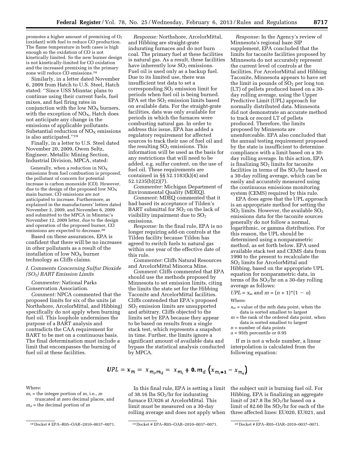promotes a higher amount of premixing of  $O<sub>2</sub>$ (oxidant) with fuel to reduce CO production. The flame temperature in both cases is high enough so the oxidation of CO is not kinetically limited. So the new burner design is not kinetically-limited for CO oxidation and the increased premixing in the primary zone will reduce CO emissions.18

Similarly, in a letter dated November 6, 2009 from Hatch to U.S. Steel, Hatch stated: ''Since USS Minntac plans to continue using their current fuels, fuel mixes, and fuel firing rates in conjunction with the low  $NO<sub>x</sub>$  burners, with the exception of  $NO<sub>X</sub>$ , Hatch does not anticipate any change in the emissions of applicable pollutants. Substantial reduction of  $NO<sub>x</sub>$  emissions is also anticipated.''19

Finally, in a letter to U.S. Steel dated November 20, 2009, Owen Seltz, Engineer, Metallic Mining Section, Industrial Division, MPCA, stated:

Generally, when a reduction in  $NO<sub>x</sub>$ emissions from fuel combustion is proposed, the pollutant of concern for potential increase is carbon monoxide (CO). However, due to the design of the proposed low  $NO<sub>x</sub>$ main burner, CO emissions are not anticipated to increase. Furthermore, as explained in the manufacturers' letters dated November 3, 2009, and November 6, 2009 and submitted to the MPCA in Minntac's November 12, 2009 letter, due to the design and operation of the proposed burner, CO emissions are expected to decrease.<sup>20</sup>

Based on these assurances, EPA is confident that there will be no increases in other pollutants as a result of the installation of low  $NO<sub>x</sub>$  burner technology as Cliffs claims.

# *I. Comments Concerning Sulfur Dioxide (SO*2*) BART Emission Limits*

*Commenter:* National Parks Conservation Association.

*Comment:* NPCA commented that the proposed limits for six of the units (at Northshore, ArcelorMittal, and Hibbing) specifically do not apply when burning fuel oil. This loophole undermines the purpose of a BART analysis and contradicts the CAA requirement for BART to be met on a continuous basis. The final determination must include a limit that encompasses the burning of fuel oil at these facilities.

Where:

*Response:* Northshore, ArcelorMittal, and Hibbing are straight-grate indurating furnaces and do not burn coal. The primary fuel at these facilities is natural gas. As a result, these facilities have inherently low  $SO<sub>2</sub>$  emissions. Fuel oil is used only as a backup fuel. Due to its limited use, there was insufficient test data to set a corresponding  $SO<sub>2</sub>$  emission limit for periods when fuel oil is being burned. EPA set the  $SO<sub>2</sub>$  emission limits based on available data. For the straight-grate facilities, data was only available for periods in which the furnaces were combusting natural gas. In order to address this issue, EPA has added a regulatory requirement for affected sources to track their use of fuel oil and the resulting  $SO<sub>2</sub>$  emissions. This information will be used as the basis for any restrictions that will need to be added, e.g. sulfur content, on the use of fuel oil. These requirements are contained in §§ 52.1183(k)(4) and 52.1235(b)(2)(7).

*Commenter:* Michigan Department of Environmental Quality (MDEQ).

*Comment:* MDEQ commented that it had based its acceptance of Tilden's BART submittal for  $SO<sub>2</sub>$  on the lack of visibility impairment due to  $SO<sub>2</sub>$ emissions.

*Response:* In the final rule, EPA is no longer requiring add-on controls at the Tilden facility because Tilden has agreed to switch fuels to natural gas within one year of the effective date of this rule.

*Commenter:* Cliffs Natural Resources and ArcelorMittal Minorca Mine.

*Comment:* Cliffs commented that EPA should use the methods proposed by Minnesota to set emission limits, citing the limits the state set for the Hibbing Taconite and ArcelorMittal facilities. Cliffs contended that EPA's proposed SO2 emission limits are unsupported and arbitrary. Cliffs objected to the limits set by EPA because they appear to be based on results from a single stack test, which represents a snapshot in time. Further, the limits ignore a significant amount of available data and bypass the statistical analysis conducted by MPCA.

*Response:* In the Agency's review of Minnesota's regional haze SIP supplement, EPA concluded that the limits for taconite facilities proposed by Minnesota do not accurately represent the current level of controls at the facilities. For ArcelorMittal and Hibbing Taconite, Minnesota appears to have set the limit in pounds of  $SO<sub>2</sub>$  per long ton (LT) of pellets produced based on a 30 day rolling average, using the Upper Predictive Limit (UPL) approach for normally distributed data. Minnesota did not demonstrate an accurate method to track or record LT of pellets produced. Therefore, the limits proposed by Minnesota are unenforceable. EPA also concluded that the annual testing requirement proposed by the state is insufficient to determine compliance with a limit based on a 30 day rolling average. In this action, EPA is finalizing  $SO<sub>2</sub>$  limits for taconite facilities in terms of lbs  $SO_2/hr$  based on a 30-day rolling average, which can be easily and accurately measured using the continuous emissions monitoring system (CEMS) required by this rule.

EPA does agree that the UPL approach is an appropriate method for setting the  $SO<sub>2</sub>$  limits. However, the available  $SO<sub>2</sub>$ emissions data for the taconite sources generally do not follow a normal, logarithmic, or gamma distribution. For this reason, the UPL should be determined using a nonparametric method, as set forth below. EPA used available stack test and CEMS data from 1990 to the present to recalculate the SO<sub>2</sub> limits for ArcelorMittal and Hibbing, based on the appropriate UPL equation for nonparametric data, in terms of lbs  $SO_2$ / $\hbox{hr}$  on a 30-day rolling average as follows:

# $UPL = x_m$  and  $m = (n + 1) * (1 - a)$

Where:

- $x_m$  = value of the mth data point, when the data is sorted smallest to largest
- *m* = the rank of the ordered data point, when data is sorted smallest to largest
- *n* = number of data points
- $a = 95$ th percentile or 0.95

If *m* is not a whole number, a linear interpolation is calculated from the following equation:

$$
UPL = x_m = x_{m_i, m_d} = x_{m_i} + \mathbf{0}.m_d \left( x_{m_i + 1} - x_{m_i} \right)
$$

 $\lambda$ 

In this final rule, EPA is setting a limit of 38.16 lbs  $SO_2$ /hr for indurating furnace EU026 at ArcelorMittal. This limit must be measured on a 30-day rolling average and does not apply when

the subject unit is burning fuel oil. For Hibbing, EPA is finalizing an aggregate limit of 247.8 lbs  $SO_2$ /hr based on a limit of 82.60 lbs  $SO_2$ /hr for each of the three affected lines: EU020, EU021, and

 $m_i$  = the integer portion of  $m$ , *i.e.*,  $m$ truncated at zero decimal places, and  $m_d$  = the decimal portion of *m* 

<sup>18</sup> Docket # EPA–R05–OAR–2010–0037–0071. 19 Docket # EPA–R05–OAR–2010–0037–0071. 20 Docket # EPA–R05–OAR–2010–0037–0071.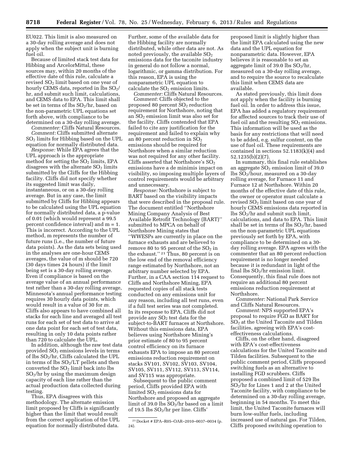EU022. This limit is also measured on a 30-day rolling average and does not apply when the subject unit is burning fuel oil.

Because of limited stack test data for Hibbing and ArcelorMittal, these sources may, within 20 months of the effective date of this rule, calculate a revised  $SO<sub>2</sub>$  limit based on one year of hourly CEMS data, reported in  $\text{lbs }SO_2/$ hr, and submit such limit, calculations, and CEMS data to EPA. This limit shall be set in terms of lbs  $SO_2/hr$ , based on the non-parametric UPL equations set forth above, with compliance to be determined on a 30-day rolling average.

*Commenter:* Cliffs Natural Resources. *Comment:* Cliffs submitted alternate SO2 limits for Hibbing based on the UPL equation for normally distributed data.

*Response:* While EPA agrees that the UPL approach is the appropriate method for setting the  $SO<sub>2</sub>$  limits, EPA disagrees with the alternate  $SO<sub>2</sub>$  limits submitted by the Cliffs for the Hibbing facility. Cliffs did not specify whether its suggested limit was daily, instantaneous, or on a 30-day rolling average. But in any case, the limit submitted by Cliffs for Hibbing appears to be calculated using the UPL equation for normally distributed data, a p-value of 0.01 (which would represent a 99.5 percent confidence interval) and m = 1. This is incorrect. According to the UPL method, m represents the number of future runs (i.e., the number of future data points). As the data sets being used in the analyses are one-hour CEMS averages, the value of m should be 720 (30 days times 24 hours) if the limit being set is a 30-day rolling average. Even if compliance is based on the average value of an annual performance test rather than a 30-day rolling average, Minnesota's annual performance testing requires 30 hourly data points, which would result in a value of 30 for *m.*  Cliffs also appears to have combined all stacks for each line and averaged all test runs for each set of test data to arrive at one data point for each set of test data, resulting in only 10 data points rather than 720 to calculate the UPL.

In addition, although the raw test data provided  $SO<sub>2</sub>$  emissions levels in terms of lbs  $SO_2$ /hr, Cliffs calculated the UPL in terms of lbs  $SO<sub>2</sub>/LT$  pellets and then converted the  $SO<sub>2</sub>$  limit back into lbs  $SO<sub>2</sub>/hr$  by using the maximum design capacity of each line rather than the actual production data collected during testing.

Thus, EPA disagrees with this methodology. The alternate emission limit proposed by Cliffs is significantly higher than the limit that would result from the correct application of the UPL equation for normally distributed data.

Further, some of the available data for the Hibbing facility are normally distributed, while other data are not. As noted previously, the available  $SO<sub>2</sub>$ emissions data for the taconite industry in general do not follow a normal, logarithmic, or gamma distribution. For this reason, EPA is using the nonparametric UPL equation to calculate the  $SO<sub>2</sub>$  emission limits.

*Commenter:* Cliffs Natural Resources. *Comment:* Cliffs objected to the proposed 80 percent  $SO<sub>2</sub>$  reduction requirement for Northshore, noting that an SO2 emission limit was also set for the facility. Cliffs contended that EPA failed to cite any justification for the requirement and failed to explain why an 80 percent reduction in  $SO<sub>2</sub>$ emissions should be required for Northshore when a similar reduction was not required for any other facility. Cliffs asserted that Northshore's SO<sub>2</sub> emissions have a de minimis impact on visibility, so imposing multiple layers of control requirements would be arbitrary and unnecessary.

*Response:* Northshore is subject to BART based on the visibility impacts that were described in the proposal rule. The document entitled ''Northshore Mining Company Analysis of Best Available Retrofit Technology (BART)'' submitted to MPCA on behalf of Northshore Mining states that ''WWESPs are currently in place on the furnace exhausts and are believed to remove 80 to 95 percent of the  $SO<sub>2</sub>$  in the exhaust.'' 21 Thus, 80 percent is on the low end of the removal efficiency range estimated by Northshore, not an arbitrary number selected by EPA. Further, in a CAA section 114 request to Cliffs and Northshore Mining, EPA requested copies of all stack tests conducted on any emissions unit for any reason, including all test runs, even if a full test series was not completed. In its response to EPA, Cliffs did not provide any  $SO<sub>2</sub>$  test data for the subject-to-BART furnaces at Northshore. Without this emissions data, EPA believes using Northshore Mining's prior estimate of 80 to 95 percent control efficiency on its furnace exhausts EPA to impose an 80 percent emissions reduction requirement on stacks SV101, SV102, SV103, SV104, SV105, SV111, SV112, SV113, SV114, and SV115 was appropriate.

Subsequent to the public comment period, Cliffs provided EPA with limited  $SO<sub>2</sub>$  emissions data for Northshore and proposed an aggregate limit of 39.0 lbs  $SO_2$ /hr based on a limit of 19.5 lbs  $SO_2$ /hr per line. Cliffs'

proposed limit is slightly higher than the limit EPA calculated using the new data and the UPL equation for nonparametric data. However, EPA believes it is reasonable to set an aggregate limit of 39.0 lbs  $SO_2/hr$ , measured on a 30-day rolling average, and to require the source to recalculate this limit when CEMS data are available.

As stated previously, this limit does not apply when the facility is burning fuel oil. In order to address this issue, EPA has added a regulatory requirement for affected sources to track their use of fuel oil and the resulting  $SO<sub>2</sub>$  emissions. This information will be used as the basis for any restrictions that will need to be added, e.g. sulfur content, on the use of fuel oil. These requirements are contained in sections 52.1183(k)(4) and 52.1235(b)(2)(7).

In summary, this final rule establishes an aggregate  $SO<sub>2</sub>$  emission limit of 39.0 lbs SO2/hour, measured on a 30-day rolling average, for Furnace 11 and Furnace 12 at Northshore. Within 20 months of the effective date of this rule, the owner or operator must calculate a revised SO2 limit based on one year of hourly CEMS emissions data reported in  $\frac{1}{10}$  SO<sub>2</sub>/hr and submit such limit, calculations, and data to EPA. This limit shall be set in terms of lbs  $SO_2/hr$ , based on the non-parametric UPL equations previously set forth by EPA, with compliance to be determined on a 30 day rolling average. EPA agrees with the commenter that an 80 percent reduction requirement is no longer needed because it is redundant in light of the final lbs  $SO_2$ /hr emission limit. Consequently, this final rule does not require an additional 80 percent emissions reduction requirement at Northshore.

*Commenter:* National Park Service and Cliffs Natural Resources.

*Comment:* NPS supported EPA's proposal to require FGD as BART for SO2 at the United Taconite and Tilden facilities, agreeing with EPA's costeffectiveness calculations.

Cliffs, on the other hand, disagreed with EPA's cost-effectiveness calculations for the United Taconite and Tilden facilities. Subsequent to the public comment period, Cliffs proposed switching fuels as an alternative to installing FGD scrubbers. Cliffs proposed a combined limit of 529 lbs SO2/hr for Lines 1 and 2 at the United Taconite facility, with compliance to be determined on a 30-day rolling average, beginning in 54 months. To meet this limit, the United Taconite furnaces will burn low-sulfur fuels, including increased use of natural gas. For Tilden, Cliffs proposed switching operation to

<sup>21</sup> Docket # EPA–R05–OAR–2010–0037–0034 (p. 24).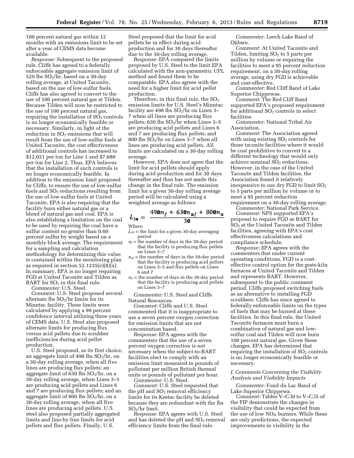100 percent natural gas within 12 months with an emissions limit to be set after a year of CEMS data become available.

*Response:* Subsequent to the proposed rule, Cliffs has agreed to a federally enforceable aggregate emission limit of 529 lbs  $SO_2/hr$ , based on a 30-day rolling average, at United Taconite, based on the use of low-sulfur fuels. Cliffs has also agreed to convert to the use of 100 percent natural gas at Tilden. Because Tilden will now be restricted to the use of 100 percent natural gas, requiring the installation of  $SO<sub>2</sub>$  controls is no longer economically feasible or necessary. Similarly, in light of the reduction in  $SO<sub>2</sub>$  emissions that will result from the use of low-sulfur fuels at United Taconite, the cost effectiveness of additional controls has increased to \$12,021 per ton for Line 1 and \$7,680 per ton for Line 2. Thus, EPA believes that the installation of such controls is no longer economically feasible. In addition to the emission limit proposed by Cliffs, to ensure the use of low-sulfur fuels and SO2 reductions resulting from the use of low-sulfur fuels at United Taconite, EPA is also requiring that the facility burn either natural gas or a blend of natural gas and coal. EPA is also establishing a limitation on the coal to be used by requiring the coal have a sulfur content no greater than 0.60 percent sulfur by weight based on a monthly block average. The requirement for a sampling and calculation methodology for determining this value is contained within the monitoring plan as required in section  $52.1235(e)(8)(x)$ . In summary, EPA is no longer requiring FGD at United Taconite and Tilden as BART for  $SO<sub>2</sub>$  in this final rule.

*Commenter:* U.S. Steel.

*Comment:* U.S. Steel proposed several alternate lbs  $SO_2$ /hr limits for its Minntac facility. These limits were calculated by applying a 99 percent confidence interval utilizing three years of CEMS data. U.S. Steel also proposed alternate limits for producing flux versus acid pellets due to scrubber inefficiencies during acid pellet production.

U.S. Steel proposed, as its first choice, an aggregate limit of 498 lbs  $SO<sub>2</sub>/hr$ , on a 30-day rolling average, when all five lines are producing flux pellets; an aggregate limit of 630 lbs  $SO<sub>2</sub>/hr$ , on a 30-day rolling average, when Lines 3–5 are producing acid pellets and Lines 6 and 7 are producing flux pellets; and an aggregate limit of 800 lbs  $SO_2/hr$ , on a 30-day rolling average, when all five lines are producing acid pellets. U.S. steel also proposed partially aggregated limits and line-by-line limits for acid pellets and flux pellets. Finally, U.S.

Steel proposed that the limit for acid pellets be in effect during acid production and for 30 days thereafter due to the 30-day rolling average.

*Response:* EPA compared the limits proposed by U.S. Steel to the limit EPA calculated with the non-parametric UPL method and found them to be comparable. EPA also agrees with the need for a higher limit for acid pellet production.

Therefore, in this final rule, the  $SO<sub>2</sub>$ emission limits for U.S. Steel's Minntac facility are 498 lbs  $SO_2$ /hr on Lines 3– 7 when all lines are producing flux pellets; 630 lbs  $SO_2$ /hr when Lines 3–5 are producing acid pellets and Lines 6 and 7 are producing flux pellets; and 800 lbs SO2/hr on Lines 3–7 when all lines are producing acid pellets. All limits are calculated on a 30-day rolling average.

However, EPA does not agree that the limit for acid pellets should apply during acid production and for 30 days thereafter and thus has not made this change in the final rule. The emission limit for a given 30-day rolling average period will be calculated using a weighted average as follows:

$$
L_{3\text{O}} = \frac{498n_f + 630n_{af} + 800n_a}{30}
$$

# Where:

- $L_{30}$  = the limit for a given 30-day averaging period
- $n_f$  = the number of days in the 30-day period that the facility is producing flux pellets on Lines 3–7
- *naf* = the number of days in the 30-day period that the facility is producing acid pellets on Lines 3–5 and flux pellets on Lines 6 and 7
- $n_a$  = the number of days in the 30-day period that the facility is producing acid pellets on Lines 3–7

*Commenter:* U.S. Steel and Cliffs Natural Resources.

*Comment:* Cliffs and U.S. Steel commented that it is inappropriate to use a seven percent oxygen correction for emission limits that are not concentration based.

*Response:* EPA agrees with the commenters that the use of a seven percent oxygen correction is not necessary when the subject-to-BART facilities elect to comply with an emission limit measured in pounds of pollutant per million British thermal units or pounds of pollutant per hour.

*Commenter:* U.S. Steel.

*Comment:* U.S. Steel requested that the pH and  $SO<sub>2</sub>$  removal efficiency limits for its Keetac facility be deleted because they are redundant with the lbs  $SO<sub>2</sub>/hr$  limit.

*Response:* EPA agrees with U.S. Steel and has deleted the pH and  $SO<sub>2</sub>$  removal efficiency limits from the final rule.

*Commenter:* Leech Lake Band of Ojibwe.

*Comment:* At United Taconite and Tilden, limiting  $SO<sub>2</sub>$  to 5 parts per million by volume or requiring the facilities to meet a 95 percent reduction requirement, on a 30-day rolling average, using dry FGD is achievable and cost-effective.

*Commenter:* Red Cliff Band of Lake Superior Chippewas.

*Comment:* The Red Cliff Band supported EPA's proposed requirement for additional  $SO<sub>2</sub>$  controls in select facilities.

*Commenter:* National Tribal Air Association.

*Comment:* The Association agreed with using existing  $SO<sub>2</sub>$  controls for those taconite facilities where it would be cost prohibitive to convert to a different technology that would only achieve nominal  $SO<sub>2</sub>$  reductions. However, in the case of the United Taconite and Tilden facilities, the Association found it relatively inexpensive to use dry FGD to limit  $SO<sub>2</sub>$ to 5 parts per million by volume or to meet a 95 percent reduction requirement on a 30-day rolling average.

*Commenter:* National Park Service. *Comment:* NPS supported EPA's proposal to require FGD as BART for SO2 at the United Taconite and Tilden facilities, agreeing with EPA's cost effectiveness calculations and compliance schedule.

*Response:* EPA agrees with the commenters that under current operating conditions, FGD is a costeffective control option for the grate-kiln furnaces at United Taconite and Tilden and represents BART. However, subsequent to the public comment period, Cliffs proposed switching fuels as an alternative to installing FGD scrubbers. Cliffs has since agreed to federally enforceable limits on the types of fuels that may be burned at these facilities. In this final rule, the United Taconite furnaces must burn a combination of natural gas and lowsulfur coal and Tilden will now burn 100 percent natural gas. Given these changes, EPA has determined that requiring the installation of  $SO<sub>2</sub>$  controls is no longer economically feasible or necessary.

# *J. Comments Concerning the Visibility Analysis and Visibility Impacts*

*Commenter:* Fond du Lac Band of Lake Superior Chippewa.

*Comment:* Tables V–C.l0 to V–C.l5 of the FIP demonstrate the changes in visibility that could be expected from the use of low  $NO<sub>X</sub>$  burners. While these are only predictions, the expected improvements in visibility in the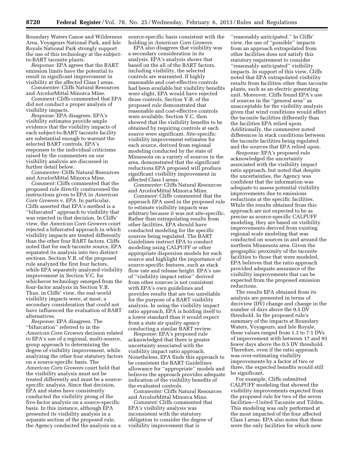Boundary Waters Canoe and Wilderness Area, Voyageurs National Park, and Isle Royale National Park strongly support the use of this technology at the subjectto-BART taconite plants.

*Response:* EPA agrees that the BART emission limits have the potential to result in significant improvement in visibility at the affected Class I areas.

*Commenter:* Cliffs Natural Resources and ArcelorMittal Minorca Mine.

*Comment:* Cliffs commented that EPA did not conduct a proper analysis of visibility impacts.

*Response:* EPA disagrees. EPA's visibility estimates provide ample evidence that the visibility impacts of each subject-to-BART taconite facility are substantial enough to warrant the selected BART controls. EPA's responses to the individual criticisms raised by the commenters on our visibility analysis are discussed in further detail below.

*Commenter:* Cliffs Natural Resources and ArcelorMittal Minorca Mine.

*Comment:* Cliffs commented that the proposed rule directly contravened the instructions given to EPA in *American Corn Growers* v. *EPA.* In particular, Cliffs asserted that EPA's method is a ''bifurcated'' approach to visibility that was rejected in that decision. In Cliffs' view, the *American Corn Growers* court rejected a bifurcated approach in which visibility impacts are treated differently than the other four BART factors. Cliffs noted that for each taconite source, EPA separated its analysis into two distinct sections. Section V.B. of the proposed rule analyzed the first four factors, while EPA separately analyzed visibility improvement in Section V.C. for whichever technology emerged from the four-factor analysis in Section V.B. Thus, in Cliffs' view, the real-world visibility impacts were, at most, a secondary consideration that could not have influenced the evaluation of BART alternatives.

*Response:* EPA disagrees. The ''bifurcation'' referred to in the *American Corn Growers* decision related to EPA's use of a regional, multi-source, group approach to determining the degree of visibility improvement, while analyzing the other four statutory factors on a source-specific basis. The *American Corn Growers* court held that the visibility analysis must not be treated differently and must be a sourcespecific analysis. Since that decision, EPA and states have consistently conducted the visibility prong of the five-factor analysis on a source-specific basis. In this instance, although EPA presented its visibility analysis in a separate section of the proposed rule, the Agency conducted the analysis on a

source-specific basis consistent with the holding in *American Corn Growers.* 

EPA also disagrees that visibility was a secondary consideration in its analysis. EPA's analysis shows that based on the all of the BART factors, including visibility, the selected controls are warranted. If highly reasonable and cost-effective controls had been available but visibility benefits were slight, EPA would have rejected those controls. Section V.B. of the proposed rule demonstrated that reasonable and cost-effective controls were available. Section V.C. then showed that the visibility benefits to be obtained by requiring controls at each source were significant. Site-specific visibility improvement estimates for each source, derived from regional modeling conducted by the state of Minnesota on a variety of sources in the area, demonstrated that the significant reductions EPA proposed will produce significant visibility improvement in affected Class I areas.

*Commenter:* Cliffs Natural Resources and ArcelorMittal Minorca Mine.

*Comment:* Cliffs commented that the approach EPA used in the proposed rule to estimate visibility impacts was arbitrary because it was not site-specific. Rather than extrapolating results from other facilities, EPA should have conducted modeling for the specific sources being regulated. The BART Guidelines instruct EPA to conduct modeling using CALPUFF or other appropriate dispersion models for each source and highlight the importance of source-specific features, such as stack flow rate and release height. EPA's use of ''visibility impact ratios'' derived from other sources is not consistent with EPA's own guidelines and provides results that are too unreliable for the purpose of a BART visibility analysis. In using the visibility impact ratio approach, EPA is holding itself to a lower standard than it would expect from a state air quality agency conducting a similar BART review.

*Response:* EPA's proposed rule acknowledged that there is greater uncertainty associated with the visibility impact ratio approach. Nonetheless, EPA finds this approach to be consistent the BART Guidelines allowance for ''appropriate'' models and believes the approach provides adequate indication of the visibility benefits of the evaluated controls.

*Commenter:* Cliffs Natural Resources and ArcelorMittal Minorca Mine.

*Comment:* Cliffs commented that EPA's visibility analysis was inconsistent with the statutory obligation to consider the degree of visibility improvement that is

''reasonably anticipated.'' In Cliffs' view, the use of ''possible'' impacts from an approach extrapolated from other facilities does not satisfy this statutory requirement to consider ''reasonably anticipated'' visibility impacts. In support of this view, Cliffs noted that EPA extrapolated visibility results from facilities other than taconite plants, such as an electric generating unit. Moreover, Cliffs found EPA's use of sources in the ''general area'' as unacceptable for the visibility analysis given that wind conditions would affect the taconite facilities differently than the facilities EPA relied upon. Additionally, the commenter noted differences in stack conditions between the taconite facilities being regulated and the sources that EPA relied upon.

*Response:* EPA's proposed rule acknowledged the uncertainty associated with the visibility impact ratio approach, but noted that despite the uncertainties, the Agency was confident that the information was adequate to assess potential visibility improvements due to emissions reductions at the specific facilities. While the results obtained from this approach are not expected to be as precise as source-specific CALPUFF modeling, they are based on visibility improvements derived from existing regional scale modeling that was conducted on sources in and around the northern Minnesota area. Given the geographic proximity of the taconite facilities to those that were modeled, EPA believes that the ratio approach provided adequate assurance of the visibility improvements that can be expected from the proposed emission reductions.

The results EPA obtained from its analysis are presented in terms of deciview (DV) change and change in the number of days above the 0.5 DV threshold. In the proposed rule's summary of the impacts at Boundary Waters, Voyageurs, and Isle Royale, these values ranged from 1.3 to 7.1 DVs of improvement with between 17 and 93 fewer days above the 0.5 DV threshold. Therefore, even if the ratio approach was over-estimating visibility improvements by a factor of two or three, the expected benefits would still be significant.

For example, Cliffs submitted CALPUFF modeling that showed the visibility improvements expected from the proposed rule for two of the seven facilities—United Taconite and Tilden. This modeling was only performed at the most impacted of the four affected Class I areas. EPA also notes that these were the only facilities for which new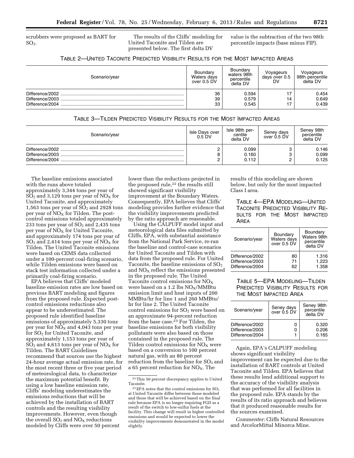scrubbers were proposed as BART for  $SO<sub>2</sub>$ .

The results of the Cliffs' modeling for United Taconite and Tilden are presented below. The first delta DV

value is the subtraction of the two 98th percentile impacts (base minus FIP).

|  | TABLE 2-UNITED TACONITE PREDICTED VISIBILITY RESULTS FOR THE MOST IMPACTED AREAS |  |
|--|----------------------------------------------------------------------------------|--|
|--|----------------------------------------------------------------------------------|--|

| Scenario/year                      | Boundary<br>Waters days<br>over 0.5 DV | Boundary<br>waters 98th<br>percentile<br>delta DV | Voyageurs<br>days over 0.5<br>DV | Voyageurs<br>98th percentile<br>delta DV |
|------------------------------------|----------------------------------------|---------------------------------------------------|----------------------------------|------------------------------------------|
| Difference/2003<br>Difference/2004 | 36<br>39<br>33                         | 0.594<br>0.579<br>0.545                           | 14                               | 0.454<br>0.649<br>0.439                  |

| Scenario/year                                         | Isle Days over<br>$0.5$ DV | Isle 98th per-<br>centile<br>delta DV | Seney days<br>over 0.5 DV | Seney 98th<br>percentile<br>delta DV |
|-------------------------------------------------------|----------------------------|---------------------------------------|---------------------------|--------------------------------------|
| Difference/2002<br>Difference/2003<br>Difference/2004 |                            | 0.099<br>0.160<br>0.112               |                           | 0.146<br>0.099<br>0.125              |

The baseline emissions associated with the runs above totaled approximately 3,344 tons per year of  $SO_2$  and 3,129 tons per year of  $NO_X$  for United Taconite, and approximately 1,563 tons per year of  $SO<sub>2</sub>$  and 2928 tons per year of  $NO<sub>x</sub>$  for Tilden. The postcontrol emissions totaled approximately 233 tons per year of  $SO<sub>2</sub>$  and 2,435 tons per year of  $NO<sub>x</sub>$  for United Taconite, and approximately 174 tons per year of  $SO<sub>2</sub>$  and 2,414 tons per year of  $NO<sub>X</sub>$  for Tilden. The United Taconite emissions were based on CEMS data collected under a 100-percent coal-firing scenario, while Tilden emissions were based on stack test information collected under a primarily coal-firing scenario.

EPA believes that Cliffs' modeled baseline emission rates are low based on previous BART modeling and figures from the proposed rule. Expected postcontrol emissions reductions also appear to be underestimated. The proposed rule identified baseline emissions of approximately 5,330 tons per year for  $NO<sub>X</sub>$  and 4,043 tons per year for SO<sub>2</sub> for United Taconite, and approximately 1,153 tons per year of  $SO_2$  and 4,613 tons per year of  $NO_X$  for Tilden. The BART Guidelines recommend that sources use the highest 24-hour average actual emission rate, for the most recent three or five year period of meteorological data, to characterize the maximum potential benefit. By using a low baseline emission rate, Cliffs' modeling underestimates the emissions reductions that will be achieved by the installation of BART controls and the resulting visibility improvements. However, even though the overall  $SO_2$  and  $NO<sub>x</sub>$  reductions modeled by Cliffs were over 50 percent

lower than the reductions projected in the proposed rule,<sup>22</sup> the results still showed significant visibility improvement at the Boundary Waters. Consequently, EPA believes that Cliffs' modeling provides further evidence that the visibility improvements predicted by the ratio approach are reasonable.

Using the CALPUFF model input and meteorological data files submitted by Cliffs, EPA, with substantial assistance from the National Park Service, re-ran the baseline and control-case scenarios for United Taconite and Tilden with data from the proposed rule. For United Taconite, the baseline emissions of  $SO<sub>2</sub>$ and  $NO<sub>X</sub>$  reflect the emissions presented in the proposed rule. The United Taconite control emissions for  $\rm{NO_{X}}$ were based on a 1.2 lbs  $NO<sub>X</sub>/M$ Memission limit and heat inputs of 200 MMBtu/hr for line 1 and 260 MMBtu/ hr for line 2. The United Taconite control emissions for  $SO<sub>2</sub>$  were based on an approximate 94-percent reduction from the base case.23 For Tilden, the baseline emissions for both visibility pollutants were also based on those contained in the proposed rule. The Tilden control emissions for  $NO<sub>X</sub>$  were based on a conversion to 100 percent natural gas, with an 80 percent reduction from the baseline for  $SO<sub>2</sub>$  and a 65 percent reduction for  $NO<sub>X</sub>$ . The

results of this modeling are shown below, but only for the most impacted Class I area.

TABLE 4—EPA MODELING—UNITED TACONITE PREDICTED VISIBILITY RE-SULTS FOR THE MOST IMPACTED AREA

| Scenario/year   | Boundary<br>Waters days<br>over 0.5 DV | Boundary<br>Waters 98th<br>percentile<br>delta DV |
|-----------------|----------------------------------------|---------------------------------------------------|
| Difference/2002 | 80                                     | 1.316                                             |
| Difference/2003 | 71                                     | 1.223                                             |
| Difference/2004 | 62                                     | 1.358                                             |

# TABLE 5—EPA MODELING—TILDEN PREDICTED VISIBILITY RESULTS FOR THE MOST IMPACTED AREA

| Scenario/year                                         | Seney days<br>over 0.5 DV | Seney 98th<br>percentile<br>delta DV |
|-------------------------------------------------------|---------------------------|--------------------------------------|
| Difference/2002<br>Difference/2003<br>Difference/2004 |                           | 0.320<br>0.206<br>0.165              |

Again, EPA's CALPUFF modeling shows significant visibility improvement can be expected due to the installation of BART controls at United Taconite and Tilden. EPA believes that these results lend additional support to the accuracy of the visibility analysis that was performed for all facilities in the proposed rule. EPA stands by the results of its ratio approach and believes that it produced reasonable results for the sources examined.

*Commenter:* Cliffs Natural Resources and ArcelorMittal Minorca Mine.

<sup>22</sup>This 50 percent discrepancy applies to United Taconite.

 $^{23}\mathrm{EPA}$  notes that the control emissions for  $\mathrm{SO}_2$ at United Taconite differ between those modeled and those that will be achieved based on the final rule because EPA is no longer requiring FGD as a result of the switch to low-sulfur fuels at the facility. This change will result in higher controlled emissions and would be expected to lower the visibility improvements demonstrated in the model slightly.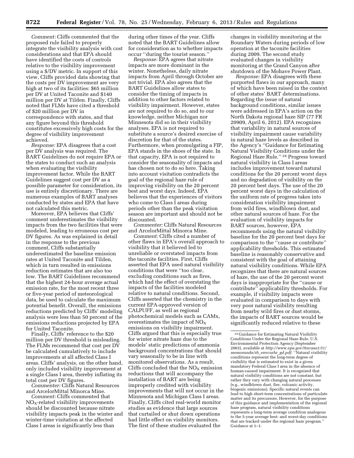*Comment:* Cliffs commented that the proposed rule failed to properly integrate the visibility analysis with cost considerations and that EPA should have identified the costs of controls relative to the visibility improvement using a \$/DV metric. In support of this view, Cliffs provided data showing that the costs per DV improvement are very high at two of its facilities: \$65 million per DV at United Taconite and \$140 million per DV at Tilden. Finally, Cliffs noted that FLMs have cited a threshold of \$20 million per DV in correspondence with states, and that any figure beyond this threshold constitutes excessively high costs for the degree of visibility improvement achieved.

*Response:* EPA disagrees that a cost per DV analysis was required. The BART Guidelines do not require EPA or the states to conduct such an analysis when evaluating the visibility improvement factor. While the BART Guidelines suggest cost per DV as a possible parameter for consideration, its use is entirely discretionary. There are numerous examples of BART analyses conducted by states and EPA that have not calculated this metric.

Moreover, EPA believes that Cliffs' comment underestimates the visibility impacts from the two facilities that were modeled, leading to erroneous cost per DV figures. As was explained in detail in the response to the previous comment, Cliffs substantially underestimated the baseline emission rates at United Taconite and Tilden, which in turn resulted in emissions reduction estimates that are also too low. The BART Guidelines recommend that the highest 24-hour average actual emission rate, for the most recent three or five-year period of meteorological data, be used to calculate the maximum potential benefit. Overall, the emissions reductions predicted by Cliffs' modeling analysis were less than 50 percent of the emissions reductions projected by EPA for United Taconite.

Finally, Cliffs' reference to the \$20 million per DV threshold is misleading. The FLMs recommend that cost per DV be calculated cumulatively to include improvements at all affected Class I areas. Cliffs' analysis, on the other hand, only included visibility improvement at a single Class I area, thereby inflating its total cost per DV figures.

*Commenter:* Cliffs Natural Resources and ArcelorMittal Minorca Mine.

*Comment:* Cliffs commented that  $NO<sub>X</sub>$ -related visibility improvements should be discounted because nitrate visibility impacts peak in the winter and winter-time visitation at the affected Class I areas is significantly less than

during other times of the year. Cliffs noted that the BART Guidelines allow for consideration as to whether impacts occur ''during the tourist season.''

*Response:* EPA agrees that nitrate impacts are more dominant in the winter. Nonetheless, daily nitrate impacts from April through October are not trivial. EPA also agrees that the BART Guidelines allow states to consider the timing of impacts in addition to other factors related to visibility impairment. However, states are not required to do so, and to our knowledge, neither Michigan nor Minnesota did so in their visibility analyses. EPA is not required to substitute a source's desired exercise of discretion for that of the states. Furthermore, when promulgating a FIP, EPA stands in the shoes of the state. In that capacity, EPA is not required to consider the seasonality of impacts and has chosen not to do so here. Taking into account visitation contradicts the goal of the regional haze rule of improving visibility on the 20 percent best and worst days. Indeed, EPA believes that the experiences of visitors who come to Class I areas during periods other than the peak visitation season are important and should not be discounted.

*Commenter:* Cliffs Natural Resources and ArcelorMittal Minorca Mine.

*Comment:* Cliffs cited a number of other flaws in EPA's overall approach to visibility that it believed led to unreliable or overstated impacts from the taconite facilities. First, Cliffs asserted that EPA used natural visibility conditions that were ''too clear, excluding conditions such as fires, which had the effect of overstating the impacts of the facilities modeled relative to natural conditions. Second, Cliffs asserted that the chemistry in the current EPA-approved version of CALPUFF, as well as regional photochemical models such as CAMx, overestimates the impact of  $NO<sub>x</sub>$ emissions on visibility impairment. Cliffs argued that this is especially true for winter nitrate haze due to the models' static predictions of ammonia background concentrations that should vary seasonally to be in line with monitored observations. As a result, Cliffs concluded that the  $NO<sub>x</sub>$  emission reductions that will accompany the installation of BART are being improperly credited with visibility improvements that will not occur in the Minnesota and Michigan Class I areas. Finally, Cliffs cited real-world monitor studies as evidence that large sources that curtailed or shut down operations had little effect on visibility monitors. The first of these studies evaluated the

changes in visibility monitoring at the Boundary Waters during periods of low operation at the taconite facilities during 2009. The second study evaluated changes in visibility monitoring at the Grand Canyon after shutdown of the Mohave Power Plant.

*Response:* EPA disagrees with these purported flaws in our approach, many of which have been raised in the context of other states' BART determinations. Regarding the issue of natural background conditions, similar issues were addressed in EPA's action on the North Dakota regional haze SIP (77 FR 20909, April 6, 2012). EPA recognizes that variability in natural sources of visibility impairment cause variability in natural haze levels as described in the Agency's ''Guidance for Estimating Natural Visibility Conditions under the Regional Haze Rule.'' 24 Progress toward natural visibility in Class I areas includes improvement toward natural conditions for the 20 percent worst days and no degradation of visibility on the 20 percent best days. The use of the 20 percent worst days in the calculation of the uniform rate of progress takes into consideration visibility impairment from wild fires, windblown dust, and other natural sources of haze. For the evaluation of visibility impacts for BART sources, however, EPA recommends using the natural visibility baseline for the 20 percent best days for comparison to the ''cause or contribute'' applicability thresholds. This estimated baseline is reasonably conservative and consistent with the goal of attaining natural visibility conditions. While EPA recognizes that there are natural sources of haze, the use of the 20 percent worst days is inappropriate for the ''cause or contribute'' applicability thresholds. For example, if visibility impacts were evaluated in comparison to days with very poor natural visibility resulting from nearby wild fires or dust storms, the impacts of BART sources would be significantly reduced relative to these

<sup>24</sup> Guidance for Estimating Natural Visibility Conditions Under the Regional Haze Rule, U.S. Environmental Protection Agency (September 2003), available at *[http://www.epa.gov/ttncaaa1/t1/](http://www.epa.gov/ttncaaa1/t1/memoranda/rh_envcurhr_gd.pdf)  [memoranda/rh](http://www.epa.gov/ttncaaa1/t1/memoranda/rh_envcurhr_gd.pdf)*\_*envcurhr*\_*gd.pdf.* ''Natural visibility conditions represent the long-term degree of visibility that is estimated to exist in a given mandatory Federal Class I area in the absence of human-caused impairment. It is recognized that natural visibility conditions are not constant, but rather they vary with changing natural processes (e.g., windblown dust, fire, volcanic activity, biogenic emissions). Specific natural events can lead to high short-term concentrations of particulate matter and its precursors. However, for the purpose of this guidance and implementation of the regional haze program, natural visibility conditions represents a long-term average condition analogous to the 5-year average best- and worst-day conditions that are tracked under the regional haze program.'' Guidance at 1–1.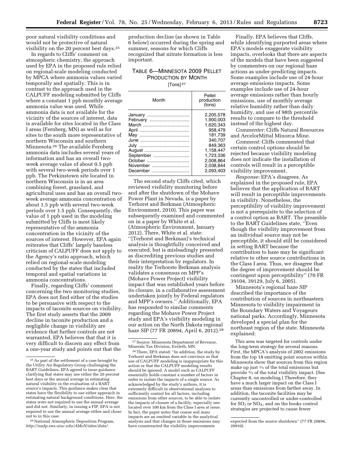poor natural visibility conditions and would not be protective of natural visibility on the 20 percent best days.25

In regards to Cliffs' comment on atmospheric chemistry, the approach used by EPA in the proposed rule relied on regional-scale modeling conducted by MPCA where ammonia values varied temporally and spatially. This is in contrast to the approach used in the CALPUFF modeling submitted by Cliffs where a constant 1 ppb monthly average ammonia value was used. While ammonia data is not available for the vicinity of the sources of interest, data is available for sites located in the Class I areas (Fernberg, MN) as well as for sites to the south more representative of northern Wisconsin and southern Minnesota.26 The available Fernberg ammonia data includes several years of information and has an overall twoweek average value of about 0.5 ppb with several two-week periods over 1 ppb. The Perkinstown site located in northern Wisconsin is in an area combining forest, grassland, and agricultural uses and has an overall twoweek average ammonia concentration of about 1.5 ppb with several two-week periods over 1.5 ppb. Consequently, the value of 1 ppb used in the modeling submitted by Cliffs is most likely representative of the ammonia concentration in the vicinity of the sources of interest. However, EPA again reiterates that Cliffs' largely baseless criticism of CALPUFF does not apply to the Agency's ratio approach, which relied on regional-scale modeling conducted by the states that included temporal and spatial variations in ammonia concentrations.

Finally, regarding Cliffs' comment concerning the two monitoring studies, EPA does not find either of the studies to be persuasive with respect to the impacts of taconite sources on visibility. The first study asserts that the 2009 decline in taconite production and a negligible change in visibility are evidence that further controls are not warranted. EPA believes that that it is very difficult to discern any effect from a one-year study and points out that the

<sup>26</sup> National Atmospheric Deposition Program, *[http://nadp.sws.uiuc.edu/AMoN/sites/data/.](http://nadp.sws.uiuc.edu/AMoN/sites/data/)* 

production decline (as shown in Table 6 below) occurred during the spring and summer, seasons for which Cliffs recognized that nitrate formation is less important.

# TABLE 6—MINNESOTA 2009 PELLET PRODUCTION BY MONTH

[Tons] 27

| Month               | Pellet<br>production<br>(tons) |
|---------------------|--------------------------------|
| January<br>February | 2.205.578<br>1.900.003         |
|                     | 1.620.343                      |
|                     | 958.479                        |
|                     | 181,739                        |
|                     | 340.707                        |
|                     | 849.363                        |
|                     | 1.158.447                      |
| September           | 1.723.336                      |
| October             | 2.008.864                      |
| November            | 2.038,844                      |
| December            | 2.093.403                      |

The second study Cliffs cited, which reviewed visibility monitoring before and after the shutdown of the Mohave Power Plant in Nevada, is a paper by Terhorst and Berkman (Atmospheric Environment, 2010). This paper was subsequently examined and commented on in a paper by White et al. (Atmospheric Environment, January 2012). There, White et al. state: ''[Terhorst and Berkman]'s technical analysis is thoughtfully conceived and executed, but is misleadingly presented as discrediting previous studies and their interpretation by regulators. In reality the Terhorste Berkman analysis validates a consensus on MPP's (Mohave Power Project) visibility impact that was established years before its closure, in a collaborative assessment undertaken jointly by Federal regulators and MPP's owners.'' Additionally, EPA has responded to similar comments regarding the Mohave Power Project study and EPA's visibility modeling in our action on the North Dakota regional haze SIP (77 FR 20894, April 6, 2012).28

28There, EPA stated: ''In addition, the study by Terhorst and Berkman does not convince us that use of CALPUFF modeling is inappropriate for this action or that the CALPUFF modeling results should be ignored. A model such as CALPUFF essentially holds constant a number of factors in order to isolate the impacts of a single source. As acknowledged by the study's authors, it is extremely difficult in observational analyses to sufficiently control for all factors, including emissions from other sources, to be able to isolate the impacts of closure of a facility, especially one located over 100 km from the Class I area at issue. In fact, the paper notes that coarse soil mass impacts are an omitted variable in the analytical analysis and that changes in those emissions may have counteracted the visibility improvements

Finally, EPA believes that Cliffs, while identifying purported areas where EPA's models exaggerate visibility impacts, overlooks that there are aspects of the models that have been suggested by commenters on our regional haze actions as under-predicting impacts. Some examples include use of 24-hour average emissions impacts. Some examples include use of 24-hour average emissions rather than hourly emissions, use of monthly average relative humidity rather than daily humidity, and use of 98th percentile results to compare to the threshold instead of the highest day.

*Commenter:* Cliffs Natural Resources and ArcelorMittal Minorca Mine.

*Comment:* Cliffs commented that certain control options should be rejected because visibility modeling does not indicate the installation of controls will result in a perceptible visibility improvement.

*Response:* EPA's disagrees. As explained in the proposed rule, EPA believes that the application of BART will result in perceptible improvements in visibility. Nonetheless, the perceptibility of visibility improvement is not a prerequisite to the selection of a control option as BART. The preamble to the BART Guidelines state, ''Even though the visibility improvement from an individual source may not be perceptible, it should still be considered in setting BART because the contribution to haze may be significant relative to other source contributions in the Class I area. Thus, we disagree that the degree of improvement should be contingent upon perceptibility'' (70 FR 39104, 39129, July 6, 2005).

Minnesota's regional haze SIP described the importance of the contribution of sources in northeastern Minnesota to visibility impairment in the Boundary Waters and Voyageurs national parks. Accordingly, Minnesota developed a special plan for the northeast region of the state. Minnesota explained:

This area was targeted for controls under the long-term strategy for several reasons. First, the MPCA's analysis of 2002 emissions from the top 18 emitting point sources within Minnesota show that sources from this region make up just 1/3 of the total emissions but provide 2⁄3 of the total visibility impact. (See Chapter 8, on modeling.) Therefore, they have a much larger impact on the Class I areas than emissions from farther away. In addition, the taconite facilities may be currently uncontrolled or under-controlled for  $SO_2$  or  $NO_X$ , and on the books control strategies are projected to cause fewer

<sup>25</sup>As part of the settlement of a case brought by the Utility Air Regulatory Group challenging the BART Guidelines, EPA agreed to issue guidance clarifying that states may use either the 20 percent best days or the annual average in estimating natural visibility in the evaluation of a BART source's impacts. This guidance makes clear that states have the flexibility to use either approach in estimating natural background conditions. Here, the states were not required to use the annual average and did not. Similarly, in issuing a FIP, EPA is not required to use the annual average either and chose not to in this case.

<sup>27</sup>Source: Minnesota Department of Revenue, Minerals Tax Division, Eveleth, MN.

expected from the source shutdown'' (77 FR 20894, 20910).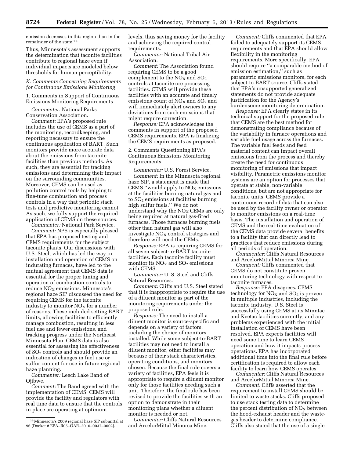emission decreases in this region than in the remainder of the state.29

Thus, Minnesota's assessment supports the determination that taconite facilities contribute to regional haze even if individual impacts are modeled below thresholds for human perceptibility.

# *K. Comments Concerning Requirements for Continuous Emissions Monitoring*

1. Comments in Support of Continuous Emissions Monitoring Requirements

*Commenter:* National Parks Conservation Association.

*Comment:* EPA's proposed rule includes the use of CEMS as a part of the monitoring, recordkeeping, and reporting necessary to ensure the continuous application of BART. Such monitors provide more accurate data about the emissions from taconite facilities than previous methods. As such, they are essential for tracking emissions and determining their impact on the surrounding communities. Moreover, CEMS can be used as pollution control tools by helping to fine-tune combustion and process controls in a way that periodic stack tests and predictive monitoring cannot. As such, we fully support the required application of CEMS on these sources.

*Commenter:* National Park Service. *Comment:* NPS is especially pleased that EPA has proposed testing and CEMS requirements for the subject taconite plants. Our discussions with U.S. Steel, which has led the way in installation and operation of CEMS on indurating furnaces, have led to the mutual agreement that CEMS data is essential for the proper tuning and operation of combustion controls to  $reduce NO<sub>x</sub> emissions. Minnesota's$ regional haze SIP discussed the need for requiring CEMS for the taconite industry to monitor  $NO<sub>x</sub>$  for a number of reasons. These included setting BART limits, allowing facilities to efficiently manage combustion, resulting in less fuel use and fewer emissions, and tracking progress under the Northeast Minnesota Plan. CEMS data is also essential for assessing the effectiveness of SO<sub>2</sub> controls and should provide an indication of changes in fuel use or sulfur content for use in future regional haze planning.

*Commenter:* Leech Lake Band of Ojibwe.

*Comment:* The Band agreed with the implementation of CEMS. CEMS will provide the facility and regulators with real time data to ensure that the controls in place are operating at optimum

levels, thus saving money for the facility and achieving the required control requirements.

*Commenter:* National Tribal Air Association.

*Comment:* The Association found requiring CEMS to be a good complement to the  $NO<sub>x</sub>$  and  $SO<sub>2</sub>$ controls at taconite ore processing facilities. CEMS will provide these facilities with an accurate and timely emissions count of  $NO<sub>X</sub>$  and  $SO<sub>2</sub>$  and will immediately alert owners to any deviations from such emissions that might require correction.

*Response:* EPA acknowledges the comments in support of the proposed CEMS requirements. EPA is finalizing the CEMS requirements as proposed.

# 2. Comments Questioning EPA's Continuous Emissions Monitoring Requirements

*Commenter:* U.S. Forest Service. *Comment:* In the Minnesota regional haze SIP, a statement is made that CEMS "would apply to  $NO<sub>x</sub>$  emissions at the facilities burning natural gas and to SO2 emissions at facilities burning high sulfur fuels.'' We do not understand why the  $NO<sub>x</sub>$  CEMs are only being required at natural gas-fired furnaces. Those furnaces burning fuels other than natural gas will also investigate  $NO<sub>X</sub>$  control strategies and therefore will need the CEMs.

*Response:* EPA is requiring CEMS for all seven subject-to-BART taconite facilities. Each taconite facility must monitor its  $NO<sub>X</sub>$  and  $SO<sub>2</sub>$  emissions with CEMS.

*Commenter:* U. S. Steel and Cliffs Natural Resources.

*Comment:* Cliffs and U.S. Steel stated that it is inappropriate to require the use of a diluent monitor as part of the monitoring requirements under the proposed rule.

*Response:* The need to install a diluent monitor is source-specific and depends on a variety of factors, including the choice of monitors installed. While some subject-to-BART facilities may not need to install a diluent monitor, other facilities may because of their stack characteristics, operating conditions, and monitors chosen. Because the final rule covers a variety of facilities, EPA feels it is appropriate to require a diluent monitor only for those facilities needing such a unit. Therefore, the final rule has been revised to provide the facilities with an option to demonstrate in their monitoring plans whether a diluent monitor is needed or not.

*Commenter:* Cliffs Natural Resources and ArcelorMittal Minorca Mine.

*Comment:* Cliffs commented that EPA failed to adequately support its CEMS requirements and that EPA should allow flexibility in the monitoring requirements. More specifically, EPA should require ''a comparable method of emission estimation,'' such as parametric emissions monitors, for each subject-to-BART source. Cliffs stated that EPA's unsupported generalized statements do not provide adequate justification for the Agency's burdensome monitoring determination.

*Response:* EPA clearly states in its technical support for the proposed rule that CEMS are the best method for demonstrating compliance because of the variability in furnace operations and variable fuel usage across the furnaces. The variable fuel feeds and feed material content can impact overall emissions from the process and thereby create the need for continuous monitoring of emissions that impact visibility. Parametric emissions monitor systems are an option for processes that operate at stable, non-variable conditions, but are not appropriate for taconite units. CEMS provide a continuous record of data that can also be used by the facility owner or operator to monitor emissions on a real-time basis. The installation and operation of CEMS and the real-time evaluation of the CEMS data provide several benefits to a facility that can directly lead to practices that reduce emissions during all periods of operation.

*Commenter:* Cliffs Natural Resources and ArcelorMittal Minorca Mine.

*Comment:* Cliffs commented that CEMS do not constitute proven monitoring technology with respect to taconite furnaces.

*Response:* EPA disagrees. CEMS technology for  $NO<sub>X</sub>$  and  $SO<sub>2</sub>$  is proven in multiple industries, including the taconite industry. U.S. Steel is successfully using CEMS at its Minntac and Keetac facilities currently, and any problems experienced with the initial installation of CEMS have been resolved. EPA expects facilities will need some time to learn CEMS operation and how it impacts process operations. EPA has incorporated additional time into the final rule before certification is required to allow each facility to learn how CEMS operates.

*Commenter:* Cliffs Natural Resources and ArcelorMittal Minorca Mine.

*Comment:* Cliffs asserted that the requirement to install CEMS should be limited to waste stacks. Cliffs proposed to use stack testing data to determine the percent distribution of  $NO<sub>x</sub>$  between the hood-exhaust header and the wastegas header to determine compliance. Cliffs also stated that the use of a single

<sup>29</sup>Minnesota's 2009 regional haze SIP submittal at 96 (Docket # EPA–R05–OAR–2010–0037–0002).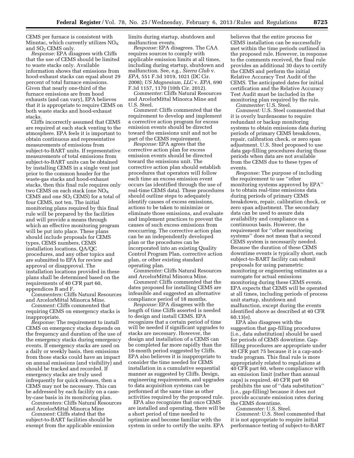CEMS per furnace is consistent with Minntac, which currently utilizes  $NO<sub>X</sub>$ and  $SO<sub>2</sub>$  CEMS only.

*Response:* EPA disagrees with Cliffs that the use of CEMS should be limited to waste stacks only. Available information shows that emissions from hood-exhaust stacks can equal about 29 percent of total furnace emissions. Given that nearly one-third of the furnace emissions are from hood exhausts (and can vary), EPA believes that it is appropriate to require CEMS on both waste stacks and hood-exhaust stacks.

Cliffs incorrectly assumed that CEMS are required at each stack venting to the atmosphere. EPA feels it is important to obtain continuous and representative measurements of emissions from subject-to-BART units. If representative measurements of total emissions from subject-to-BART units can be obtained by installing CEMS in a single vent just prior to the common header for the waste-gas stacks and hood-exhaust stacks, then this final rule requires only two CEMS on each stack (one  $NO<sub>x</sub>$ CEMS and one  $SO<sub>2</sub>$  CEMS) for a total of four CEMS, not ten. The initial monitoring plans required by this final rule will be prepared by the facilities and will provide a means through which an effective monitoring program will be put into place. These plans should include proposals for CEMS types, CEMS numbers, CEMS installation locations, QA/QC procedures, and any other topics and are submitted to EPA for review and approval or disapproval. The installation locations provided in these plans shall be determined based on the requirements of 40 CFR part 60, appendices B and F.

*Commenters:* Cliffs Natural Resources and ArcelorMittal Minorca Mine.

*Comment:* Cliffs commented that requiring CEMS on emergency stacks is inappropriate.

*Response:* The requirement to install CEMS on emergency stacks depends on the frequency and duration of the use of the emergency stacks during emergency events. If emergency stacks are used on a daily or weekly basis, then emissions from those stacks could have an impact on annual emissions (and visibility) and should be tracked and recorded. If emergency stacks are truly used infrequently for quick releases, then a CEMS may not be necessary. This can be addressed by each facility on a caseby-case basis in its monitoring plan.

*Commenters:* Cliffs Natural Resources and ArcelorMittal Minorca Mine

*Comment:* Cliffs stated that the subject-to-BART facilities should be exempt from the applicable emission limits during startup, shutdown and malfunction events.

*Response:* EPA disagrees. The CAA requires sources to comply with applicable emission limits at all times, including during startup, shutdown and malfunction. See, e.g., *Sierra Club* v. *EPA,* 551 F.3d 1019, 1021 (DC Cir. 2008); *US Magnesium, LLC* v. *EPA,* 690 F.3d 1157, 1170 (10th Cir. 2012).

*Commenter:* Cliffs Natural Resources and ArcelorMittal Minorca Mine and U.S. Steel.

*Comment:* Cliffs commented that the requirement to develop and implement a corrective action program for excess emission events should be directed toward the emissions unit and not be part of the CEMS requirement.

*Response:* EPA agrees that the corrective action plan for excess emission events should be directed toward the emissions unit. The corrective action plan should establish procedures that operators will follow each time an excess emission event occurs (as identified through the use of real-time CEMS data). These procedures should outline steps to adequately identify causes of excess emissions, actions to be taken to minimize or eliminate those emissions, and evaluate and implement practices to prevent the causes of such excess emissions from reoccurring. The corrective action plan can be an independently developed plan or the procedures can be incorporated into an existing Quality Control Program Plan, corrective action plan, or other existing standard operating plan.

*Commenter:* Cliffs Natural Resources and ArcelorMittal Minorca Mine.

*Comment:* Cliffs commented that the dates proposed for installing CEMS are infeasible and suggested an alternative compliance period of 18 months.

*Response:* EPA disagrees with the length of time Cliffs asserted is needed to design and install CEMS. EPA recognizes that a certain period of time will be needed if significant upgrades to stacks are necessary. However, the design and installation of a CEMS can be completed far more rapidly than the 18-month period suggested by Cliffs. EPA also believes it is inappropriate to consider the time needed for CEMS installation in a cumulative sequential manner as suggested by Cliffs. Design, engineering requirements, and upgrades to data acquisition systems can be performed at the same time as other activities required by the proposed rule.

EPA also recognizes that once CEMS are installed and operating, there will be a short period of time needed to optimize and become familiar with the system in order to certify the units. EPA

believes that the entire process for CEMS installation can be successfully met within the time periods outlined in the proposed rule. However, in response to the comments received, the final rule provides an additional 30 days to certify the CEMS and perform the initial Relative Accuracy Test Audit of the CEMS. The anticipated dates for initial certification and the Relative Accuracy Test Audit must be included in the monitoring plan required by the rule.

*Commenter:* U.S. Steel.

*Comment:* U.S. Steel commented that it is overly burdensome to require redundant or backup monitoring systems to obtain emissions data during periods of primary CEMS breakdown, repair, calibration check, or zero span adjustment. U.S. Steel proposed to use data gap-filling procedures during those periods when data are not available from the CEMS due to these types of events.

*Response:* The purpose of including the requirement to use ''other monitoring systems approved by EPA'' is to obtain real-time emissions data during periods of primary CEMS breakdown, repair, calibration check, or zero span adjustment. The secondary data can be used to assure data availability and compliance on a continuous basis. However, the requirement for ''other monitoring systems'' does not mean that a second CEMS system is necessarily needed. Because the duration of these CEMS downtime events is typically short, each subject-to-BART facility can submit proposals for using parametric monitoring or engineering estimates as a surrogate for actual emissions monitoring during these CEMS events. EPA expects that CEMS will be operated at all times, including periods of process unit startup, shutdown and malfunction, except during the events identified above as described at 40 CFR 60.13(e).

EPA also disagrees with the suggestion that gap-filling procedures (i.e., data substitution) should be used for periods of CEMS downtime. Gapfilling procedures are appropriate under 40 CFR part 75 because it is a cap-andtrade program. This final rule is more appropriately related to regulations at 40 CFR part 60, where compliance with an emission limit (rather than annual caps) is required. 40 CFR part 60 prohibits the use of ''data substitution'' (i.e., gap-filling) because it does not provide accurate emission rates during the CEMS downtime.

*Commenter:* U.S. Steel.

*Comment:* U.S. Steel commented that it is not appropriate to require initial performance testing of subject-to-BART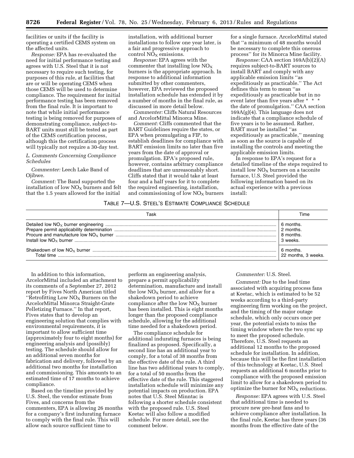facilities or units if the facility is operating a certified CEMS system on the affected units.

*Response:* EPA has re-evaluated the need for initial performance testing and agrees with U.S. Steel that it is not necessary to require such testing, for purposes of this rule, at facilities that are or will be operating CEMS when those CEMS will be used to determine compliance. The requirement for initial performance testing has been removed from the final rule. It is important to note that while initial performance testing is being removed for purposes of demonstrating compliance, subject-to-BART units must still be tested as part of the CEMS certification process, although this the certification process will typically not require a 30-day test.

# *L. Comments Concerning Compliance Schedules*

*Commenter:* Leech Lake Band of Ojibwe.

*Comment:* The Band supported the installation of low  $NO<sub>X</sub>$  burners and felt that the 1.5 years allowed for the initial

installation, with additional burner installations to follow one year later, is a fair and progressive approach to control  $NO<sub>x</sub>$  emissions.

*Response:* EPA agrees with the commenter that installing low  $NO<sub>x</sub>$ burners is the appropriate approach. In response to additional information submitted by other commenters, however, EPA reviewed the proposed installation schedule has extended it by a number of months in the final rule, as discussed in more detail below.

*Commenter:* Cliffs Natural Resources and ArcelorMittal Minorca Mine.

*Comment:* Cliffs commented that the BART Guidelines require the states, or EPA when promulgating a FIP, to establish deadlines for compliance with BART emission limits no later than five years from the date of approval or promulgation. EPA's proposed rule, however, contains arbitrary compliance deadlines that are unreasonably short. Cliffs stated that it would take at least four and a half years for it to complete the required engineering, installation, and commissioning of low  $NO<sub>x</sub>$  burners

for a single furnace. ArcelorMittal stated that ''a minimum of 48 months would be necessary to complete this onerous process'' for its Minorca Mine facility.

*Response:* CAA section 169A(b)(2)(A) requires subject-to-BART sources to install BART and comply with any applicable emission limits ''as expeditiously as practicable.'' The Act defines this term to mean ''as expeditiously as practicable but in no event later than five years after \* \* \* the date of promulgation.'' CAA section 169A(g)(4). This language does not indicate that a compliance schedule of five years is to be assumed. Rather, BART must be installed ''as expeditiously as practicable,'' meaning as soon as the source is capable of installing the controls and meeting the applicable emission limits.

In response to EPA's request for a detailed timeline of the steps required to install low  $NO<sub>X</sub>$  burners on a taconite furnace, U.S. Steel provided the following information based on its actual experience with a previous install:

# TABLE 7—U.S. STEEL'S ESTIMATE COMPLIANCE SCHEDULE

| 6 months.           |
|---------------------|
| 2 months.           |
| 8 months.           |
| 3 weeks.            |
| 6 months.           |
| 22 months, 3 weeks. |

In addition to this information, ArcelorMittal included an attachment to its comments of a September 27, 2012 report by Fives North American titled "Retrofitting Low  $NO<sub>x</sub>$  Burners on the ArcelorMittal Minorca Straight-Grate Pelletizing Furnace.'' In that report, Fives states that to develop an engineering solution that complies with environmental requirements, it is important to allow sufficient time (approximately four to eight months) for engineering analysis and (possibly) testing. The schedule should allow for an additional seven months for fabrication and delivery, followed by an additional two months for installation and commissioning. This amounts to an estimated time of 17 months to achieve compliance.

Based on the timeline provided by U.S. Steel, the vendor estimate from Fives, and concerns from the commenters, EPA is allowing 26 months for a company's first indurating furnace to comply with the final rule. This will allow each source sufficient time to

perform an engineering analysis, prepare a permit applicability determination, manufacture and install the low  $NO<sub>X</sub>$  burner, and allow for a shakedown period to achieve compliance after the low  $NO<sub>X</sub>$  burner has been installed. This is eight months longer than the proposed compliance schedule, allowing for the additional time needed for a shakedown period.

The compliance schedule for additional indurating furnaces is being finalized as proposed. Specifically, a second line has an additional year to comply, for a total of 38 months from the effective date of the rule. A third line has two additional years to comply, for a total of 50 months from the effective date of the rule. This staggered installation schedule will minimize any potential impacts on production. EPA notes that U.S. Steel Minntac is following a shorter schedule consistent with the proposed rule. U.S. Steel Keetac will also follow a modified schedule. For more detail, see the comment below.

# *Commenter:* U.S. Steel.

*Comment:* Due to the lead time associated with acquiring process fans at Keetac, which is estimated to be 52 weeks according to a third-party engineering firm working on the project, and the timing of the major outage schedule, which only occurs once per year, the potential exists to miss the timing window where the two sync up to meet the proposed schedule. Therefore, U.S. Steel requests an additional 12 months to the proposed schedule for installation. In addition, because this will be the first installation of this technology at Keetac, U.S. Steel requests an additional 6 months prior to compliance with the proposed emission limit to allow for a shakedown period to optimize the burner for  $NO<sub>X</sub>$  reductions.

*Response:* EPA agrees with U.S. Steel that additional time is needed to procure new pre-heat fans and to achieve compliance after installation. In the final rule, Keetac has three years (36 months from the effective date of the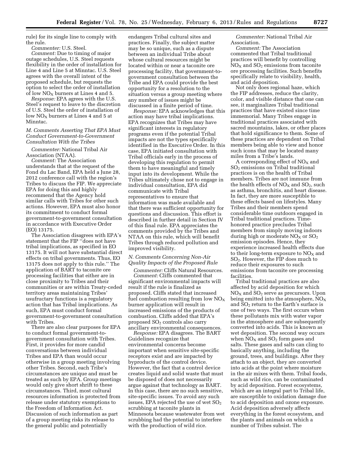rule) for its single line to comply with the rule.

*Commenter:* U.S. Steel.

*Comment:* Due to timing of major outage schedules, U.S. Steel requests flexibility in the order of installation for Line 4 and Line 5 at Minntac. U.S. Steel agrees with the overall intent of the proposed schedule, but requests the option to select the order of installation of low  $NO<sub>x</sub>$  burners at Lines 4 and 5.

*Response:* EPA agrees with the U.S. Steel's request to leave to the discretion of U.S. Steel the order of installation of low  $NO<sub>x</sub>$  burners at Lines 4 and 5 at Minntac.

# *M. Comments Asserting That EPA Must Conduct Government-to-Government Consultation With the Tribes*

*Commenter:* National Tribal Air Association (NTAA).

*Comment:* The Association understands that at the request of the Fond du Lac Band, EPA held a June 28, 2012 conference call with the region's Tribes to discuss the FIP. We appreciate EPA for doing this and highly recommend that the Agency hold similar calls with Tribes for other such actions. However, EPA must also honor its commitment to conduct formal government-to-government consultation in accordance with Executive Order (EO) 13175.

The Association disagrees with EPA's statement that the FIP ''does not have tribal implications, as specified in EO 13175. It will not have substantial direct effects on tribal governments. Thus, EO 13175 does not apply to this rule.'' The application of BART to taconite ore processing facilities that either are in close proximity to Tribes and their communities or are within Treaty-ceded territory areas maintaining Tribes' usufructary functions is a regulatory action that has Tribal implications. As such, EPA must conduct formal government-to-government consultation with Tribes.

There are also clear purposes for EPA to conduct formal government-togovernment consultation with Tribes. First, it provides for more candid conversations between individual Tribes and EPA than would occur otherwise in a group meeting involving other Tribes. Second, each Tribe's circumstances are unique and must be treated as such by EPA. Group meetings would only give short shrift to these circumstances. Third, most cultural resources information is protected from release under statutory exemptions to the Freedom of Information Act. Discussion of such information as part of a group meeting risks its release to the general public and potentially

endangers Tribal cultural sites and practices. Finally, the subject matter may be so unique, such as a dispute between an individual Tribe about whose cultural resources might be located within or near a taconite ore processing facility, that government-togovernment consultation between the Tribe and EPA could provide the best opportunity for a resolution to the situation versus a group meeting where any number of issues might be discussed in a finite period of time.

*Response:* EPA acknowledges that this action may have tribal implications. EPA recognizes that Tribes may have significant interests in regulatory programs even if the potential Tribal impacts are not the types specifically identified in the Executive Order. In this case, EPA initiated consultation with Tribal officials early in the process of developing this regulation to permit them to have meaningful and timely input into its development. While the Tribes ultimately chose not to engage in individual consultation, EPA did communicate with Tribal representatives to ensure that information was made available and that there was sufficient opportunity for questions and discussion. This effort is described in further detail in Section IV of this final rule. EPA appreciates the comments provided by the Tribes and NTAA on this rule, which will benefit Tribes through reduced pollution and improved visibility.

# *N. Comments Concerning Non-Air Quality Impacts of the Proposed Rule*

*Commenter:* Cliffs Natural Resources.

*Comment:* Cliffs commented that significant environmental impacts will result if the rule is finalized as proposed. Cliffs stated that increased fuel combustion resulting from low  $NO<sub>x</sub>$ burner application will result in increased emissions of the products of combustion. Cliffs added that EPA's proposed SO2 controls also carry ancillary environmental consequences.

*Response:* EPA disagrees. The BART Guidelines recognize that environmental concerns become important when sensitive site-specific receptors exist and are impacted by byproducts of the control device. However, the fact that a control device creates liquid and solid waste that must be disposed of does not necessarily argue against that technology as BART. In this case, there are no such sensitive, site-specific issues. To avoid any such issues, EPA rejected the use of wet  $SO<sub>2</sub>$ scrubbing at taconite plants in Minnesota because wastewater from wet scrubbing had the potential to interfere with the production of wild rice.

*Commenter:* National Tribal Air Association.

*Comment:* The Association commented that Tribal traditional practices will benefit by controlling  $NO<sub>X</sub>$  and  $SO<sub>2</sub>$  emissions from taconite ore processing facilities. Such benefits specifically relate to visibility, health, and acid deposition.

Not only does regional haze, which the FIP addresses, reduce the clarity, color, and visible distance that one can see, it marginalizes Tribal traditional practices that have existed since time immemorial. Many Tribes engage in traditional practices associated with sacred mountains, lakes, or other places that hold significance to them. Some of these practices are dependent on Tribal members being able to view and honor such icons that may be located many miles from a Tribe's lands.

A corresponding effect of  $NO<sub>x</sub>$  and SO2 emissions on Tribal traditional practices is on the health of Tribal members. Tribes are not immune from the health effects of  $NO<sub>X</sub>$  and  $SO<sub>2</sub>$ , such as asthma, bronchitis, and heart disease. In fact, they are more susceptible to these effects based on lifestyles. Many Tribes and their members spend considerable time outdoors engaged in Tribal traditional practices. Timehonored practice precludes Tribal members from simply moving indoors during high or moderate  $NO<sub>X</sub>$  or  $SO<sub>2</sub>$ emission episodes. Hence, they experience increased health effects due to their long-term exposure to  $NO<sub>x</sub>$  and SO2. However, the FIP does much to reduce their exposures to such emissions from taconite ore processing facilities.

Tribal traditional practices are also affected by acid deposition for which  $NO<sub>X</sub>$  and  $SO<sub>2</sub>$  serve as precursors. Upon being emitted into the atmosphere,  $NO<sub>X</sub>$ and  $SO<sub>2</sub>$  return to the Earth's surface is one of two ways. The first occurs when these pollutants mix with water vapor in the atmosphere and are subsequently converted into acids. This is known as wet deposition. The second way occurs when  $NO<sub>X</sub>$  and  $SO<sub>2</sub>$  form gases and salts. These gases and salts can cling to basically anything, including the ground, trees, and buildings. After they attach to an object, they are converted into acids at the point where moisture in the air mixes with them. Tribal foods, such as wild rice, can be contaminated by acid deposition. Forest ecosystems, which are an integral part to Tribal life, are susceptible to oxidation damage due to acid deposition and ozone exposure. Acid deposition adversely affects everything in the forest ecosystem, and the plants and animals on which a number of Tribes subsist. The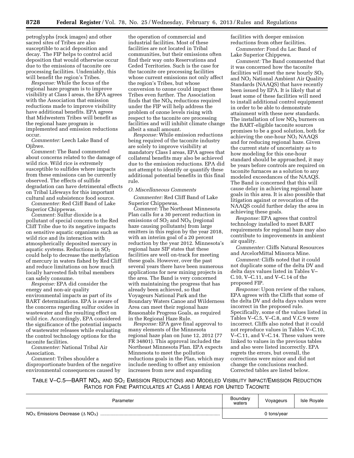petroglyphs (rock images) and other sacred sites of Tribes are also susceptible to acid deposition and decay. The FIP helps to control acid deposition that would otherwise occur due to the emissions of taconite ore processing facilities. Undeniably, this will benefit the region's Tribes.

*Response:* While the focus of the regional haze program is to improve visibility at Class I areas, the EPA agrees with the Association that emission reductions made to improve visibility have additional benefits. EPA agrees that Midwestern Tribes will benefit as the regional haze program is implemented and emission reductions occur.

*Commenter:* Leech Lake Band of Ojibwe.

*Comment:* The Band commented about concerns related to the damage of wild rice. Wild rice is extremely susceptible to sulfides where impacts from these emissions can be currently observed. The effects of sulfide degradation can have detrimental effects on Tribal Lifeways for this important cultural and subsistence food source.

*Commenter:* Red Cliff Band of Lake Superior Chippewas.

*Comment:* Sulfur dioxide is a pollutant of special concern to the Red Cliff Tribe due to its negative impacts on sensitive aquatic organisms such as wild rice and its interaction with atmospherically deposited mercury in aquatic systems. Reductions in  $SO<sub>2</sub>$ could help to decrease the methylation of mercury in waters fished by Red Cliff and reduce limitations on how much locally harvested fish tribal members can safely consume.

*Response:* EPA did consider the energy and non-air quality environmental impacts as part of its BART determinations. EPA is aware of the concerns regarding sulfur oxides in wastewater and the resulting effect on wild rice. Accordingly, EPA considered the significance of the potential impacts of wastewater releases while evaluating the control technology options for the taconite facilities.

*Commenter:* National Tribal Air Association.

*Comment:* Tribes shoulder a disproportionate burden of the negative environmental consequences caused by

the operation of commercial and industrial facilities. Most of these facilities are not located in Tribal communities, but their emissions often find their way onto Reservations and Ceded Territories. Such is the case for the taconite ore processing facilities whose current emissions not only affect the region's Tribes, but whose conversion to ozone could impact these Tribes even further. The Association finds that the  $NO<sub>x</sub>$  reductions required under the FIP will help address the problem of ozone levels rising with respect to the taconite ore processing facilities and will inhibit climate change albeit a small amount.

*Response:* While emission reductions being required of the taconite industry are solely to improve visibility at mandatory Class I areas, EPA agrees that collateral benefits may also be achieved due to the emission reductions. EPA did not attempt to identify or quantify these additional potential benefits in this final rule.

# *O. Miscellaneous Comments*

*Commenter:* Red Cliff Band of Lake Superior Chippewas.

*Comment:* The Northeast Minnesota Plan calls for a 30 percent reduction in emissions of  $SO<sub>2</sub>$  and  $NO<sub>X</sub>$  (regional haze causing pollutants) from large emitters in this region by the year 2018, with an interim goal of a 20 percent reduction by the year 2012. Minnesota's regional haze SIP states that these facilities are well on-track for meeting these goals. However, over the past several years there have been numerous applications for new mining projects in the area. The Band is very concerned with maintaining the progress that has already been achieved, so that Voyageurs National Park and the Boundary Waters Canoe and Wilderness Area can meet their regional haze Reasonable Progress Goals, as required in the Regional Haze Rule.

*Response:* EPA gave final approval to many elements of the Minnesota regional haze plan on June 12, 2012 (77 FR 34801). This approval included the Northeast Minnesota Plan. EPA expects Minnesota to meet the pollution reductions goals in the Plan, which may include needing to offset any emission increases from new and expanding

facilities with deeper emission reductions from other facilities.

*Commenter:* Fond du Lac Band of Lake Superior Chippewa.

*Comment:* The Band commented that it was concerned how the taconite facilities will meet the new hourly  $SO<sub>2</sub>$ and NO2 National Ambient Air Quality Standards (NAAQS) that have recently been issued by EPA. It is likely that at least some of these facilities will need to install additional control equipment in order to be able to demonstrate attainment with these new standards. The installation of low  $NO<sub>x</sub>$  burners on the BART-eligible taconite sources promises to be a good solution, both for achieving the one-hour NO2 NAAQS and for reducing regional haze. Given the current state of uncertainty as to how modeling for this one-hour standard should be approached, it may be years before controls are required on taconite furnaces as a solution to any modeled exceedances of the NAAQS. The Band is concerned that this will cause delay in achieving regional haze goals in this area. It is also possible that litigation against or revocation of the NAAQS could further delay the area in achieving these goals.

*Response:* EPA agrees that control technology installed to meet BART requirements for regional haze may also contribute to improvements in ambient air quality.

*Commenter:* Cliffs Natural Resources and ArcelorMittal Minorca Mine.

*Comment:* Cliffs noted that it could not duplicate some of the delta DV and delta days values listed in Tables V– C.10, V–C.11, and V–C.14 of the proposed FIP.

*Response:* Upon review of the values, EPA agrees with the Cliffs that some of the delta DV and delta days values were incorrect in the proposed rule. Specifically, some of the values listed in Tables V–C.5, V–C.8, and V.C.9 were incorrect. Cliffs also noted that it could not reproduce values in Tables V–C.10, V–C.11, and V–C.14. These values were linked to values in the previous tables and also were listed incorrectly. EPA regrets the errors, but overall, the corrections were minor and did not change the conclusions reached. Corrected tables are listed below.

TABLE V-C.5—BART  $NO<sub>X</sub>$  and  $SO<sub>2</sub>$  Emission Reductions and Modeled Visibility Impact/Emission Reduction RATIOS FOR FINE PARTICULATES AT CLASS I AREAS FOR UNITED TACONITE

| Parameter | Boundary<br>waters | Voyageurs   | Isle Royale |
|-----------|--------------------|-------------|-------------|
|           |                    | 0 tons/year |             |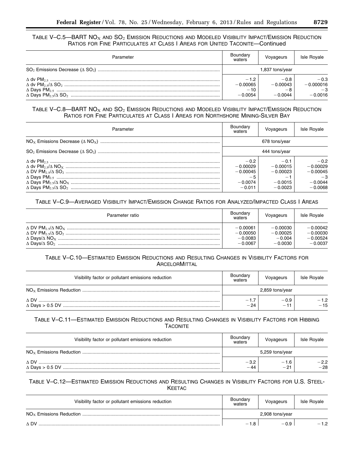TABLE V-C.5—BART  $NO<sub>X</sub>$  and  $SO<sub>2</sub>$  Emission Reductions and Modeled Visibility Impact/Emission Reduction RATIOS FOR FINE PARTICULATES AT CLASS I AREAS FOR UNITED TACONITE—Continued

| Parameter | Boundary<br>waters                         | Voyageurs                         | <b>Isle Royale</b>                         |
|-----------|--------------------------------------------|-----------------------------------|--------------------------------------------|
|           |                                            | 1,837 tons/year                   |                                            |
|           | $-1.2$<br>$-0.00065$<br>$-10$<br>$-0.0054$ | $-0.8$<br>$-0.00043$<br>$-0.0044$ | $-0.3$<br>$-0.000016$<br>$-3$<br>$-0.0016$ |

# TABLE V-C.8—BART  $NO<sub>X</sub>$  and  $SO<sub>2</sub>$  Emission Reductions and Modeled Visibility Impact/Emission Reduction RATIOS FOR FINE PARTICULATES AT CLASS I AREAS FOR NORTHSHORE MINING-SILVER BAY

| Parameter | Boundary<br>waters                                                  | Voyageurs                                                    | <b>Isle Royale</b>                                                   |
|-----------|---------------------------------------------------------------------|--------------------------------------------------------------|----------------------------------------------------------------------|
|           | 678 tons/year                                                       |                                                              |                                                                      |
|           | 444 tons/year                                                       |                                                              |                                                                      |
|           | $-0.2$<br>$-0.00029$<br>$-0.00045$<br>$-5$<br>$-0.0074$<br>$-0.011$ | $-0.1$<br>$-0.00015$<br>$-0.00023$<br>$-0.0015$<br>$-0.0023$ | $-0.2$<br>$-0.00029$<br>$-0.00045$<br>$-3$<br>$-0.0044$<br>$-0.0068$ |

# TABLE V–C.9—AVERAGED VISIBILITY IMPACT/EMISSION CHANGE RATIOS FOR ANALYZED/IMPACTED CLASS I AREAS

| Parameter ratio | Boundary<br>waters | Voyageurs  | <b>Isle Royale</b> |
|-----------------|--------------------|------------|--------------------|
|                 | $-0.00061$         | $-0.00030$ | $-0.00042$         |
|                 | $-0.00050$         | $-0.00025$ | $-0.00030$         |
|                 | $-0.0083$          | $-0.004$   | $-0.00524$         |
|                 | $-0.0067$          | $-0.0030$  | $-0.0037$          |

# TABLE V–C.10—ESTIMATED EMISSION REDUCTIONS AND RESULTING CHANGES IN VISIBILITY FACTORS FOR **ARCELORMITTAL**

| Visibility factor or pollutant emissions reduction | Boundary<br>waters | Voyageurs       | Isle Royale     |
|----------------------------------------------------|--------------------|-----------------|-----------------|
|                                                    |                    | 2,859 tons/year |                 |
| $\wedge$ DV                                        | $-1.7$<br>$-24$    | $-0.9$<br>$-11$ | $-1.2$<br>$-15$ |

# TABLE V–C.11—ESTIMATED EMISSION REDUCTIONS AND RESULTING CHANGES IN VISIBILITY FACTORS FOR HIBBING **TACONITE**

| Visibility factor or pollutant emissions reduction | Boundary<br>waters | Voyageurs       | <b>Isle Royale</b> |
|----------------------------------------------------|--------------------|-----------------|--------------------|
|                                                    |                    | 5,259 tons/year |                    |
| A DV                                               | $-3.2$<br>$-44$    | $-1.6$<br>$-21$ | $-2.2$<br>$-28$    |

# TABLE V–C.12—ESTIMATED EMISSION REDUCTIONS AND RESULTING CHANGES IN VISIBILITY FACTORS FOR U.S. STEEL-**KEETAC**

| Visibility factor or pollutant emissions reduction | Boundary<br>waters | Voyageurs       | Isle Royale |
|----------------------------------------------------|--------------------|-----------------|-------------|
|                                                    |                    | 2,908 tons/year |             |
| A DV                                               | $-1.8$             | $-0.9$          | $-12$       |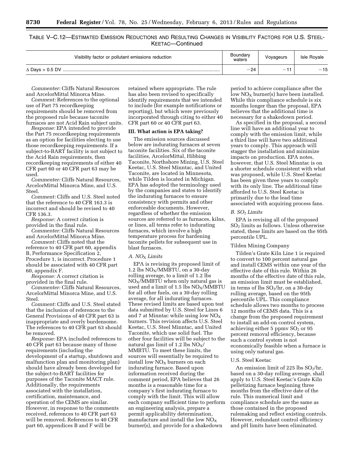TABLE V–C.12—ESTIMATED EMISSION REDUCTIONS AND RESULTING CHANGES IN VISIBILITY FACTORS FOR U.S. STEEL-KEETAC—Continued

| Visibility factor or pollutant emissions reduction | Boundary<br>waters | Vovageurs                | <b>Isle Rovale</b> |  |
|----------------------------------------------------|--------------------|--------------------------|--------------------|--|
| $\triangle$ Days > 0.5 DV                          | 24                 | $\overline{\phantom{0}}$ | 15                 |  |
|                                                    | —                  |                          | —                  |  |

*Commenter:* Cliffs Natural Resources and ArcelorMittal Minorca Mine.

*Comment:* References to the optional use of Part 75 recordkeeping requirements should be removed from the proposed rule because taconite furnaces are not Acid Rain subject units.

*Response:* EPA intended to provide the Part 75 recordkeeping requirements as an option for facilities electing to use those recordkeeping requirements. If a subject-to-BART facility is not subject to the Acid Rain requirements, then recordkeeping requirements of either 40 CFR part 60 or 40 CFR part 63 may be used.

*Commenter:* Cliffs Natural Resources, ArcelorMittal Minorca Mine, and U.S. Steel.

*Comment:* Cliffs and U.S. Steel noted that the reference to 40 CFR 163.3 is incorrect and should be revised to 40 CFR 136.3.

*Response:* A correct citation is provided in the final rule.

*Commenter:* Cliffs Natural Resources and ArcelorMittal Minorca Mine.

*Comment:* Cliffs noted that the reference to 40 CFR part 60, appendix B, Performance Specification 2, Procedure 1, is incorrect. Procedure 1 should be associated with 40 CFR part 60, appendix F.

*Response:* A correct citation is provided in the final rule.

*Commenter:* Cliffs Natural Resources, ArcelorMittal Minorca Mine, and U.S. Steel.

*Comment:* Cliffs and U.S. Steel stated that the inclusion of references to the General Provisions of 40 CFR part 63 is inappropriate and overly burdensome. The references to 40 CFR part 63 should be removed.

*Response:* EPA included references to 40 CFR part 63 because many of those requirements (including the development of a startup, shutdown and malfunction plan and monitoring plan) should have already been developed for the subject-to-BART facilities for purposes of the Taconite MACT rule. Additionally, the requirements associated with the installation, certification, maintenance, and operation of the CEMS are similar. However, in response to the comments received, references to 40 CFR part 63 will be removed. References to 40 CFR part 60, appendices B and F will be

retained where appropriate. The rule has also been revised to specifically identify requirements that we intended to include (for example notifications or reporting), but which were previously incorporated through citing to either 40 CFR part 60 or 40 CFR part 63.

# **III. What action is EPA taking?**

The emission sources discussed below are indurating furnaces at seven taconite facilities. Six of the taconite facilities, ArcelorMittal, Hibbing Taconite, Northshore Mining, U.S. Steel Keetac, U.S. Steel Minntac, and United Taconite, are located in Minnesota, while Tilden is located in Michigan. EPA has adopted the terminology used by the companies and states to identify the indurating furnaces to ensure consistency with permits and other enforceable documents. However, regardless of whether the emission sources are referred to as furnaces, kilns, or lines, all terms refer to indurating furnaces, which involve a high temperature process for hardening taconite pellets for subsequent use in blast furnaces.

# *A. NO*X *Limits*

EPA is revising its proposed limit of 1.2 lbs  $NO<sub>X</sub>/MMBTU$ , on a 30-day rolling average, to a limit of 1.2 lbs  $NO<sub>X</sub>/MMFTU$  when only natural gas is used and a limit of 1.5 lbs  $NO_X/MMBTU$ for all other fuels, on a 30-day rolling average, for all indurating furnaces. These revised limits are based upon test data submitted by U.S. Steel for Lines 6 and 7 at Minntac while using low  $NO<sub>x</sub>$ burners. This revision affects U.S. Steel Keetac, U.S. Steel Minntac, and United Taconite, which use solid fuel. The other four facilities will be subject to the natural gas limit of 1.2 lbs  $NO<sub>X</sub>/$ MMBTU. To meet these limits, the sources will essentially be required to install low  $NO<sub>X</sub>$  burners on each indurating furnace. Based upon information received during the comment period, EPA believes that 26 months is a reasonable time for a company's first indurating furnace to comply with the limit. This will allow each company sufficient time to perform an engineering analysis, prepare a permit applicability determination, manufacture and install the low  $NO<sub>x</sub>$ burner(s), and provide for a shakedown

period to achieve compliance after the  $\overline{\text{low NO}_X}$  burner(s) have been installed. While this compliance schedule is six months longer than the proposal, EPA believes that the additional time is necessary for a shakedown period.

As specified in the proposal, a second line will have an additional year to comply with the emission limit, while a third line will have two additional years to comply. This approach will stagger the installation and minimize impacts on production. EPA notes, however, that U.S. Steel Minntac is on a shorter schedule consistent with what was proposed, while U.S. Steel Keetac has been given three years to comply with its only line. The additional time afforded to U.S. Steel Keetac is primarily due to the lead time associated with acquiring process fans.

# *B. SO*2 *Limits*

EPA is revising all of the proposed SO2 limits as follows. Unless otherwise stated, these limits are based on the 95th percentile UPL.

# Tilden Mining Company

Tilden's Grate Kiln Line 1 is required to convert to 100 percent natural gas and install CEMS within one year of the effective date of this rule. Within 26 months of the effective date of this rule, an emission limit must be established, in terms of lbs  $SO_2/hr$ , on a 30-day rolling average, based on the 95th percentile UPL. This compliance schedule allows two months to process 12 months of CEMS data. This is a change from the proposed requirement to install an add-on control system, achieving either  $5$  ppmv  $SO<sub>2</sub>$  or  $95$ percent removal efficiency, because such a control system is not economically feasible when a furnace is using only natural gas.

# U.S. Steel Keetac

An emission limit of 225 lbs  $SO_2/hr$ , based on a 30-day rolling average, shall apply to U.S. Steel Keetac's Grate Kiln pelletizing furnace beginning three months from the effective date of the rule. This numerical limit and compliance schedule are the same as those contained in the proposed rulemaking and reflect existing controls. However, redundant control efficiency and pH limits have been eliminated.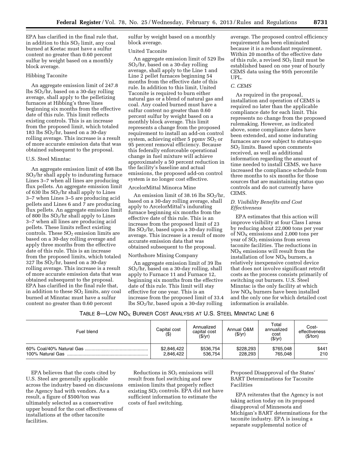EPA has clarified in the final rule that, in addition to this  $SO<sub>2</sub>$  limit, any coal burned at Keetac must have a sulfur content no greater than 0.60 percent sulfur by weight based on a monthly block average.

# Hibbing Taconite

An aggregate emission limit of 247.8  $\frac{1}{10}$  SO<sub>2</sub>/hr, based on a 30-day rolling average, shall apply to the pelletizing furnaces at Hibbing's three lines beginning six months from the effective date of this rule. This limit reflects existing controls. This is an increase from the proposed limit, which totaled 183 lbs  $SO_2/hr$ , based on a 30-day rolling average. This increase is a result of more accurate emission data that was obtained subsequent to the proposal.

# U.S. Steel Minntac

An aggregate emission limit of 498 lbs SO2/hr shall apply to indurating furnace Lines 3–7 when all lines are producing flux pellets. An aggregate emission limit of 630 lbs  $SO_2$ /hr shall apply to Lines 3–7 when Lines 3–5 are producing acid pellets and Lines 6 and 7 are producing flux pellets. An aggregate emission limit of 800 lbs SO2/hr shall apply to Lines 3–7 when all lines are producing acid pellets. These limits reflect existing controls. These  $SO<sub>2</sub>$  emission limits are based on a 30-day rolling average and apply three months from the effective date of this rule. This is an increase from the proposed limits, which totaled  $327$  lbs  $SO<sub>2</sub>/hr$ , based on a 30-day rolling average. This increase is a result of more accurate emission data that was obtained subsequent to the proposal. EPA has clarified in the final rule that, in addition to these  $SO<sub>2</sub>$  limits, any coal burned at Minntac must have a sulfur content no greater than 0.60 percent

sulfur by weight based on a monthly block average.

# United Taconite

An aggregate emission limit of 529 lbs  $SO<sub>2</sub>/hr$ , based on a 30-day rolling average, shall apply to the Line 1 and Line 2 pellet furnaces beginning 54 months from the effective date of this rule. In addition to this limit, United Taconite is required to burn either natural gas or a blend of natural gas and coal. Any coaled burned must have a sulfur content no greater than 0.60 percent sulfur by weight based on a monthly block average. This limit represents a change from the proposed requirement to install an add-on control system, achieving either  $5$  ppmv  $SO<sub>2</sub>$  or 95 percent removal efficiency. Because this federally enforceable operational change in fuel mixture will achieve approximately a 50 percent reduction in the facility's baseline and actual emissions, the proposed add-on control system is no longer cost effective.

# ArcelorMittal Minorca Mine

An emission limit of 38.16 lbs  $SO_2/hr$ , based on a 30-day rolling average, shall apply to ArcelorMittal's indurating furnace beginning six months from the effective date of this rule. This is an increase from the proposed limit of 23  $\log SO_2$ /hr, based upon a 30-day rolling average. This increase is a result of more accurate emission data that was obtained subsequent to the proposal.

#### Northshore Mining Company

An aggregate emission limit of 39 lbs SO2/hr, based on a 30-day rolling, shall apply to Furnace 11 and Furnace 12, beginning six months from the effective date of this rule. This limit will stay effective for one year. This is an increase from the proposed limit of 33.4  $\frac{1}{10}$  lbs  $SO_2$ /hr, based upon a 30-day rolling

average. The proposed control efficiency requirement has been eliminated because it is a redundant requirement. Within 20 months of the effective date of this rule, a revised  $SO<sub>2</sub>$  limit must be established based on one year of hourly CEMS data using the 95th percentile UPL.

#### *C. CEMS*

As required in the proposal, installation and operation of CEMS is required no later than the applicable compliance date for each limit. This represents no change from the proposed rulemaking. However, as indicated above, some compliance dates have been extended, and some indurating furnaces are now subject to status-quo SO2 limits. Based upon comments received, as well as additional information regarding the amount of time needed to install CEMS, we have increased the compliance schedule from three months to six months for those sources that are maintaining status quo controls and do not currently have CEMS.

# *D. Visibility Benefits and Cost Effectiveness*

EPA estimates that this action will improve visibility at four Class I areas by reducing about 22,000 tons per year of  $NO<sub>X</sub>$  emissions and 2,000 tons per year of  $SO<sub>2</sub>$  emissions from seven taconite facilities. The reductions in  $NO<sub>x</sub>$  emissions will result from the installation of low  $NO<sub>X</sub>$  burners, a relatively inexpensive control device that does not involve significant retrofit costs as the process consists primarily of switching out burners. U.S. Steel Minntac is the only facility at which low NO<sub>X</sub> burners have been installed and the only one for which detailed cost information is available.

| Table 8—Low $\mathsf{NO}_{\mathsf{X}}$ Burner Cost Analysis at U.S. Steel Minntac Line 6 $\,$ |  |
|-----------------------------------------------------------------------------------------------|--|
|-----------------------------------------------------------------------------------------------|--|

| Fuel blend       | Capital cost<br>(\$) | Annualized<br>capital cost<br>(\$/yr) | Annual O&M<br>(\$/yr) | Total<br>annualized<br>cost<br>(\$/yr) | Cost-<br>effectiveness<br>(\$/ton) |
|------------------|----------------------|---------------------------------------|-----------------------|----------------------------------------|------------------------------------|
|                  | \$2,846,422          | \$536.754                             | \$228,293             | \$765,048                              | \$441                              |
| 100% Natural Gas | 2,846,422            | 536.754                               | 228.293               | 765.048                                | 210                                |

EPA believes that the costs cited by U.S. Steel are generally applicable across the industry based on discussions the Agency had with vendors. As a result, a figure of \$500/ton was ultimately selected as a conservative upper bound for the cost effectiveness of installations at the other taconite facilities.

Reductions in  $SO<sub>2</sub>$  emissions will result from fuel switching and new emission limits that properly reflect existing SO<sub>2</sub> controls. EPA did not have sufficient information to estimate the costs of fuel switching.

Proposed Disapproval of the States' BART Determinations for Taconite Facilities

EPA reiterates that the Agency is not taking action today on its proposed disapproval of Minnesota and Michigan's BART determinations for the taconite industry. EPA is issuing a separate supplemental notice of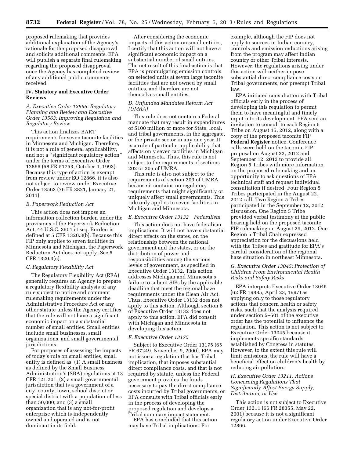proposed rulemaking that provides additional explanation of the Agency's rationale for the proposed disapproval and solicits additional comments. EPA will publish a separate final rulemaking regarding the proposed disapproval once the Agency has completed review of any additional public comments received.

# **IV. Statutory and Executive Order Reviews**

# *A. Executive Order 12866: Regulatory Planning and Review and Executive Order 13563: Improving Regulation and Regulatory Review*

This action finalizes BART requirements for seven taconite facilities in Minnesota and Michigan. Therefore, it is not a rule of general applicability, and not a ''significant regulatory action'' under the terms of Executive Order 12866 (58 FR 51753, October 4, 1993). Because this type of action is exempt from review under EO 12866, it is also not subject to review under Executive Order 13563 (76 FR 3821, January 21, 2011).

# *B. Paperwork Reduction Act*

This action does not impose an information collection burden under the provisions of the Paperwork Reduction Act, 44 U.S.C. 3501 et seq. Burden is defined at 5 CFR 1320.3(b). Because this FIP only applies to seven facilities in Minnesota and Michigan, the Paperwork Reduction Act does not apply. See 5 CFR 1320.3(c).

## *C. Regulatory Flexibility Act*

The Regulatory Flexibility Act (RFA) generally requires an Agency to prepare a regulatory flexibility analysis of any rule subject to notice and comment rulemaking requirements under the Administrative Procedure Act or any other statute unless the Agency certifies that the rule will not have a significant economic impact on a substantial number of small entities. Small entities include small businesses, small organizations, and small governmental jurisdictions.

For purposes of assessing the impacts of today's rule on small entities, small entity is defined as: (1) A small business as defined by the Small Business Administration's (SBA) regulations at 13 CFR 121.201; (2) a small governmental jurisdiction that is a government of a city, county, town, school district or special district with a population of less than 50,000; and (3) a small organization that is any not-for-profit enterprise which is independently owned and operated and is not dominant in its field.

After considering the economic impacts of this action on small entities, I certify that this action will not have a significant economic impact on a substantial number of small entities. The net result of this final action is that EPA is promulgating emission controls on selected units at seven large taconite facilities that are not owned by small entities, and therefore are not themselves small entities.

# *D. Unfunded Mandates Reform Act (UMRA)*

This rule does not contain a Federal mandate that may result in expenditures of \$100 million or more for State, local, and tribal governments, in the aggregate, or the private sector in any one year. It is a rule of particular applicability that affects only seven facilities in Michigan and Minnesota. Thus, this rule is not subject to the requirements of sections 202 or 205 of UMRA.

This rule is also not subject to the requirements of section 203 of UMRA because it contains no regulatory requirements that might significantly or uniquely affect small governments. This rule only applies to seven facilities in Michigan and Minnesota.

#### *E. Executive Order 13132 Federalism*

This action does not have federalism implications. It will not have substantial direct effects on the states, on the relationship between the national government and the states, or on the distribution of power and responsibilities among the various levels of government, as specified in Executive Order 13132. This action addresses Michigan and Minnesota's failure to submit SIPs by the applicable deadline that meet the regional haze requirements under the Clean Air Act. Thus, Executive Order 13132 does not apply to this action. Although section 6 of Executive Order 13132 does not apply to this action, EPA did consult with Michigan and Minnesota in developing this action.

## *F. Executive Order 13175*

Subject to Executive Order 13175 (65 FR 67249, November 9, 2000), EPA may not issue a regulation that has Tribal implication, that imposes substantial direct compliance costs, and that is not required by statute, unless the Federal government provides the funds necessary to pay the direct compliance costs incurred by Tribal governments, or EPA consults with Tribal officials early in the process of developing the proposed regulation and develops a Tribal summary impact statement.

EPA has concluded that this action may have Tribal implications. For

example, although the FIP does not apply to sources in Indian country, controls and emission reductions arising from the program may affect Indian country or other Tribal interests. However, the regulations arising under this action will neither impose substantial direct compliance costs on Tribal governments, nor preempt Tribal law.

EPA initiated consultation with Tribal officials early in the process of developing this regulation to permit them to have meaningful and timely input into its development. EPA sent an invitation to consult to each Region 5 Tribe on August 15, 2012, along with a copy of the proposed taconite FIP **Federal Register** notice. Conference calls were held on the taconite FIP proposal on August 22, 2012 and September 12, 2012 to provide all Region 5 Tribes with more information on the proposed rulemaking and an opportunity to ask questions of EPA technical staff and request individual consultation if desired. Four Region 5 Tribes participated in the August 22, 2012 call. Two Region 5 Tribes participated in the September 12, 2012 discussion. One Region 5 Tribe provided verbal testimony at the public hearing held on the proposed taconite FIP rulemaking on August 29, 2012. One Region 5 Tribal Chair expressed appreciation for the discussions held with the Tribes and gratitude for EPA's careful consideration of the regional haze situation in northeast Minnesota.

# *G. Executive Order 13045: Protection of Children From Environmental Health Risks and Safety Risks*

EPA interprets Executive Order 13045 (62 FR 19885, April 23, 1997) as applying only to those regulatory actions that concern health or safety risks, such that the analysis required under section 5–501 of the executive order has the potential to influence the regulation. This action is not subject to Executive Order 13045 because it implements specific standards established by Congress in statutes. However, to the extent this rule will limit emissions, the rule will have a beneficial effect on children's health by reducing air pollution.

# *H. Executive Order 13211: Actions Concerning Regulations That Significantly Affect Energy Supply, Distribution, or Use*

This action is not subject to Executive Order 13211 (66 FR 28355, May 22, 2001) because it is not a significant regulatory action under Executive Order 12866.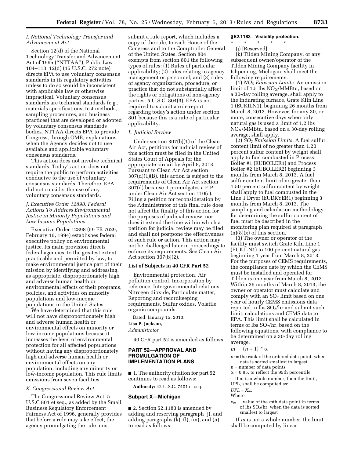# *I. National Technology Transfer and Advancement Act*

Section 12(d) of the National Technology Transfer and Advancement Act of 1995 (''NTTAA''), Public Law 104–113, 12(d) (15 U.S.C. 272 note) directs EPA to use voluntary consensus standards in its regulatory activities unless to do so would be inconsistent with applicable law or otherwise impractical. Voluntary consensus standards are technical standards (e.g., materials specifications, test methods, sampling procedures, and business practices) that are developed or adopted by voluntary consensus standards bodies. NTTAA directs EPA to provide Congress, through OMB, explanations when the Agency decides not to use available and applicable voluntary consensus standards.

This action does not involve technical standards. Today's action does not require the public to perform activities conducive to the use of voluntary consensus standards. Therefore, EPA did not consider the use of any voluntary consensus standards.

# *J. Executive Order 12898: Federal Actions To Address Environmental Justice in Minority Populations and Low-Income Populations*

Executive Order 12898 (59 FR 7629, February 16, 1994) establishes federal executive policy on environmental justice. Its main provision directs federal agencies, to the greatest extent practicable and permitted by law, to make environmental justice part of their mission by identifying and addressing, as appropriate, disproportionately high and adverse human health or environmental effects of their programs, policies, and activities on minority populations and low-income populations in the United States.

We have determined that this rule will not have disproportionately high and adverse human health or environmental effects on minority or low-income populations because it increases the level of environmental protection for all affected populations without having any disproportionately high and adverse human health or environmental effects on any population, including any minority or low-income population. This rule limits emissions from seven facilities.

#### *K. Congressional Review Act*

The Congressional Review Act, 5 U.S.C 801 et seq., as added by the Small Business Regulatory Enforcement Fairness Act of 1996, generally provides that before a rule may take effect, the agency promulgating the rule must

submit a rule report, which includes a copy of the rule, to each House of the Congress and to the Comptroller General of the United States. Section 804 exempts from section 801 the following types of rules: (1) Rules of particular applicability; (2) rules relating to agency management or personnel; and (3) rules of agency organization, procedure, or practice that do not substantially affect the rights or obligations of non-agency parties. 5 U.S.C. 804(3). EPA is not required to submit a rule report regarding today's action under section 801 because this is a rule of particular applicability.

# *L. Judicial Review*

Under section 307(b)(1) of the Clean Air Act, petitions for judicial review of this action must be filed in the United States Court of Appeals for the appropriate circuit by April 8, 2013. Pursuant to Clean Air Act section 307(d)(1)(B), this action is subject to the requirements of Clean Air Act section 307(d) because it promulgates a FIP under Clean Air Act section 110(c). Filing a petition for reconsideration by the Administrator of this final rule does not affect the finality of this action for the purposes of judicial review, nor does it extend the time within which a petition for judicial review may be filed, and shall not postpone the effectiveness of such rule or action. This action may not be challenged later in proceedings to enforce its requirements. See Clean Air Act section 307(b)(2).

# **List of Subjects in 40 CFR Part 52**

Environmental protection, Air pollution control, Incorporation by reference, Intergovernmental relations, Nitrogen dioxide, Particulate matter, Reporting and recordkeeping requirements, Sulfur oxides, Volatile organic compounds.

Dated: January 15, 2013. **Lisa P. Jackson,**  *Administrator.* 

40 CFR part 52 is amended as follows:

# **PART 52—APPROVAL AND PROMULGATION OF IMPLEMENTATION PLANS**

■ 1. The authority citation for part 52 continues to read as follows:

**Authority:** 42 U.S.C. 7401 et seq.

# **Subpart X—Michigan**

■ 2. Section 52.1183 is amended by adding and reserving paragraph (j), and adding paragraphs (k), (l), (m), and (n) to read as follows:

# **§ 52.1183 Visibility protection.**

- \* \* \* \* \*
	- (j) [Reserved]

(k) Tilden Mining Company, or any subsequent owner/operator of the Tilden Mining Company facility in Ishpeming, Michigan, shall meet the following requirements:

(1) *NOX Emission Limits.* An emission limit of 1.5 lbs  $NO<sub>X</sub>/MMB$ tu, based on a 30-day rolling average, shall apply to the indurating furnace, Grate Kiln Line 1 (EUKILN1), beginning 26 months from March 8, 2013. However, for any 30, or more, consecutive days when only natural gas is used a limit of 1.2 lbs  $NO<sub>X</sub>/MMB$ tu, based on a 30-day rolling average, shall apply.

(2) *SO2 Emission Limits.* A fuel sulfur content limit of no greater than 1.20 percent sulfur content by weight shall apply to fuel combusted in Process Boiler #1 (EUBOILER1) and Process Boiler #2 (EUBOILER2) beginning 3 months from March 8, 2013. A fuel sulfur content limit of no greater than 1.50 percent sulfur content by weight shall apply to fuel combusted in the Line 1 Dryer (EUDRYER1) beginning 3 months from March 8, 2013. The sampling and calculation methodology for determining the sulfur content of fuel must be described in the monitoring plan required at paragraph  $(n)(8)(x)$  of this section.

(3) The owner or operator of the facility must switch Grate Kiln Line 1 (EUKILN1) to 100 percent natural gas beginning 1 year from March 8, 2013. For the purposes of CEMS requirements, the compliance date by which the CEMS must be installed and operated for Tilden is one year from March 8, 2013. Within 26 months of March 8, 2013, the owner or operator must calculate and comply with an  $SO<sub>2</sub>$  limit based on one year of hourly CEMS emissions data reported in lbs SO2/hr and submit such limit, calculations and CEMS data to EPA. This limit shall be calculated in terms of lbs SO2/hr, based on the following equations, with compliance to be determined on a 30-day rolling average.

- $m (n + 1) * \alpha$
- $m =$  the rank of the ordered data point, when data is sorted smallest to largest
- *n* = number of data points  $\alpha$  = 0.95, to reflect the 95th percentile
- If m is a whole number, then the limit,

UPL, shall be computed as:

- $UPL = X_m$ ,
- Where:
- $x_m$  value of the *m*th data point in terms of lbs SO2/hr, when the data is sorted smallest to largest

If *m* is not a whole number, the limit shall be computed by linear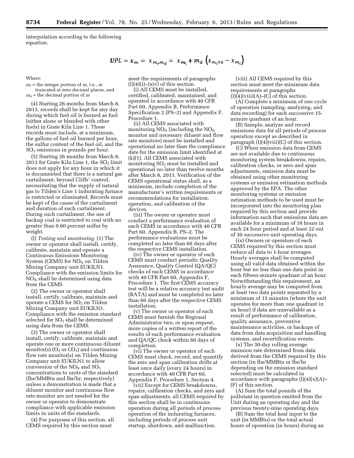interpolation according to the following equation.

Where:

 $m_t$  = the integer portion of  $m$ , i.e.,  $m$ truncated at zero decimal places, and  $m_d$  = the decimal portion of *m* 

(4) Starting 26 months from March 8, 2013, records shall be kept for any day during which fuel oil is burned as fuel (either alone or blended with other fuels) in Grate Kiln Line 1. These records must include, at a minimum, the gallons of fuel oil burned per hour, the sulfur content of the fuel oil, and the SO2 emissions in pounds per hour.

(5) Starting 26 months from March 8, 2013 for Grate Kiln Line 1, the  $SO<sub>2</sub>$  limit does not apply for any hour in which it is documented that there is a natural gas curtailment, beyond Cliffs' control, necessitating that the supply of natural gas to Tilden's Line 1 indurating furnace is restricted or eliminated. Records must be kept of the cause of the curtailment and duration of such curtailment. During such curtailment, the use of backup coal is restricted to coal with no greater than 0.60 percent sulfur by weight.

(l) *Testing and monitoring.* (1) The owner or operator shall install, certify, calibrate, maintain and operate a Continuous Emissions Monitoring System (CEMS) for  $NO<sub>X</sub>$  on Tilden Mining Company unit EUKILN1. Compliance with the emission limits for  $NO<sub>x</sub>$  shall be determined using data from the CEMS.

(2) The owner or operator shall install, certify, calibrate, maintain and operate a CEMS for SO<sub>2</sub> on Tilden Mining Company unit EUKILN1. Compliance with the emission standard selected for  $SO<sub>2</sub>$  shall be determined using data from the CEMS.

(3) The owner or operator shall install, certify, calibrate, maintain and operate one or more continuous diluent monitor(s)  $(O_2 \text{ or } CO_2)$  and continuous flow rate monitor(s) on Tilden Mining Company unit EUKILN1 to allow conversion of the  $NO<sub>x</sub>$  and  $SO<sub>2</sub>$ concentrations to units of the standard (lbs/MMBtu and lbs/hr, respectively) unless a demonstration is made that a diluent monitor and continuous flow rate monitor are not needed for the owner or operator to demonstrate compliance with applicable emission limits in units of the standards.

(4) For purposes of this section, all CEMS required by this section must

meet the requirements of paragraphs 
$$
(l)(4)(i) - (xiv)
$$
 of this section.

 $UPL = x_m = x_{m_i,m_d} = x_{m_i} + m_d \left( x_{m_i+1} - x_{m_i} \right)$ 

(i) All CEMS must be installed, certified, calibrated, maintained, and operated in accordance with 40 CFR Part 60, Appendix B, Performance Specification 2 (PS–2) and Appendix F, Procedure 1.

(ii) All CEMS associated with monitoring  $NO<sub>X</sub>$  (including the  $NO<sub>X</sub>$ monitor and necessary diluent and flow rate monitors) must be installed and operational no later than the compliance date for the emission limit identified at (k)(1). All CEMS associated with monitoring  $SO<sub>2</sub>$  must be installed and operational no later than twelve months after March 8, 2013. Verification of the CEMS operational status shall, as a minimum, include completion of the manufacturer's written requirements or recommendations for installation, operation, and calibration of the devices.

(iii) The owner or operator must conduct a performance evaluation of each CEMS in accordance with 40 CFR Part 60, Appendix B, PS–2. The performance evaluations must be completed no later than 60 days after the respective CEMS installation.

(iv) The owner or operator of each CEMS must conduct periodic Quality Assurance, Quality Control (QA/QC) checks of each CEMS in accordance with 40 CFR Part 60, Appendix F, Procedure 1. The first CEMS accuracy test will be a relative accuracy test audit (RATA) and must be completed no later than 60 days after the respective CEMS installation.

(v) The owner or operator of each CEMS must furnish the Regional Administrator two, or upon request, more copies of a written report of the results of each performance evaluation and QA/QC check within 60 days of completion.

(vi) The owner or operator of each CEMS must check, record, and quantify the zero and span calibration drifts at least once daily (every 24 hours) in accordance with 40 CFR Part 60, Appendix F, Procedure 1, Section 4.

(vii) Except for CEMS breakdowns, repairs, calibration checks, and zero and span adjustments, all CEMS required by this section shall be in continuous operation during all periods of process operation of the indurating furnaces, including periods of process unit startup, shutdown, and malfunction.

(viii) All CEMS required by this section must meet the minimum data requirements at paragraphs  $(l)(4)(viii)(A)$ – $(C)$  of this section.

(A) Complete a minimum of one cycle of operation (sampling, analyzing, and data recording) for each successive 15 minute quadrant of an hour.

(B) Sample, analyze and record emissions data for all periods of process operation except as described in paragraph  $(l)(4)(viii)(C)$  of this section.

(C) When emission data from CEMS are not available due to continuous monitoring system breakdowns, repairs, calibration checks, or zero and span adjustments, emission data must be obtained using other monitoring systems or emission estimation methods approved by the EPA. The other monitoring systems or emission estimation methods to be used must be incorporated into the monitoring plan required by this section and provide information such that emissions data are available for a minimum of 18 hours in each 24 hour period and at least 22 out of 30 successive unit operating days.

(ix) Owners or operators of each CEMS required by this section must reduce all data to 1-hour averages. Hourly averages shall be computed using all valid data obtained within the hour but no less than one data point in each fifteen-minute quadrant of an hour. Notwithstanding this requirement, an hourly average may be computed from at least two data points separated by a minimum of 15 minutes (where the unit operates for more than one quadrant in an hour) if data are unavailable as a result of performance of calibration, quality assurance, preventive maintenance activities, or backups of data from data acquisition and handling systems, and recertification events.

(x) The 30-day rolling average emission rate determined from data derived from the CEMS required by this section (in lbs/MMBtu or lbs/hr depending on the emission standard selected) must be calculated in accordance with paragraphs  $(l)(4)(x)(A)$ – (F) of this section.

(A) Sum the total pounds of the pollutant in question emitted from the Unit during an operating day and the previous twenty-nine operating days.

(B) Sum the total heat input to the unit (in MMBtu) or the total actual hours of operation (in hours) during an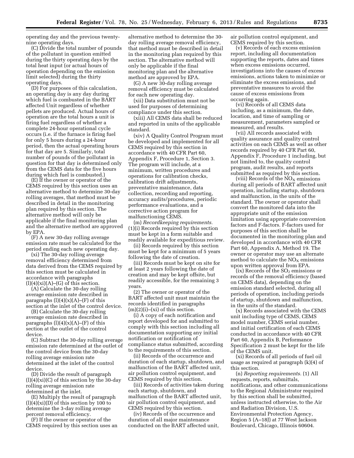operating day and the previous twentynine operating days.

(C) Divide the total number of pounds of the pollutant in question emitted during the thirty operating days by the total heat input (or actual hours of operation depending on the emission limit selected) during the thirty operating days.

(D) For purposes of this calculation, an operating day is any day during which fuel is combusted in the BART affected Unit regardless of whether pellets are produced. Actual hours of operation are the total hours a unit is firing fuel regardless of whether a complete 24-hour operational cycle occurs (i.e. if the furnace is firing fuel for only 5 hours during a 24-hour period, then the actual operating hours for that day are 5. Similarly, total number of pounds of the pollutant in question for that day is determined only from the CEMS data for the five hours during which fuel is combusted.)

(E) If the owner or operator of the CEMS required by this section uses an alternative method to determine 30-day rolling averages, that method must be described in detail in the monitoring plan required by this section. The alternative method will only be applicable if the final monitoring plan and the alternative method are approved by EPA.

(F) A new 30-day rolling average emission rate must be calculated for the period ending each new operating day.

(xi) The 30-day rolling average removal efficiency determined from data derived from the CEMS required by this section must be calculated in accordance with paragraphs  $(l)(4)(xi)(A)$ – $(G)$  of this section.

(A) Calculate the 30-day rolling average emission rate described in paragraphs  $(l)(4)(x)(A)$ –(F) of this section at the inlet of the control device.

(B) Calculate the 30-day rolling average emission rate described in paragraphs  $(l)(4)(x)(A)$ –(F) of this section at the outlet of the control device.

(C) Subtract the 30-day rolling average emission rate determined at the outlet of the control device from the 30-day rolling average emission rate determined at the inlet of the control device.

(D) Divide the result of paragraph  $(l)(4)(xi)(C)$  of this section by the 30-day rolling average emission rate determined at the inlet.

(E) Multiply the result of paragraph  $(l)(4)(xi)(D)$  of this section by 100 to determine the 3-day rolling average percent removal efficiency.

(F) If the owner or operator of the CEMS required by this section uses an alternative method to determine the 30 day rolling average removal efficiency, that method must be described in detail in the monitoring plan required by this section. The alternative method will only be applicable if the final monitoring plan and the alternative method are approved by EPA.

(G) A new 30-day rolling average removal efficiency must be calculated for each new operating day.

(xii) Data substitution must not be used for purposes of determining compliance under this section.

(xiii) All CEMS data shall be reduced and reported in units of the applicable standard.

(xiv) A Quality Control Program must be developed and implemented for all CEMS required by this section in accordance with 40 CFR Part 60, Appendix F, Procedure 1, Section 3. The program will include, at a minimum, written procedures and operations for calibration checks, calibration drift adjustments, preventative maintenance, data collection, recording and reporting, accuracy audits/procedures, periodic performance evaluations, and a corrective action program for malfunctioning CEMS.

(m) *Recordkeeping requirements.*  (1)(i) Records required by this section must be kept in a form suitable and readily available for expeditious review.

(ii) Records required by this section must be kept for a minimum of 5 years following the date of creation.

(iii) Records must be kept on site for at least 2 years following the date of creation and may be kept offsite, but readily accessible, for the remaining 3 years.

(2) The owner or operator of the BART affected unit must maintain the records identified in paragraphs  $(m)(2)(i)$ –(xi) of this section.

(i) A copy of each notification and report developed for and submitted to comply with this section including all documentation supporting any initial notification or notification of compliance status submitted, according to the requirements of this section.

(ii) Records of the occurrence and duration of each startup, shutdown, and malfunction of the BART affected unit, air pollution control equipment, and CEMS required by this section.

(iii) Records of activities taken during each startup, shutdown, and malfunction of the BART affected unit, air pollution control equipment, and CEMS required by this section.

(iv) Records of the occurrence and duration of all major maintenance conducted on the BART affected unit, air pollution control equipment, and CEMS required by this section.

(v) Records of each excess emission report, including all documentation supporting the reports, dates and times when excess emissions occurred, investigations into the causes of excess emissions, actions taken to minimize or eliminate the excess emissions, and preventative measures to avoid the cause of excess emissions from occurring again.

(vi) Records of all CEMS data including, as a minimum, the date, location, and time of sampling or measurement, parameters sampled or measured, and results.

(vii) All records associated with quality assurance and quality control activities on each CEMS as well as other records required by 40 CFR Part 60, Appendix F, Procedure 1 including, but not limited to, the quality control program, audit results, and reports submitted as required by this section.

(viii) Records of the  $NO<sub>X</sub>$  emissions during all periods of BART affected unit operation, including startup, shutdown and malfunction, in the units of the standard. The owner or operator shall convert the monitored data into the appropriate unit of the emission limitation using appropriate conversion factors and F-factors. F-factors used for purposes of this section shall be documented in the monitoring plan and developed in accordance with 40 CFR Part 60, Appendix A, Method 19. The owner or operator may use an alternate method to calculate the  $NO<sub>x</sub>$  emissions upon written approval from EPA.

 $(ix)$  Records of the  $SO<sub>2</sub>$  emissions or records of the removal efficiency (based on CEMS data), depending on the emission standard selected, during all periods of operation, including periods of startup, shutdown and malfunction, in the units of the standard.

(x) Records associated with the CEMS unit including type of CEMS, CEMS model number, CEMS serial number, and initial certification of each CEMS conducted in accordance with 40 CFR Part 60, Appendix B, Performance Specification 2 must be kept for the life of the CEMS unit.

(xi) Records of all periods of fuel oil usage as required at paragraph (k)(4) of this section.

(n) *Reporting requirements.* (1) All requests, reports, submittals, notifications, and other communications to the Regional Administrator required by this section shall be submitted, unless instructed otherwise, to the Air and Radiation Division, U.S. Environmental Protection Agency, Region 5 (A–18J) at 77 West Jackson Boulevard, Chicago, Illinois 60604.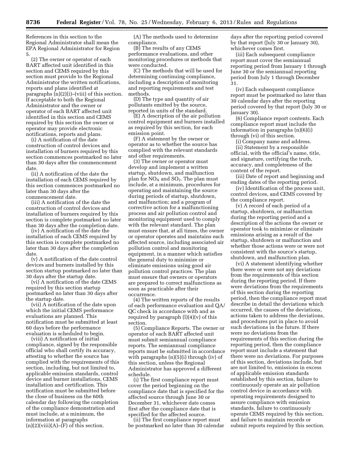References in this section to the Regional Administrator shall mean the EPA Regional Administrator for Region 5.

(2) The owner or operator of each BART affected unit identified in this section and CEMS required by this section must provide to the Regional Administrator the written notifications, reports and plans identified at paragraphs (n)(2)(i)–(viii) of this section. If acceptable to both the Regional Administrator and the owner or operator of each BART affected unit identified in this section and CEMS required by this section the owner or operator may provide electronic notifications, reports and plans.

(i) A notification of the date construction of control devices and installation of burners required by this section commences postmarked no later than 30 days after the commencement date.

(ii) A notification of the date the installation of each CEMS required by this section commences postmarked no later than 30 days after the commencement date.

(iii) A notification of the date the construction of control devices and installation of burners required by this section is complete postmarked no later than 30 days after the completion date.

(iv) A notification of the date the installation of each CEMS required by this section is complete postmarked no later than 30 days after the completion date.

(v) A notification of the date control devices and burners installed by this section startup postmarked no later than 30 days after the startup date.

(vi) A notification of the date CEMS required by this section startup postmarked no later than 30 days after the startup date.

(vii) A notification of the date upon which the initial CEMS performance evaluations are planned. This notification must be submitted at least 60 days before the performance evaluation is scheduled to begin.

(viii) A notification of initial compliance, signed by the responsible official who shall certify its accuracy, attesting to whether the source has complied with the requirements of this section, including, but not limited to, applicable emission standards, control device and burner installations, CEMS installation and certification. This notification must be submitted before the close of business on the 60th calendar day following the completion of the compliance demonstration and must include, at a minimum, the information at paragraphs  $(n)(2)(viii)(A)$ – $(F)$  of this section.

(A) The methods used to determine compliance.

(B) The results of any CEMS performance evaluations, and other monitoring procedures or methods that were conducted.

(C) The methods that will be used for determining continuing compliance, including a description of monitoring and reporting requirements and test methods.

(D) The type and quantity of air pollutants emitted by the source, reported in units of the standard.

(E) A description of the air pollution control equipment and burners installed as required by this section, for each emission point.

(F) A statement by the owner or operator as to whether the source has complied with the relevant standards and other requirements.

(3) The owner or operator must develop and implement a written startup, shutdown, and malfunction plan for  $NO<sub>X</sub>$  and  $SO<sub>2</sub>$ . The plan must include, at a minimum, procedures for operating and maintaining the source during periods of startup, shutdown, and malfunction; and a program of corrective action for a malfunctioning process and air pollution control and monitoring equipment used to comply with the relevant standard. The plan must ensure that, at all times, the owner or operator operates and maintains each affected source, including associated air pollution control and monitoring equipment, in a manner which satisfies the general duty to minimize or eliminate emissions using good air pollution control practices. The plan must ensure that owners or operators are prepared to correct malfunctions as soon as practicable after their occurrence.

(4) The written reports of the results of each performance evaluation and QA/ QC check in accordance with and as required by paragraph  $(l)(4)(v)$  of this section.

(5) Compliance Reports. The owner or operator of each BART affected unit must submit semiannual compliance reports. The semiannual compliance reports must be submitted in accordance with paragraphs (n)(5)(i) through (iv) of this section, unless the Regional Administrator has approved a different schedule.

(i) The first compliance report must cover the period beginning on the compliance date that is specified for the affected source through June 30 or December 31, whichever date comes first after the compliance date that is specified for the affected source.

(ii) The first compliance report must be postmarked no later than 30 calendar days after the reporting period covered by that report (July 30 or January 30), whichever comes first.

(iii) Each subsequent compliance report must cover the semiannual reporting period from January 1 through June 30 or the semiannual reporting period from July 1 through December 31.

(iv) Each subsequent compliance report must be postmarked no later than 30 calendar days after the reporting period covered by that report (July 30 or January 30).

(6) Compliance report contents. Each compliance report must include the information in paragraphs (n)(6)(i) through (vi) of this section.

(i) Company name and address. (ii) Statement by a responsible official, with the official's name, title, and signature, certifying the truth, accuracy, and completeness of the content of the report.

(iii) Date of report and beginning and ending dates of the reporting period.

(iv) Identification of the process unit, control devices, and CEMS covered by the compliance report.

(v) A record of each period of a startup, shutdown, or malfunction during the reporting period and a description of the actions the owner or operator took to minimize or eliminate emissions arising as a result of the startup, shutdown or malfunction and whether those actions were or were not consistent with the source's startup, shutdown, and malfunction plan.

(vi) A statement identifying whether there were or were not any deviations from the requirements of this section during the reporting period. If there were deviations from the requirements of this section during the reporting period, then the compliance report must describe in detail the deviations which occurred, the causes of the deviations, actions taken to address the deviations, and procedures put in place to avoid such deviations in the future. If there were no deviations from the requirements of this section during the reporting period, then the compliance report must include a statement that there were no deviations. For purposes of this section, deviations include, but are not limited to, emissions in excess of applicable emission standards established by this section, failure to continuously operate an air pollution control device in accordance with operating requirements designed to assure compliance with emission standards, failure to continuously operate CEMS required by this section, and failure to maintain records or submit reports required by this section.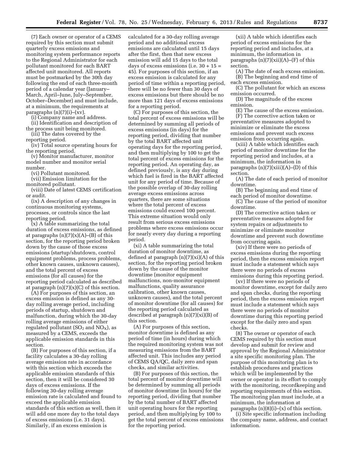(7) Each owner or operator of a CEMS required by this section must submit quarterly excess emissions and monitoring system performance reports to the Regional Administrator for each pollutant monitored for each BART affected unit monitored. All reports must be postmarked by the 30th day following the end of each three-month period of a calendar year (January– March, April–June, July–September, October–December) and must include, at a minimum, the requirements at paragraphs (n)(7)(i)–(xv).

(i) Company name and address.

(ii) Identification and description of the process unit being monitored. (iii) The dates covered by the

reporting period.

(iv) Total source operating hours for the reporting period.

(v) Monitor manufacturer, monitor model number and monitor serial number.

(vi) Pollutant monitored.

(vii) Emission limitation for the monitored pollutant.

(viii) Date of latest CEMS certification or audit.

(ix) A description of any changes in continuous monitoring systems, processes, or controls since the last reporting period.

(x) A table summarizing the total duration of excess emissions, as defined at paragraphs  $(n)(7)(x)(A)$ – $(B)$  of this section, for the reporting period broken down by the cause of those excess emissions (startup/shutdown, control equipment problems, process problems, other known causes, unknown causes), and the total percent of excess emissions (for all causes) for the reporting period calculated as described at paragraph  $(n)(7)(x)(C)$  of this section.

(A) For purposes of this section, an excess emission is defined as any 30 day rolling average period, including periods of startup, shutdown and malfunction, during which the 30-day rolling average emissions of either regulated pollutant  $(SO_2 \text{ and } NO_X)$ , as measured by a CEMS, exceeds the applicable emission standards in this section.

(B) For purposes of this section, if a facility calculates a 30-day rolling average emission rate in accordance with this section which exceeds the applicable emission standards of this section, then it will be considered 30 days of excess emissions. If the following 30-day rolling average emission rate is calculated and found to exceed the applicable emission standards of this section as well, then it will add one more day to the total days of excess emissions (i.e. 31 days). Similarly, if an excess emission is

calculated for a 30-day rolling average period and no additional excess emissions are calculated until 15 days after the first, then that new excess emission will add 15 days to the total days of excess emissions (i.e.  $30 + 15 =$ 45). For purposes of this section, if an excess emission is calculated for any period of time within a reporting period, there will be no fewer than 30 days of excess emissions but there should be no more than 121 days of excess emissions for a reporting period.

(C) For purposes of this section, the total percent of excess emissions will be determined by summing all periods of excess emissions (in days) for the reporting period, dividing that number by the total BART affected unit operating days for the reporting period, and then multiplying by 100 to get the total percent of excess emissions for the reporting period. An operating day, as defined previously, is any day during which fuel is fired in the BART affected unit for any period of time. Because of the possible overlap of 30-day rolling average excess emissions across quarters, there are some situations where the total percent of excess emissions could exceed 100 percent. This extreme situation would only result from serious excess emissions problems where excess emissions occur for nearly every day during a reporting period.

(xi) A table summarizing the total duration of monitor downtime, as defined at paragraph  $(n)(7)(xi)(A)$  of this section, for the reporting period broken down by the cause of the monitor downtime (monitor equipment malfunctions, non-monitor equipment malfunctions, quality assurance calibration, other known causes, unknown causes), and the total percent of monitor downtime (for all causes) for the reporting period calculated as described at paragraph (n)(7)(xi)(B) of this section.

(A) For purposes of this section, monitor downtime is defined as any period of time (in hours) during which the required monitoring system was not measuring emissions from the BART affected unit. This includes any period of CEMS QA/QC, daily zero and span checks, and similar activities.

(B) For purposes of this section, the total percent of monitor downtime will be determined by summing all periods of monitor downtime (in hours) for the reporting period, dividing that number by the total number of BART affected unit operating hours for the reporting period, and then multiplying by 100 to get the total percent of excess emissions for the reporting period.

(xii) A table which identifies each period of excess emissions for the reporting period and includes, at a minimum, the information in paragraphs  $(n)(7)(xii)(A)$ – $(F)$  of this section.

(A) The date of each excess emission. (B) The beginning and end time of each excess emission.

(C) The pollutant for which an excess emission occurred.

(D) The magnitude of the excess emission.

(E) The cause of the excess emission. (F) The corrective action taken or preventative measures adopted to minimize or eliminate the excess emissions and prevent such excess emission from occurring again.

(xiii) A table which identifies each period of monitor downtime for the reporting period and includes, at a minimum, the information in paragraphs  $(n)(7)(xiii)(A)$ – $(D)$  of this section.

(A) The date of each period of monitor downtime.

(B) The beginning and end time of each period of monitor downtime.

(C) The cause of the period of monitor downtime.

(D) The corrective action taken or preventative measures adopted for system repairs or adjustments to minimize or eliminate monitor downtime and prevent such downtime from occurring again.

(xiv) If there were no periods of excess emissions during the reporting period, then the excess emission report must include a statement which says there were no periods of excess emissions during this reporting period.

(xv) If there were no periods of monitor downtime, except for daily zero and span checks, during the reporting period, then the excess emission report must include a statement which says there were no periods of monitor downtime during this reporting period except for the daily zero and span checks.

(8) The owner or operator of each CEMS required by this section must develop and submit for review and approval by the Regional Administrator a site specific monitoring plan. The purpose of this monitoring plan is to establish procedures and practices which will be implemented by the owner or operator in its effort to comply with the monitoring, recordkeeping and reporting requirements of this section. The monitoring plan must include, at a minimum, the information at paragraphs  $(n)(8)(i)$ – $(x)$  of this section.

(i) Site specific information including the company name, address, and contact information.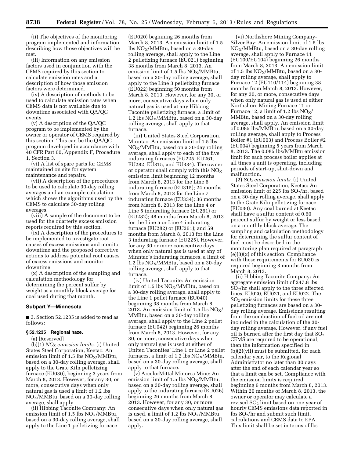(ii) The objectives of the monitoring program implemented and information describing how those objectives will be met.

(iii) Information on any emission factors used in conjunction with the CEMS required by this section to calculate emission rates and a description of how those emission factors were determined.

(iv) A description of methods to be used to calculate emission rates when CEMS data is not available due to downtime associated with QA/QC events.

(v) A description of the QA/QC program to be implemented by the owner or operator of CEMS required by this section. This can be the QA/QC program developed in accordance with 40 CFR Part 60, Appendix F, Procedure 1, Section 3.

(vi) A list of spare parts for CEMS maintained on site for system maintenance and repairs.

(vii) A description of the procedures to be used to calculate 30-day rolling averages and an example calculation which shows the algorithms used by the CEMS to calculate 30-day rolling averages.

(viii) A sample of the document to be used for the quarterly excess emission reports required by this section.

(ix) A description of the procedures to be implemented to investigate root causes of excess emissions and monitor downtime and the proposed corrective actions to address potential root causes of excess emissions and monitor downtime.

(x) A description of the sampling and calculation methodology for determining the percent sulfur by weight as a monthly block average for coal used during that month.

# **Subpart Y—Minnesota**

■ 3. Section 52.1235 is added to read as follows:

#### **§ 52.1235 Regional haze.**

(a) [Reserved]

(b)(1) *NOX emission limits.* (i) United States Steel Corporation, Keetac: An emission limit of 1.5 lbs  $NO<sub>X</sub>/MMBtu$ , based on a 30-day rolling average, shall apply to the Grate Kiln pelletizing furnace (EU030), beginning 3 years from March 8, 2013. However, for any 30, or more, consecutive days when only natural gas is used a limit of 1.2 lbs  $NO<sub>X</sub>/M$ MBtu, based on a 30-day rolling average, shall apply.

(ii) Hibbing Taconite Company: An emission limit of 1.5 lbs  $NO_X/MM$ Btu, based on a 30-day rolling average, shall apply to the Line 1 pelletizing furnace

(EU020) beginning 26 months from March 8, 2013. An emission limit of 1.5 lbs  $NO<sub>x</sub>/MMB$ tu, based on a 30-day rolling average, shall apply to the Line 2 pelletizing furnace (EU021) beginning 38 months from March 8, 2013. An emission limit of 1.5 lbs  $NO<sub>X</sub>/MMB$ tu, based on a 30-day rolling average, shall apply to the Line 3 pelletizing furnace (EU022) beginning 50 months from March 8, 2013. However, for any 30, or more, consecutive days when only natural gas is used at any Hibbing Taconite pelletizing furnace, a limit of 1.2 lbs  $NO_X/MMBU$ , based on a 30-day rolling average, shall apply to that furnace.

(iii) United States Steel Corporation, Minntac: An emission limit of 1.5 lbs  $NO<sub>X</sub>/MMB$ tu, based on a 30-day rolling average, shall apply to each of the five indurating furnaces (EU225, EU261, EU282, EU315, and EU334). The owner or operator shall comply with this  $NO<sub>x</sub>$ emission limit beginning 12 months from March 8, 2013 for the Line 6 indurating furnace (EU315); 24 months from March 8, 2013 for the Line 7 indurating furnace (EU334); 36 months from March 8, 2013 for the Line 4 or Line 5 indurating furnace (EU261) or (EU282); 48 months from March 8, 2013 for the Line 5 or Line 4 indurating furnace (EU282) or (EU261); and 59 months from March 8, 2013 for the Line 3 indurating furnace (EU225). However, for any 30 or more consecutive days when only natural gas is used at any of Minntac's indurating furnaces, a limit of 1.2 lbs  $NO_X/MM$ Btu, based on a 30-day rolling average, shall apply to that furnace.

(iv) United Taconite: An emission limit of 1.5 lbs  $NO_X/MM$ Btu, based on a 30-day rolling average, shall apply to the Line 1 pellet furnace (EU040) beginning 38 months from March 8, 2013. An emission limit of 1.5 lbs  $NO_X/$ MMBtu, based on a 30-day rolling average, shall apply to the Line 2 pellet furnace (EU042) beginning 26 months from March 8, 2013. However, for any 30, or more, consecutive days when only natural gas is used at either of United Taconites' Line 1 or Line 2 pellet furnaces, a limit of 1.2 lbs  $NO_X/MM$ Btu, based on a 30-day rolling average, shall apply to that furnace.

(v) ArcelorMittal Minorca Mine: An emission limit of 1.5 lbs  $NO<sub>X</sub>/MMB$ tu, based on a 30-day rolling average, shall apply to the indurating furnace (EU026) beginning 26 months from March 8, 2013. However, for any 30, or more, consecutive days when only natural gas is used, a limit of 1.2 lbs  $NO<sub>X</sub>/MMBtu$ , based on a 30-day rolling average, shall apply.

(vi) Northshore Mining Company-Silver Bay: An emission limit of 1.5 lbs  $NO<sub>X</sub>/MMB$ tu, based on a 30-day rolling average, shall apply to Furnace 11 (EU100/EU104) beginning 26 months from March 8, 2013. An emission limit of 1.5 lbs  $NO_X/MM$ Btu, based on a 30day rolling average, shall apply to Furnace 12 (EU110/114) beginning 38 months from March 8, 2013. However, for any 30, or more, consecutive days when only natural gas is used at either Northshore Mining Furnace 11 or Furnace 12, a limit of 1.2 lbs  $NO_X/$ MMBtu, based on a 30-day rolling average, shall apply. An emission limit of 0.085 lbs/MMBtu, based on a 30-day rolling average, shall apply to Process Boiler #1 (EU003) and Process Boiler #2 (EU004) beginning 5 years from March 8, 2013. The 0.085 lbs/MMBtu emission limit for each process boiler applies at all times a unit is operating, including periods of start-up, shut-down and malfunction.

(2) *SO*2 *emission limits.* (i) United States Steel Corporation, Keetac: An emission limit of 225 lbs  $SO_2/hr$ , based on a 30-day rolling average, shall apply to the Grate Kiln pelletizing furnace (EU030). Any coal burned at Keetac shall have a sulfur content of 0.60 percent sulfur by weight or less based on a monthly block average. The sampling and calculation methodology for determining the sulfur content of fuel must be described in the monitoring plan required at paragraph (e)(8)(x) of this section. Compliance with these requirements for EU030 is required beginning 3 months from March 8, 2013.

(ii) Hibbing Taconite Company: An aggregate emission limit of 247.8 lbs SO2/hr shall apply to the three affected lines, EU020, EU021, and EU022. The  $SO<sub>2</sub>$  emission limits for these three pelletizing furnaces are based on a 30 day rolling average. Emissions resulting from the combustion of fuel oil are not included in the calculation of the 30 day rolling average. However, if any fuel oil is burned after the first day that  $SO<sub>2</sub>$ CEMS are required to be operational, then the information specified in (b)(2)(vii) must be submitted, for each calendar year, to the Regional Administrator no later than 30 days after the end of each calendar year so that a limit can be set. Compliance with the emission limits is required beginning 6 months from March 8, 2013. Within 20 months of March 8, 2013, the owner or operator may calculate a revised SO2 limit based on one year of hourly CEMS emissions data reported in lbs  $SO_2$ /hr and submit such limit, calculations and CEMS data to EPA. This limit shall be set in terms of lbs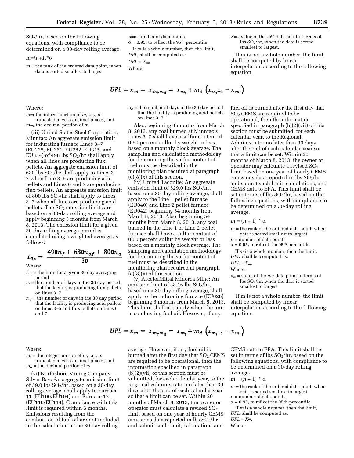SO2/hr, based on the following equations, with compliance to be determined on a 30-day rolling average.

*m=(n+1)\**a

*m* = the rank of the ordered data point, when data is sorted smallest to largest

Where:

*m=*i the integer portion of *m,* i.e., *m* 

truncated at zero decimal places, and *m=*d the decimal portion of *m* 

(iii) United States Steel Corporation, Minntac: An aggregate emission limit for indurating furnace Lines 3–7 (EU225, EU261, EU282, EU315, and EU334) of 498 lbs  $SO<sub>2</sub>/hr$  shall apply when all lines are producing flux pellets. An aggregate emission limit of 630 lbs  $SO_2$ /hr shall apply to Lines 3-7 when Line 3–5 are producing acid pellets and Lines 6 and 7 are producing flux pellets. An aggregate emission limit of 800 lbs  $SO_2$ /hr shall apply to Lines 3–7 when all lines are producing acid pellets. The  $SO<sub>2</sub>$  emission limits are based on a 30-day rolling average and apply beginning 3 months from March 8, 2013. The emission limit for a given 30-day rolling average period is calculated using a weighted average as follows:

$$
L_{3\text{O}} = \frac{498n_f + 630n_{af} + 800n_a}{30}
$$

Where:

- $L_{30}$  = the limit for a given 30 day averaging period
- $n_f$  = the number of days in the 30 day period that the facility is producing flux pellets on lines 3–7
- $n_{af}$  = the number of days in the 30 day period that the facility is producing acid pellets on lines 3–5 and flux pellets on lines 6 and 7

Where:

 $m_i$  = the integer portion of  $m$ , i.e.,  $m$ truncated at zero decimal places, and  $m_{\alpha}$  = the decimal portion of *m* 

(vi) Northshore Mining Company— Silver Bay: An aggregate emission limit of 39.0 lbs  $SO_2/hr$ , based on a 30-day rolling average, shall apply to Furnace 11 (EU100/EU104) and Furnace 12 (EU110/EU114). Compliance with this limit is required within 6 months. Emissions resulting from the combustion of fuel oil are not included in the calculation of the 30-day rolling

$$
n=\alpha
$$
 number of data points  
 $\alpha = 0.95$ , to reflect the 95<sup>th</sup> percentile

If *m* is a whole number, then the limit,

*UPL,* shall be computed as:

$$
PL=X_{\rm m},
$$

Where:

*UPL* = *X*m,

$$
UPL = x_m = x_{m_i m_d} = x_{m_i} + m_d \left( x_{m_i + 1} - x_{m_i} \right)
$$

 $n_a$  = the number of days in the 30 day period that the facility is producing acid pellets on lines 3–7

Also, beginning 3 months from March 8, 2013, any coal burned at Minntac's Lines 3–7 shall have a sulfur content of 0.60 percent sulfur by weight or less based on a monthly block average. The sampling and calculation methodology for determining the sulfur content of fuel must be described in the monitoring plan required at paragraph  $(e)(8)(x)$  of this section.

(iv) United Taconite: An aggregate emission limit of 529.0 lbs  $S\widetilde{O}_2/hr$ , based on a 30-day rolling average, shall apply to the Line 1 pellet furnace (EU040) and Line 2 pellet furnace (EU042) beginning 54 months from March 8, 2013. Also, beginning 54 months from March 8, 2013, any coal burned in the Line 1 or Line 2 pellet furnace shall have a sulfur content of 0.60 percent sulfur by weight or less based on a monthly block average. The sampling and calculation methodology for determining the sulfur content of fuel must be described in the monitoring plan required at paragraph  $(e)(8)(x)$  of this section.

(v) ArcelorMittal Minorca Mine: An emission limit of 38.16 lbs  $SO_2/hr$ , based on a 30-day rolling average, shall apply to the indurating furnace (EU026) beginning 6 months from March 8, 2013. This limit shall not apply when the unit is combusting fuel oil. However, if any

$$
UPL = x_m = x_{m_i + m_d} = x_{m_i} + m_d \left( x_{m_i + 1} - x_{m_i} \right)
$$

average. However, if any fuel oil is burned after the first day that  $SO<sub>2</sub>$  CEMS are required to be operational, then the information specified in paragraph (b)(2)(vii) of this section must be submitted, for each calendar year, to the Regional Administrator no later than 30 days after the end of each calendar year so that a limit can be set. Within 20 months of March 8, 2013, the owner or operator must calculate a revised  $SO<sub>2</sub>$ limit based on one year of hourly CEMS emissions data reported in  $\frac{1}{10}$  SO<sub>2</sub>/hr and submit such limit, calculations and

*X=*<sup>m</sup> value of the *m*th data point in terms of lbs SO2/hr, when the data is sorted smallest to largest.

If m is not a whole number, the limit shall be computed by linear interpolation according to the following equation.

fuel oil is burned after the first day that SO2 CEMS are required to be operational, then the information specified in paragraph (b)(2)(vii) of this section must be submitted, for each calendar year, to the Regional Administrator no later than 30 days after the end of each calendar year so that a limit can be set. Within 20 months of March 8, 2013, the owner or operator may calculate a revised  $SO<sub>2</sub>$ limit based on one year of hourly CEMS emissions data reported in lbs SO2/hr and submit such limit, calculations, and CEMS data to EPA. This limit shall be set in terms of lbs  $SO_2/hr$ , based on the following equations, with compliance to be determined on a 30-day rolling average.

#### $m = (n + 1) * \alpha$

*m* = the rank of the ordered data point, when data is sorted smallest to largest

*n* = number of data points

- $\alpha$  = 0.95, to reflect the 95<sup>th</sup> percentile
- If *m* is a whole number, then the limit, *UPL,* shall be computed as:

 $UPL = X_m$ 

Where:

 $x_m$  = value of the  $m<sup>th</sup>$  data point in terms of lbs  $SO<sub>2</sub>/hr$ , when the data is sorted smallest to largest

If m is not a whole number, the limit shall be computed by linear interpolation according to the following equation.

CEMS data to EPA. This limit shall be set in terms of lbs  $SO_2/hr$ , based on the following equations, with compliance to be determined on a 30-day rolling average.

- $m = (n + 1) * \alpha$
- $m =$  the rank of the ordered data point, when data is sorted smallest to largest
- *n* = number of data points

 $\alpha$  = 0.95, to reflect the 95th percentile

- If *m* is a whole number, then the limit, *UPL,* shall be computed as:
- $UPL = X^m$ ,
- Where: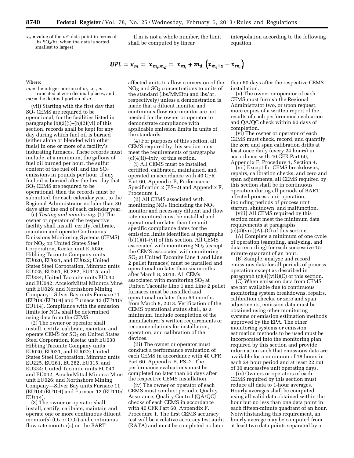$x_m$  = value of the  $m<sup>th</sup>$  data point in terms of lbs SO2/hr, when the data is sorted smallest to largest

If m is not a whole number, the limit shall be computed by linear

interpolation according to the following equation.

$$
UPL = x_m = x_{m_i + m_d} = x_{m_i} + m_d \left( x_{m_i + 1} - x_{m_i} \right)
$$

Where:

 $m_i$  = the integer portion of  $m$ , i.e.,  $m$ truncated at zero decimal places, and  $m\alpha$  = the decimal portion of *m* 

(vii) Starting with the first day that SO2 CEMS are required to be operational, for the facilities listed in paragraphs  $(b)(2)(i)$ – $(b)(2)(vi)$  of this section, records shall be kept for any day during which fuel oil is burned (either alone or blended with other fuels) in one or more of a facility's indurating furnaces. These records must include, at a minimum, the gallons of fuel oil burned per hour, the sulfur content of the fuel oil, and the  $SO<sub>2</sub>$ emissions in pounds per hour. If any fuel oil is burned after the first day that SO2 CEMS are required to be operational, then the records must be submitted, for each calendar year, to the Regional Administrator no later than 30 days after the end of each calendar year.

(c) *Testing and monitoring.* (1) The owner or operator of the respective facility shall install, certify, calibrate, maintain and operate Continuous Emissions Monitoring Systems (CEMS) for  $NO<sub>X</sub>$  on United States Steel Corporation, Keetac unit EU030; Hibbing Taconite Company units EU020, EU021, and EU022; United States Steel Corporation, Minntac units EU225, EU261, EU282, EU315, and EU334; United Taconite units EU040 and EU042; ArcelorMittal Minorca Mine unit EU026; and Northshore Mining Company—Silver Bay units Furnace 11 (EU100/EU104) and Furnace 12 (EU110/ EU114). Compliance with the emission limits for  $\rm{NO}_{X}$  shall be determined using data from the CEMS.

(2) The owner or operator shall install, certify, calibrate, maintain and operate CEMS for  $SO<sub>2</sub>$  on United States Steel Corporation, Keetac unit EU030; Hibbing Taconite Company units EU020, EU021, and EU022; United States Steel Corporation, Minntac units EU225, EU261, EU282, EU315, and EU334; United Taconite units EU040 and EU042; ArcelorMittal Minorca Mine unit EU026; and Northshore Mining Company—Silver Bay units Furnace 11 (EU100/EU104) and Furnace 12 (EU110/ EU114).

(3) The owner or operator shall install, certify, calibrate, maintain and operate one or more continuous diluent monitor(s)  $(O_2 \text{ or } CO_2)$  and continuous flow rate monitor(s) on the BART

affected units to allow conversion of the  $NO<sub>x</sub>$  and  $SO<sub>2</sub>$  concentrations to units of the standard (lbs/MMBtu and lbs/hr, respectively) unless a demonstration is made that a diluent monitor and continuous flow rate monitor are not needed for the owner or operator to demonstrate compliance with applicable emission limits in units of the standards.

(4) For purposes of this section, all CEMS required by this section must meet the requirements of paragraphs  $(c)(4)(i)$ – $(xiv)$  of this section.

(i) All CEMS must be installed, certified, calibrated, maintained, and operated in accordance with 40 CFR Part 60, Appendix B, Performance Specification 2 (PS–2) and Appendix F, Procedure 1.

(ii) All CEMS associated with monitoring  $NO<sub>X</sub>$  (including the  $NO<sub>X</sub>$ monitor and necessary diluent and flow rate monitors) must be installed and operational no later than the unit specific compliance dates for the emission limits identified at paragraphs (b)(1)(i)–(vi) of this section. All CEMS associated with monitoring  $SO<sub>2</sub>$  (except the CEMS associated with monitoring SO2 at United Taconite Line 1 and Line 2 pellet furnaces) must be installed and operational no later than six months after March 8, 2013. All CEMs associated with monitoring  $SO<sub>2</sub>$  at United Taconite Line 1 and Line 2 pellet furnaces must be installed and operational no later than 54 months from March 8, 2013. Verification of the CEMS operational status shall, as a minimum, include completion of the manufacturer's written requirements or recommendations for installation, operation, and calibration of the devices.

(iii) The owner or operator must conduct a performance evaluation of each CEMS in accordance with 40 CFR Part 60, Appendix B, PS–2. The performance evaluations must be completed no later than 60 days after the respective CEMS installation.

(iv) The owner or operator of each CEMS must conduct periodic Quality Assurance, Quality Control (QA/QC) checks of each CEMS in accordance with 40 CFR Part 60, Appendix F, Procedure 1. The first CEMS accuracy test will be a relative accuracy test audit (RATA) and must be completed no later than 60 days after the respective CEMS installation.

(v) The owner or operator of each CEMS must furnish the Regional Administrator two, or upon request, more copies of a written report of the results of each performance evaluation and QA/QC check within 60 days of completion.

(vi) The owner or operator of each CEMS must check, record, and quantify the zero and span calibration drifts at least once daily (every 24 hours) in accordance with 40 CFR Part 60, Appendix F, Procedure 1, Section 4.

(vii) Except for CEMS breakdowns, repairs, calibration checks, and zero and span adjustments, all CEMS required by this section shall be in continuous operation during all periods of BART affected process unit operation, including periods of process unit startup, shutdown, and malfunction.

(viii) All CEMS required by this section must meet the minimum data requirements at paragraphs  $(c)(4)(viii)(A)$ – $(\overline{C})$  of this section.

(A) Complete a minimum of one cycle of operation (sampling, analyzing, and data recording) for each successive 15 minute quadrant of an hour.

(B) Sample, analyze and record emissions data for all periods of process operation except as described in paragraph (c)(4)(viii)(C) of this section.

(C) When emission data from CEMS are not available due to continuous monitoring system breakdowns, repairs, calibration checks, or zero and span adjustments, emission data must be obtained using other monitoring systems or emission estimation methods approved by the EPA. The other monitoring systems or emission estimation methods to be used must be incorporated into the monitoring plan required by this section and provide information such that emissions data are available for a minimum of 18 hours in each 24 hour period and at least 22 out of 30 successive unit operating days.

(ix) Owners or operators of each CEMS required by this section must reduce all data to 1-hour averages. Hourly averages shall be computed using all valid data obtained within the hour but no less than one data point in each fifteen-minute quadrant of an hour. Notwithstanding this requirement, an hourly average may be computed from at least two data points separated by a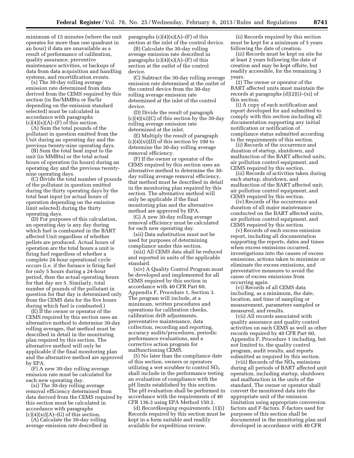minimum of 15 minutes (where the unit operates for more than one quadrant in an hour) if data are unavailable as a result of performance of calibration, quality assurance, preventive maintenance activities, or backups of data from data acquisition and handling systems, and recertification events.

(x) The 30-day rolling average emission rate determined from data derived from the CEMS required by this section (in lbs/MMBtu or lbs/hr depending on the emission standard selected) must be calculated in accordance with paragraphs  $(c)(4)(x)(A)$ –(F) of this section.

(A) Sum the total pounds of the pollutant in question emitted from the Unit during an operating day and the previous twenty-nine operating days.

(B) Sum the total heat input to the unit (in MMBtu) or the total actual hours of operation (in hours) during an operating day and the previous twentynine operating days.

(C) Divide the total number of pounds of the pollutant in question emitted during the thirty operating days by the total heat input (or actual hours of operation depending on the emission limit selected) during the thirty operating days.

(D) For purposes of this calculation, an operating day is any day during which fuel is combusted in the BART affected Unit regardless of whether pellets are produced. Actual hours of operation are the total hours a unit is firing fuel regardless of whether a complete 24-hour operational cycle occurs (i.e. if the furnace is firing fuel for only 5 hours during a 24-hour period, then the actual operating hours for that day are 5. Similarly, total number of pounds of the pollutant in question for that day is determined only from the CEMS data for the five hours during which fuel is combusted.)

(E) If the owner or operator of the CEMS required by this section uses an alternative method to determine 30-day rolling averages, that method must be described in detail in the monitoring plan required by this section. The alternative method will only be applicable if the final monitoring plan and the alternative method are approved by EPA.

(F) A new 30-day rolling average emission rate must be calculated for each new operating day.

(xi) The 30-day rolling average removal efficiency determined from data derived from the CEMS required by this section must be calculated in accordance with paragraphs  $(c)(4)(xi)(A)$ – $(G)$  of this section.

(A) Calculate the 30-day rolling average emission rate described in paragraphs  $(c)(4)(x)(A)$ – $(F)$  of this section at the inlet of the control device.

(B) Calculate the 30-day rolling average emission rate described in paragraphs  $(c)(4)(x)(A)$ – $(F)$  of this section at the outlet of the control device.

(C) Subtract the 30-day rolling average emission rate determined at the outlet of the control device from the 30-day rolling average emission rate determined at the inlet of the control device.

(D) Divide the result of paragraph  $(c)(4)(xi)(C)$  of this section by the 30-day rolling average emission rate determined at the inlet.

(E) Multiply the result of paragraph  $(c)(4)(xi)(D)$  of this section by 100 to determine the 30-day rolling average removal efficiency.

(F) If the owner or operator of the CEMS required by this section uses an alternative method to determine the 30 day rolling average removal efficiency, that method must be described in detail in the monitoring plan required by this section. The alternative method will only be applicable if the final monitoring plan and the alternative method are approved by EPA.

(G) A new 30-day rolling average removal efficiency must be calculated for each new operating day.

(xii) Data substitution must not be used for purposes of determining compliance under this section.

(xiii) All CEMS data shall be reduced and reported in units of the applicable standard.

(xiv) A Quality Control Program must be developed and implemented for all CEMS required by this section in accordance with 40 CFR Part 60, Appendix F, Procedure 1, Section 3. The program will include, at a minimum, written procedures and operations for calibration checks, calibration drift adjustments, preventative maintenance, data collection, recording and reporting, accuracy audits/procedures, periodic performance evaluations, and a corrective action program for malfunctioning CEMS.

(5) No later than the compliance date of this section, owners or operators utilizing a wet scrubber to control  $SO<sub>2</sub>$ shall include in the performance testing an evaluation of compliance with the pH limits established by this section. The pH evaluation shall be performed in accordance with the requirements of 40 CFR 136.3 using EPA Method 150.2.

(d) *Recordkeeping requirements.* (1)(i) Records required by this section must be kept in a form suitable and readily available for expeditious review.

(ii) Records required by this section must be kept for a minimum of 5 years following the date of creation.

(iii) Records must be kept on site for at least 2 years following the date of creation and may be kept offsite, but readily accessible, for the remaining 3 years.

(2) The owner or operator of the BART affected units must maintain the records at paragraphs (d)(2)(i)–(xi) of this section.

(i) A copy of each notification and report developed for and submitted to comply with this section including all documentation supporting any initial notification or notification of compliance status submitted according to the requirements of this section.

(ii) Records of the occurrence and duration of startup, shutdown, and malfunction of the BART affected units, air pollution control equipment, and CEMS required by this section.

(iii) Records of activities taken during each startup, shutdown, and malfunction of the BART affected unit, air pollution control equipment, and CEMS required by this section.

(iv) Records of the occurrence and duration of all major maintenance conducted on the BART affected units, air pollution control equipment, and CEMS required by this section.

(v) Records of each excess emission report, including all documentation supporting the reports, dates and times when excess emissions occurred, investigations into the causes of excess emissions, actions taken to minimize or eliminate the excess emissions, and preventative measures to avoid the cause of excess emissions from occurring again.

(vi) Records of all CEMS data including, as a minimum, the date, location, and time of sampling or measurement, parameters sampled or measured, and results.

(vii) All records associated with quality assurance and quality control activities on each CEMS as well as other records required by 40 CFR Part 60, Appendix F, Procedure 1 including, but not limited to, the quality control program, audit results, and reports submitted as required by this section.

(viii) Records of the  $NO<sub>x</sub>$  emissions during all periods of BART affected unit operation, including startup, shutdown and malfunction in the units of the standard. The owner or operator shall convert the monitored data into the appropriate unit of the emission limitation using appropriate conversion factors and F-factors. F-factors used for purposes of this section shall be documented in the monitoring plan and developed in accordance with 40 CFR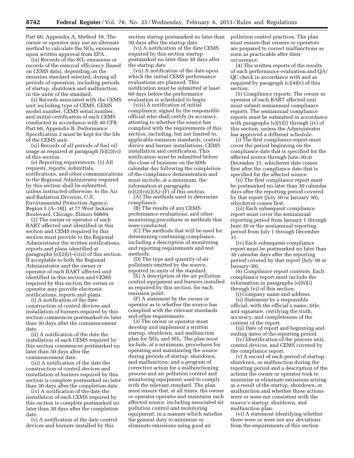Part 60, Appendix A, Method 19. The owner or operator may use an alternate method to calculate the  $NO<sub>x</sub>$  emissions upon written approval from EPA.

 $(ix)$  Records of the  $SO<sub>2</sub>$  emissions or records of the removal efficiency (based on CEMS data), depending on the emission standard selected, during all periods of operation, including periods of startup, shutdown and malfunction, in the units of the standard.

(x) Records associated with the CEMS unit including type of CEMS, CEMS model number, CEMS serial number, and initial certification of each CEMS conducted in accordance with 40 CFR Part 60, Appendix B, Performance Specification 2 must be kept for the life of the CEMS unit.

(xi) Records of all periods of fuel oil usage as required at paragraph (b)(2)(vi) of this section.

(e) *Reporting requirements.* (1) All requests, reports, submittals, notifications, and other communications to the Regional Administrator required by this section shall be submitted, unless instructed otherwise, to the Air and Radiation Division, U.S. Environmental Protection Agency, Region 5 (A–18J), at 77 West Jackson Boulevard, Chicago, Illinois 60604.

(2) The owner or operator of each BART affected unit identified in this section and CEMS required by this section must provide to the Regional Administrator the written notifications, reports and plans identified at paragraphs (e)(2)(i)–(viii) of this section. If acceptable to both the Regional Administrator and the owner or operator of each BART affected unit identified in this section and CEMS required by this section the owner or operator may provide electronic notifications, reports and plans.

(i) A notification of the date construction of control devices and installation of burners required by this section commences postmarked no later than 30 days after the commencement date.

(ii) A notification of the date the installation of each CEMS required by this section commences postmarked no later than 30 days after the commencement date.

(iii) A notification of the date the construction of control devices and installation of burners required by this section is complete postmarked no later than 30 days after the completion date.

(iv) A notification of the date the installation of each CEMS required by this section is complete postmarked no later than 30 days after the completion date.

(v) A notification of the date control devices and burners installed by this

section startup postmarked no later than 30 days after the startup date.

(vi) A notification of the date CEMS required by this section startup postmarked no later than 30 days after the startup date.

(vii) A notification of the date upon which the initial CEMS performance evaluations are planned. This notification must be submitted at least 60 days before the performance evaluation is scheduled to begin.

(viii) A notification of initial compliance, signed by the responsible official who shall certify its accuracy, attesting to whether the source has complied with the requirements of this section, including, but not limited to, applicable emission standards, control device and burner installations, CEMS installation and certification. This notification must be submitted before the close of business on the 60th calendar day following the completion of the compliance demonstration and must include, at a minimum, the information at paragraphs  $(e)(2)(viii)(A)$ – $(F)$  of this section.

(A) The methods used to determine compliance.

(B) The results of any CEMS performance evaluations, and other monitoring procedures or methods that were conducted.

(C) The methods that will be used for determining continuing compliance, including a description of monitoring and reporting requirements and test methods.

(D) The type and quantity of air pollutants emitted by the source, reported in units of the standard.

(E) A description of the air pollution control equipment and burners installed as required by this section, for each emission point.

(F) A statement by the owner or operator as to whether the source has complied with the relevant standards and other requirements.

(3) The owner or operator must develop and implement a written startup, shutdown, and malfunction plan for  $NO<sub>x</sub>$  and  $SO<sub>2</sub>$ . The plan must include, at a minimum, procedures for operating and maintaining the source during periods of startup, shutdown, and malfunction; and a program of corrective action for a malfunctioning process and air pollution control and monitoring equipment used to comply with the relevant standard. The plan must ensure that, at all times, the owner or operator operates and maintains each affected source, including associated air pollution control and monitoring equipment, in a manner which satisfies the general duty to minimize or eliminate emissions using good air

pollution control practices. The plan must ensure that owners or operators are prepared to correct malfunctions as soon as practicable after their occurrence.

(4) The written reports of the results of each performance evaluation and QA/ QC check in accordance with and as required by paragraph  $(c)(4)(v)$  of this section.

(5) *Compliance reports.* The owner or operator of each BART affected unit must submit semiannual compliance reports. The semiannual compliance reports must be submitted in accordance with paragraphs (e)(5)(i) through (iv) of this section, unless the Administrator has approved a different schedule.

(i) The first compliance report must cover the period beginning on the compliance date that is specified for the affected source through June 30 or December 31, whichever date comes first after the compliance date that is specified for the affected source.

(ii) The first compliance report must be postmarked no later than 30 calendar days after the reporting period covered by that report (July 30 or January 30), whichever comes first.

(iii) Each subsequent compliance report must cover the semiannual reporting period from January 1 through June 30 or the semiannual reporting period from July 1 through December 31.

(iv) Each subsequent compliance report must be postmarked no later than 30 calendar days after the reporting period covered by that report (July 30 or January 30).

(6) *Compliance report contents.* Each compliance report must include the information in paragraphs (e)(6)(i) through (vi) of this section.

(i) Company name and address. (ii) Statement by a responsible official, with the official's name, title, and signature, certifying the truth, accuracy, and completeness of the content of the report.

(iii) Date of report and beginning and ending dates of the reporting period.

(iv) Identification of the process unit, control devices, and CEMS covered by the compliance report.

(v) A record of each period of startup, shutdown, or malfunction during the reporting period and a description of the actions the owner or operator took to minimize or eliminate emissions arising as a result of the startup, shutdown, or malfunction and whether those actions were or were not consistent with the source's startup, shutdown, and malfunction plan.

(vi) A statement identifying whether there were or were not any deviations from the requirements of this section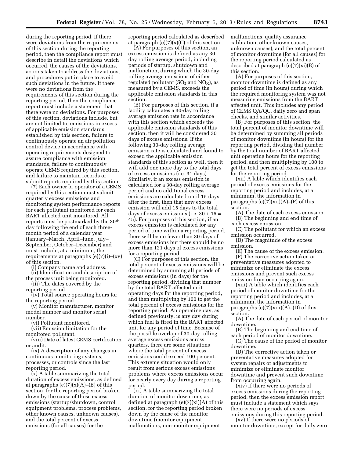during the reporting period. If there were deviations from the requirements of this section during the reporting period, then the compliance report must describe in detail the deviations which occurred, the causes of the deviations, actions taken to address the deviations, and procedures put in place to avoid such deviations in the future. If there were no deviations from the requirements of this section during the reporting period, then the compliance report must include a statement that there were no deviations. For purposes of this section, deviations include, but are not limited to, emissions in excess of applicable emission standards established by this section, failure to continuously operate an air pollution control device in accordance with operating requirements designed to assure compliance with emission standards, failure to continuously operate CEMS required by this section, and failure to maintain records or submit reports required by this section.

(7) Each owner or operator of a CEMS required by this section must submit quarterly excess emissions and monitoring system performance reports for each pollutant monitored for each BART affected unit monitored. All reports must be postmarked by the 30th day following the end of each threemonth period of a calendar year (January–March, April–June, July– September, October–December) and must include, at a minimum, the requirements at paragraphs (e)(7)(i)–(xv) of this section.

(i) Company name and address.

(ii) Identification and description of the process unit being monitored.

(iii) The dates covered by the

reporting period.

(iv) Total source operating hours for the reporting period.

(v) Monitor manufacturer, monitor model number and monitor serial number.

(vi) Pollutant monitored.

(vii) Emission limitation for the monitored pollutant.

(viii) Date of latest CEMS certification or audit.

(ix) A description of any changes in continuous monitoring systems, processes, or controls since the last reporting period.

(x) A table summarizing the total duration of excess emissions, as defined at paragraphs  $(e)(7)(x)(A)$ – $(B)$  of this section, for the reporting period broken down by the cause of those excess emissions (startup/shutdown, control equipment problems, process problems, other known causes, unknown causes), and the total percent of excess emissions (for all causes) for the

reporting period calculated as described at paragraph  $(e)(7)(x)(C)$  of this section.

(A) For purposes of this section, an excess emission is defined as any 30 day rolling average period, including periods of startup, shutdown and malfunction, during which the 30-day rolling average emissions of either regulated pollutant  $(SO_2 \text{ and } NO_X)$ , as measured by a CEMS, exceeds the applicable emission standards in this section.

(B) For purposes of this section, if a facility calculates a 30-day rolling average emission rate in accordance with this section which exceeds the applicable emission standards of this section, then it will be considered 30 days of excess emissions. If the following 30-day rolling average emission rate is calculated and found to exceed the applicable emission standards of this section as well, then it will add one more day to the total days of excess emissions (i.e. 31 days). Similarly, if an excess emission is calculated for a 30-day rolling average period and no additional excess emissions are calculated until 15 days after the first, then that new excess emission will add 15 days to the total days of excess emissions (i.e.  $30 + 15 =$ 45). For purposes of this section, if an excess emission is calculated for any period of time within a reporting period, there will be no fewer than 30 days of excess emissions but there should be no more than 121 days of excess emissions for a reporting period.

(C) For purposes of this section, the total percent of excess emissions will be determined by summing all periods of excess emissions (in days) for the reporting period, dividing that number by the total BART affected unit operating days for the reporting period, and then multiplying by 100 to get the total percent of excess emissions for the reporting period. An operating day, as defined previously, is any day during which fuel is fired in the BART affected unit for any period of time. Because of the possible overlap of 30-day rolling average excess emissions across quarters, there are some situations where the total percent of excess emissions could exceed 100 percent. This extreme situation would only result from serious excess emissions problems where excess emissions occur for nearly every day during a reporting period.

(xi) A table summarizing the total duration of monitor downtime, as defined at paragraph (e)(7)(xi)(A) of this section, for the reporting period broken down by the cause of the monitor downtime (monitor equipment malfunctions, non-monitor equipment

malfunctions, quality assurance calibration, other known causes, unknown causes), and the total percent of monitor downtime (for all causes) for the reporting period calculated as described at paragraph (e)(7)(xi)(B) of this section.

(A) For purposes of this section, monitor downtime is defined as any period of time (in hours) during which the required monitoring system was not measuring emissions from the BART affected unit. This includes any period of CEMS QA/QC, daily zero and span checks, and similar activities.

(B) For purposes of this section, the total percent of monitor downtime will be determined by summing all periods of monitor downtime (in hours) for the reporting period, dividing that number by the total number of BART affected unit operating hours for the reporting period, and then multiplying by 100 to get the total percent of excess emissions for the reporting period.

(xii) A table which identifies each period of excess emissions for the reporting period and includes, at a minimum, the information in paragraphs  $(e)(7)(xii)(A)$ – $(F)$  of this section.

(A) The date of each excess emission. (B) The beginning and end time of each excess emission.

(C) The pollutant for which an excess emission occurred.

(D) The magnitude of the excess emission.

(E) The cause of the excess emission. (F) The corrective action taken or preventative measures adopted to minimize or eliminate the excess emissions and prevent such excess emission from occurring again.

(xiii) A table which identifies each period of monitor downtime for the reporting period and includes, at a minimum, the information in paragraphs  $(e)(7)(xiii)(A)$ – $(D)$  of this section.

(A) The date of each period of monitor downtime.

(B) The beginning and end time of each period of monitor downtime.

(C) The cause of the period of monitor downtime.

(D) The corrective action taken or preventative measures adopted for system repairs or adjustments to minimize or eliminate monitor downtime and prevent such downtime from occurring again.

(xiv) If there were no periods of excess emissions during the reporting period, then the excess emission report must include a statement which says there were no periods of excess emissions during this reporting period.

(xv) If there were no periods of monitor downtime, except for daily zero